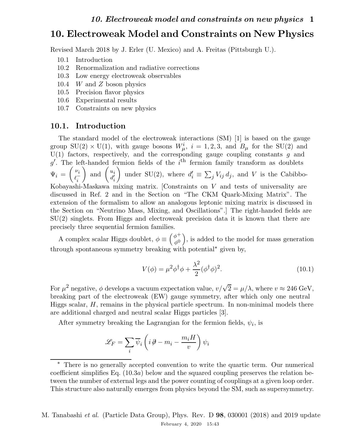Revised March 2018 by J. Erler (U. Mexico) and A. Freitas (Pittsburgh U.).

- 10.1 Introduction
- 10.2 Renormalization and radiative corrections
- 10.3 Low energy electroweak observables
- 10.4 W and Z boson physics
- 10.5 Precision flavor physics
- 10.6 Experimental results
- 10.7 Constraints on new physics

### 10.1. Introduction

The standard model of the electroweak interactions (SM) [1] is based on the gauge group  $SU(2) \times U(1)$ , with gauge bosons  $W^i_\mu$ ,  $i = 1, 2, 3$ , and  $B_\mu$  for the  $SU(2)$  and  $U(1)$  factors, respectively, and the corresponding gauge coupling constants g and g'. The left-handed fermion fields of the  $i<sup>th</sup>$  fermion family transform as doublets  $\Psi_i =$  $\left(\nu_i\right)$  $\iota_i^$ i ) and  $\begin{pmatrix} u_i \\ d' \end{pmatrix}$  $d_i^{\prime}$ i  $\lambda$ under SU(2), where  $d_i' \equiv \sum_j V_{ij} d_j$ , and V is the Cabibbo-Kobayashi-Maskawa mixing matrix. [Constraints on V and tests of universality are discussed in Ref. 2 and in the Section on "The CKM Quark-Mixing Matrix". The extension of the formalism to allow an analogous leptonic mixing matrix is discussed in the Section on "Neutrino Mass, Mixing, and Oscillations".] The right-handed fields are SU(2) singlets. From Higgs and electroweak precision data it is known that there are precisely three sequential fermion families.

A complex scalar Higgs doublet,  $\phi \equiv \begin{pmatrix} \phi^+ \\ \phi^0 \end{pmatrix}$  $\phi^0$  , is added to the model for mass generation through spontaneous symmetry breaking with potential<sup>∗</sup> given by,

$$
V(\phi) = \mu^2 \phi^\dagger \phi + \frac{\lambda^2}{2} (\phi^\dagger \phi)^2.
$$
 (10.1)

For  $\mu^2$  negative,  $\phi$  develops a vacuum expectation value,  $v/\sqrt{2} = \mu/\lambda$ , where  $v \approx 246 \text{ GeV}$ , breaking part of the electroweak (EW) gauge symmetry, after which only one neutral Higgs scalar,  $H$ , remains in the physical particle spectrum. In non-minimal models there are additional charged and neutral scalar Higgs particles [3].

After symmetry breaking the Lagrangian for the fermion fields,  $\psi_i$ , is

$$
\mathscr{L}_{F}=\sum_{i}\overline{\psi}_{i}\left(i\,\partial\!\!\!/-m_{i}-\frac{m_{i}H}{v}\right)\psi_{i}
$$

<sup>∗</sup> There is no generally accepted convention to write the quartic term. Our numerical coefficient simplifies Eq.  $(10.3a)$  below and the squared coupling preserves the relation between the number of external legs and the power counting of couplings at a given loop order. This structure also naturally emerges from physics beyond the SM, such as supersymmetry.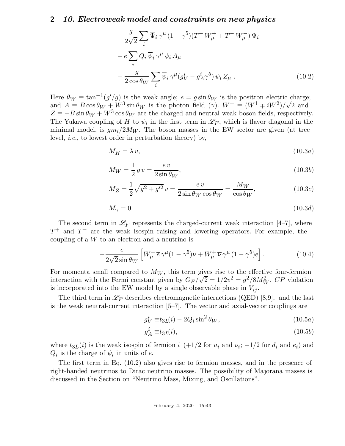$$
-\frac{g}{2\sqrt{2}}\sum_{i}\overline{\Psi}_{i}\gamma^{\mu}(1-\gamma^{5})(T^{+}W_{\mu}^{+}+T^{-}W_{\mu}^{-})\Psi_{i}
$$

$$
-e\sum_{i}Q_{i}\overline{\psi}_{i}\gamma^{\mu}\psi_{i}A_{\mu}
$$

$$
-\frac{g}{2\cos\theta_{W}}\sum_{i}\overline{\psi}_{i}\gamma^{\mu}(g_{V}^{i}-g_{A}^{i}\gamma^{5})\psi_{i}Z_{\mu}.
$$
(10.2)

Here  $\theta_W \equiv \tan^{-1}(g'/g)$  is the weak angle;  $e = g \sin \theta_W$  is the positron electric charge; and  $A \equiv B \cos \theta_W + W^3 \sin \theta_W$  is the photon field  $(\gamma)$ .  $W^{\pm} \equiv (W^1 \mp iW^2)/\sqrt{2}$  and  $Z \equiv -B \sin \theta_W + W^3 \cos \theta_W$  are the charged and neutral weak boson fields, respectively. The Yukawa coupling of H to  $\psi_i$  in the first term in  $\mathscr{L}_F$ , which is flavor diagonal in the minimal model, is  $gm_i/2M_W$ . The boson masses in the EW sector are given (at tree level, i.e., to lowest order in perturbation theory) by,

$$
M_H = \lambda v,\tag{10.3a}
$$

$$
M_W = \frac{1}{2} g v = \frac{ev}{2 \sin \theta_W},\tag{10.3b}
$$

$$
M_Z = \frac{1}{2}\sqrt{g^2 + g'^2}v = \frac{ev}{2\sin\theta_W\cos\theta_W} = \frac{M_W}{\cos\theta_W},\tag{10.3c}
$$

$$
M_{\gamma} = 0.\tag{10.3d}
$$

The second term in  $\mathscr{L}_F$  represents the charged-current weak interaction [4–7], where  $T^+$  and  $T^-$  are the weak isospin raising and lowering operators. For example, the coupling of a W to an electron and a neutrino is

$$
-\frac{e}{2\sqrt{2}\sin\theta_W} \left[ W^-_\mu \overline{e} \gamma^\mu (1-\gamma^5) \nu + W^+_\mu \overline{\nu} \gamma^\mu (1-\gamma^5) e \right]. \tag{10.4}
$$

For momenta small compared to  $M_W$ , this term gives rise to the effective four-fermion interaction with the Fermi constant given by  $G_F/\sqrt{2} = 1/2v^2 = g^2/8M_W^2$ . CP violation is incorporated into the EW model by a single observable phase in  $V_{ij}$ .

The third term in  $\mathscr{L}_F$  describes electromagnetic interactions (QED) [8,9], and the last is the weak neutral-current interaction [5–7]. The vector and axial-vector couplings are

$$
g_V^i \equiv t_{3L}(i) - 2Q_i \sin^2 \theta_W, \qquad (10.5a)
$$

$$
g_A^i \equiv t_{3L}(i),\tag{10.5b}
$$

where  $t_{3L}(i)$  is the weak isospin of fermion  $i$  (+1/2 for  $u_i$  and  $v_i$ ; -1/2 for  $d_i$  and  $e_i$ ) and  $Q_i$  is the charge of  $\psi_i$  in units of e.

The first term in Eq. (10.2) also gives rise to fermion masses, and in the presence of right-handed neutrinos to Dirac neutrino masses. The possibility of Majorana masses is discussed in the Section on "Neutrino Mass, Mixing, and Oscillations".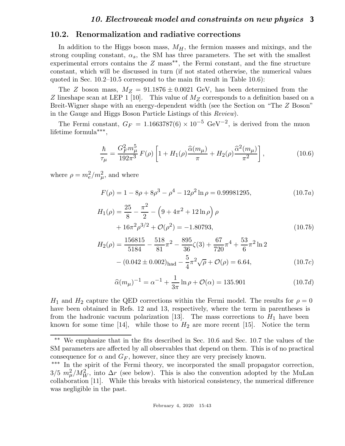### 10.2. Renormalization and radiative corrections

In addition to the Higgs boson mass,  $M_H$ , the fermion masses and mixings, and the strong coupling constant,  $\alpha_s$ , the SM has three parameters. The set with the smallest experimental errors contains the  $Z$  mass<sup>\*\*</sup>, the Fermi constant, and the fine structure constant, which will be discussed in turn (if not stated otherwise, the numerical values quoted in Sec. 10.2–10.5 correspond to the main fit result in Table 10.6):

The Z boson mass,  $M_Z = 91.1876 \pm 0.0021$  GeV, has been determined from the Z lineshape scan at LEP 1 [10]. This value of  $M_Z$  corresponds to a definition based on a Breit-Wigner shape with an energy-dependent width (see the Section on "The Z Boson" in the Gauge and Higgs Boson Particle Listings of this Review).

The Fermi constant,  $G_F = 1.1663787(6) \times 10^{-5} \text{ GeV}^{-2}$ , is derived from the muon lifetime formula∗∗∗ ,

$$
\frac{\hbar}{\tau_{\mu}} = \frac{G_F^2 m_{\mu}^5}{192\pi^3} F(\rho) \left[ 1 + H_1(\rho) \frac{\hat{\alpha}(m_{\mu})}{\pi} + H_2(\rho) \frac{\hat{\alpha}^2(m_{\mu})}{\pi^2} \right],
$$
(10.6)

where  $\rho = m_e^2/m_\mu^2$ , and where

$$
F(\rho) = 1 - 8\rho + 8\rho^3 - \rho^4 - 12\rho^2 \ln \rho = 0.99981295,
$$
 (10.7*a*)

$$
H_1(\rho) = \frac{25}{8} - \frac{\pi^2}{2} - \left(9 + 4\pi^2 + 12\ln\rho\right)\rho
$$
  
+  $16\pi^2\rho^{3/2} + \mathcal{O}(\rho^2) = -1.80793,$  (10.7*b*)

$$
H_2(\rho) = \frac{156815}{5184} - \frac{518}{81}\pi^2 - \frac{895}{36}\zeta(3) + \frac{67}{720}\pi^4 + \frac{53}{6}\pi^2\ln 2
$$
  
– (0.042 ± 0.002)<sub>had</sub> –  $\frac{5}{4}\pi^2\sqrt{\rho} + \mathcal{O}(\rho) = 6.64,$  (10.7c)

$$
\hat{\alpha}(m_{\mu})^{-1} = \alpha^{-1} + \frac{1}{3\pi} \ln \rho + \mathcal{O}(\alpha) = 135.901 \tag{10.7d}
$$

 $H_1$  and  $H_2$  capture the QED corrections within the Fermi model. The results for  $\rho = 0$ have been obtained in Refs. 12 and 13, respectively, where the term in parentheses is from the hadronic vacuum polarization [13]. The mass corrections to  $H_1$  have been known for some time [14], while those to  $H_2$  are more recent [15]. Notice the term

∗∗ We emphasize that in the fits described in Sec. 10.6 and Sec. 10.7 the values of the SM parameters are affected by all observables that depend on them. This is of no practical consequence for  $\alpha$  and  $G_F$ , however, since they are very precisely known.

<sup>∗∗∗</sup> In the spirit of the Fermi theory, we incorporated the small propagator correction,  $3/5 m_\mu^2/M_W^2$ , into  $\Delta r$  (see below). This is also the convention adopted by the MuLan collaboration [11]. While this breaks with historical consistency, the numerical difference was negligible in the past.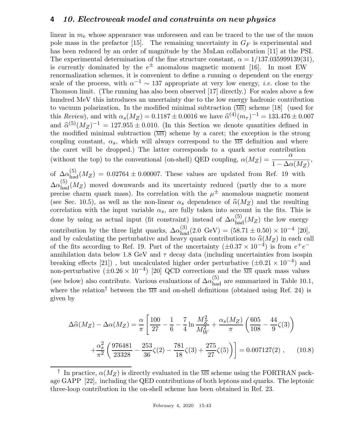linear in  $m_e$  whose appearance was unforeseen and can be traced to the use of the muon pole mass in the prefactor [15]. The remaining uncertainty in  $G_F$  is experimental and has been reduced by an order of magnitude by the MuLan collaboration [11] at the PSI. The experimental determination of the fine structure constant,  $\alpha = 1/137.035999139(31)$ , is currently dominated by the  $e^{\pm}$  anomalous magnetic moment [16]. In most EW renormalization schemes, it is convenient to define a running  $\alpha$  dependent on the energy scale of the process, with  $\alpha^{-1} \sim 137$  appropriate at very low energy, *i.e.* close to the Thomson limit. (The running has also been observed [17] directly.) For scales above a few hundred MeV this introduces an uncertainty due to the low energy hadronic contribution to vacuum polarization. In the modified minimal subtraction  $(\overline{\text{MS}})$  scheme [18] (used for this Review), and with  $\alpha_s(M_Z) = 0.1187 \pm 0.0016$  we have  $\hat{\alpha}^{(4)}(m_{\tau})^{-1} = 133.476 \pm 0.007$ and  $\hat{\alpha}^{(5)}(M_Z)^{-1} = 127.955 \pm 0.010$ . (In this Section we denote quantities defined in the modified minimal subtraction  $(\overline{\text{MS}})$  scheme by a caret; the exception is the strong coupling constant,  $\alpha_s$ , which will always correspond to the  $\overline{MS}$  definition and where the caret will be dropped.) The latter corresponds to a quark sector contribution (without the top) to the conventional (on-shell) QED coupling,  $\alpha(M_Z) = \frac{\alpha}{1-\Delta\alpha}$  $1 - \Delta \alpha(M_Z)$ ,

of  $\Delta \alpha_{\text{had}}^{(5)}(M_Z) = 0.02764 \pm 0.00007$ . These values are updated from Ref. 19 with  $\Delta\alpha_{\rm had}^{(5)}(M_Z)$  moved downwards and its uncertainty reduced (partly due to a more precise charm quark mass). Its correlation with the  $\mu^{\pm}$  anomalous magnetic moment (see Sec. 10.5), as well as the non-linear  $\alpha_s$  dependence of  $\hat{\alpha}(M_Z)$  and the resulting correlation with the input variable  $\alpha_s$ , are fully taken into account in the fits. This is done by using as actual input (fit constraint) instead of  $\Delta \alpha_{\text{had}}^{(5)}(M_Z)$  the low energy contribution by the three light quarks,  $\Delta \alpha_{\text{had}}^{(3)}(2.0 \text{ GeV}) = (58.71 \pm 0.50) \times 10^{-4}$  [20], and by calculating the perturbative and heavy quark contributions to  $\hat{\alpha}(M_Z)$  in each call of the fits according to Ref. 19. Part of the uncertainty  $(\pm 0.37 \times 10^{-4})$  is from  $e^+e^$ annihilation data below 1.8 GeV and  $\tau$  decay data (including uncertainties from isospin breaking effects [21]), but uncalculated higher order perturbative  $(\pm 0.21 \times 10^{-4})$  and non-perturbative  $(\pm 0.26 \times 10^{-4})$  [20] QCD corrections and the  $\overline{\text{MS}}$  quark mass values (see below) also contribute. Various evaluations of  $\Delta \alpha_{\rm had}^{(5)}$  are summarized in Table 10.1, where the relation<sup>†</sup> between the  $\overline{MS}$  and on-shell definitions (obtained using Ref. 24) is given by

$$
\Delta \hat{\alpha}(M_Z) - \Delta \alpha(M_Z) = \frac{\alpha}{\pi} \left[ \frac{100}{27} - \frac{1}{6} - \frac{7}{4} \ln \frac{M_Z^2}{M_W^2} + \frac{\alpha_s(M_Z)}{\pi} \left( \frac{605}{108} - \frac{44}{9} \zeta(3) \right) + \frac{\alpha_s^2}{\pi^2} \left( \frac{976481}{23328} - \frac{253}{36} \zeta(2) - \frac{781}{18} \zeta(3) + \frac{275}{27} \zeta(5) \right) \right] = 0.007127(2) , \quad (10.8)
$$

<sup>&</sup>lt;sup>†</sup> In practice,  $\alpha(M_Z)$  is directly evaluated in the  $\overline{\text{MS}}$  scheme using the FORTRAN package GAPP [22], including the QED contributions of both leptons and quarks. The leptonic three-loop contribution in the on-shell scheme has been obtained in Ref. 23.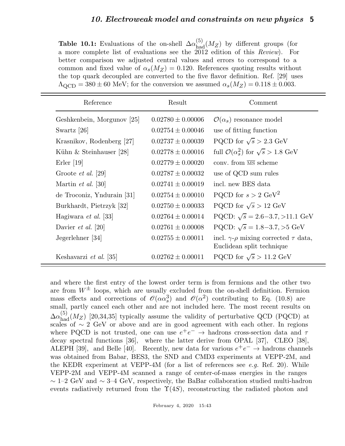**Table 10.1:** Evaluations of the on-shell  $\Delta\alpha_{\text{had}}^{(5)}(M_Z)$  by different groups (for a more complete list of evaluations see the 2012 edition of this Review). For better comparison we adjusted central values and errors to correspond to a common and fixed value of  $\alpha_s(M_Z) = 0.120$ . References quoting results without the top quark decoupled are converted to the five flavor definition. Ref. [29] uses  $\Lambda_{\text{QCD}} = 380 \pm 60$  MeV; for the conversion we assumed  $\alpha_s(M_Z) = 0.118 \pm 0.003$ .

| Reference                  | Result                | Comment                                                                            |
|----------------------------|-----------------------|------------------------------------------------------------------------------------|
| Geshkenbein, Morgunov [25] | $0.02780 \pm 0.00006$ | $\mathcal{O}(\alpha_s)$ resonance model                                            |
| Swartz [26]                | $0.02754 \pm 0.00046$ | use of fitting function                                                            |
| Krasnikov, Rodenberg [27]  | $0.02737 \pm 0.00039$ | PQCD for $\sqrt{s} > 2.3$ GeV                                                      |
| Kühn $&$ Steinhauser [28]  | $0.02778 \pm 0.00016$ | full $\mathcal{O}(\alpha_s^2)$ for $\sqrt{s} > 1.8$ GeV                            |
| $E$ rler [19]              | $0.02779 \pm 0.00020$ | conv. from $\overline{\text{MS}}$ scheme                                           |
| Groote <i>et al.</i> [29]  | $0.02787 \pm 0.00032$ | use of QCD sum rules                                                               |
| Martin <i>et al.</i> [30]  | $0.02741 \pm 0.00019$ | incl. new BES data                                                                 |
| de Troconiz, Yndurain [31] | $0.02754 \pm 0.00010$ | PQCD for $s > 2 \text{ GeV}^2$                                                     |
| Burkhardt, Pietrzyk [32]   | $0.02750 \pm 0.00033$ | PQCD for $\sqrt{s} > 12$ GeV                                                       |
| Hagiwara et al. [33]       | $0.02764 \pm 0.00014$ | PQCD: $\sqrt{s} = 2.6 - 3.7, > 11.1$ GeV                                           |
| Davier <i>et al.</i> [20]  | $0.02761 \pm 0.00008$ | PQCD: $\sqrt{s} = 1.8 - 3.7, > 5$ GeV                                              |
| Jegerlehner [34]           | $0.02755 \pm 0.00011$ | incl. $\gamma$ - $\rho$ mixing corrected $\tau$ data,<br>Euclidean split technique |
| Keshavarzi et al. [35]     | $0.02762 \pm 0.00011$ | PQCD for $\sqrt{s} > 11.2 \text{ GeV}$                                             |

and where the first entry of the lowest order term is from fermions and the other two are from  $W^{\pm}$  loops, which are usually excluded from the on-shell definition. Fermion mass effects and corrections of  $\mathcal{O}(\alpha \alpha_s^3)$  and  $\mathcal{O}(\alpha^2)$  contributing to Eq. (10.8) are small, partly cancel each other and are not included here. The most recent results on  $\Delta\alpha_{\rm had}^{(5)}(M_Z)$  [20,34,35] typically assume the validity of perturbative QCD (PQCD) at scales of  $\sim$  2 GeV or above and are in good agreement with each other. In regions where PQCD is not trusted, one can use  $e^+e^- \to$  hadrons cross-section data and  $\tau$ decay spectral functions [36], where the latter derive from OPAL [37], CLEO [38], ALEPH [39], and Belle [40]. Recently, new data for various  $e^+e^- \rightarrow$  hadrons channels was obtained from Babar, BES3, the SND and CMD3 experiments at VEPP-2M, and the KEDR experiment at VEPP-4M (for a list of references see *e.g.* Ref. 20). While VEPP-2M and VEPP-4M scanned a range of center-of-mass energies in the ranges  $\sim$  1–2 GeV and  $\sim$  3–4 GeV, respectively, the BaBar collaboration studied multi-hadron events radiatively returned from the  $\Upsilon(4S)$ , reconstructing the radiated photon and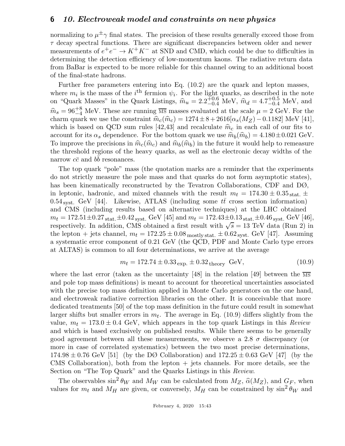normalizing to  $\mu^{\pm} \gamma$  final states. The precision of these results generally exceed those from  $\tau$  decay spectral functions. There are significant discrepancies between older and newer measurements of  $e^+e^- \to K^+K^-$  at SND and CMD, which could be due to difficulties in determining the detection efficiency of low-momentum kaons. The radiative return data from BaBar is expected to be more reliable for this channel owing to an additional boost of the final-state hadrons.

Further free parameters entering into Eq. (10.2) are the quark and lepton masses, where  $m_i$  is the mass of the i<sup>th</sup> fermion  $\psi_i$ . For the light quarks, as described in the note on "Quark Masses" in the Quark Listings,  $\hat{m}_u = 2.2^{+0.6}_{-0.4}$  MeV,  $\hat{m}_d = 4.7^{+0.5}_{-0.4}$  MeV, and  $\hat{m}_s = 96^{+8}_{-4}$  MeV. These are running  $\overline{MS}$  masses evaluated at the scale  $\mu = 2$  GeV. For the charm quark we use the constraint  $\hat{m}_c(\hat{m}_c) = 1274 \pm 8 + 2616[\alpha_s(M_Z)-0.1182]$  MeV [41], which is based on QCD sum rules [42,43] and recalculate  $\hat{m}_c$  in each call of our fits to account for its  $\alpha_s$  dependence. For the bottom quark we use  $\widehat{m}_b(\widehat{m}_b) = 4.180 \pm 0.021$  GeV. To improve the precisions in  $\hat{m}_c(\hat{m}_c)$  and  $\hat{m}_b(\hat{m}_b)$  in the future it would help to remeasure the threshold regions of the heavy quarks, as well as the electronic decay widths of the narrow  $c\bar{c}$  and  $b\bar{b}$  resonances.

The top quark "pole" mass (the quotation marks are a reminder that the experiments do not strictly measure the pole mass and that quarks do not form asymptotic states), has been kinematically reconstructed by the Tevatron Collaborations, CDF and DØ, in leptonic, hadronic, and mixed channels with the result  $m_t = 174.30 \pm 0.35$  stat.  $\pm$ 0.54 syst. GeV [44]. Likewise, ATLAS (including some  $t\bar{t}$  cross section information) and CMS (including results based on alternative techniques) at the LHC obtained  $m_t = 172.51 \pm 0.27$  stat.  $\pm 0.42$  syst. GeV [45] and  $m_t = 172.43 \pm 0.13$  stat.  $\pm 0.46$  syst. GeV [46], respectively. In addition, CMS obtained a first result with  $\sqrt{s} = 13$  TeV data (Run 2) in the lepton + jets channel,  $m_t = 172.25 \pm 0.08$  mostly stat.  $\pm 0.62$  syst. GeV [47]. Assuming a systematic error component of 0.21 GeV (the QCD, PDF and Monte Carlo type errors at ALTAS) is common to all four determinations, we arrive at the average

$$
m_t = 172.74 \pm 0.33 \, \text{exp.} \pm 0.32 \, \text{theory} \, \text{GeV}, \tag{10.9}
$$

where the last error (taken as the uncertainty [48] in the relation [49] between the  $\overline{\text{MS}}$ and pole top mass definitions) is meant to account for theoretical uncertainties associated with the precise top mass definition applied in Monte Carlo generators on the one hand, and electroweak radiative correction libraries on the other. It is conceivable that more dedicated treatments [50] of the top mass definition in the future could result in somewhat larger shifts but smaller errors in  $m_t$ . The average in Eq. (10.9) differs slightly from the value,  $m_t = 173.0 \pm 0.4$  GeV, which appears in the top quark Listings in this Review and which is based exclusively on published results. While there seems to be generally good agreement between all these measurements, we observe a 2.8  $\sigma$  discrepancy (or more in case of correlated systematics) between the two most precise determinations,  $174.98 \pm 0.76$  GeV [51] (by the DØ Collaboration) and  $172.25 \pm 0.63$  GeV [47] (by the CMS Collaboration), both from the lepton  $+$  jets channels. For more details, see the Section on "The Top Quark" and the Quarks Listings in this Review.

The observables  $\sin^2 \theta_W$  and  $M_W$  can be calculated from  $M_Z$ ,  $\hat{\alpha}(M_Z)$ , and  $G_F$ , when values for  $m_t$  and  $M_H$  are given, or conversely,  $M_H$  can be constrained by  $\sin^2 \theta_W$  and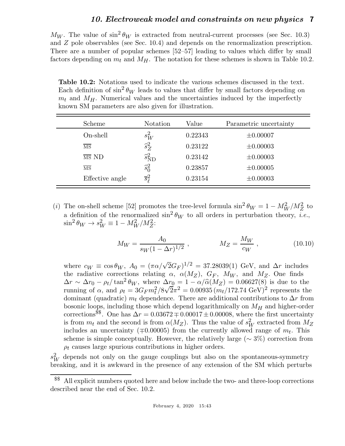$M_W$ . The value of  $\sin^2 \theta_W$  is extracted from neutral-current processes (see Sec. 10.3) and Z pole observables (see Sec. 10.4) and depends on the renormalization prescription. There are a number of popular schemes [52–57] leading to values which differ by small factors depending on  $m_t$  and  $M_H$ . The notation for these schemes is shown in Table 10.2.

Table 10.2: Notations used to indicate the various schemes discussed in the text. Each definition of  $\sin^2 \theta_W$  leads to values that differ by small factors depending on  $m_t$  and  $M_H$ . Numerical values and the uncertainties induced by the imperfectly known SM parameters are also given for illustration.

| Scheme                 | Notation                    | Value   | Parametric uncertainty |
|------------------------|-----------------------------|---------|------------------------|
| On-shell               | $s_W^2$                     | 0.22343 | $\pm 0.00007$          |
| MS                     | $\widehat{s}_Z^2$           | 0.23122 | $\pm 0.00003$          |
| $\overline{MS}$ ND     | $\widehat{s}^2_{\text{ND}}$ | 0.23142 | $\pm 0.00003$          |
| $\overline{\text{MS}}$ | $\widehat{s}_{0}^{2}$       | 0.23857 | $\pm 0.00005$          |
| Effective angle        | $\overline{s}_{\ell}^2$     | 0.23154 | $\pm 0.00003$          |

(i) The on-shell scheme [52] promotes the tree-level formula  $\sin^2 \theta_W = 1 - M_W^2 / M_Z^2$  to a definition of the renormalized  $\sin^2 \theta_W$  to all orders in perturbation theory, *i.e.*,  $\sin^2 \theta_W \to s_W^2 \equiv 1 - M_W^2 / M_Z^2$ :

$$
M_W = \frac{A_0}{s_W (1 - \Delta r)^{1/2}}, \qquad M_Z = \frac{M_W}{c_W}, \qquad (10.10)
$$

where  $c_W \equiv \cos \theta_W$ ,  $A_0 = (\pi \alpha / \sqrt{2} G_F)^{1/2} = 37.28039(1)$  GeV, and  $\Delta r$  includes the radiative corrections relating  $\alpha$ ,  $\alpha(M_Z)$ ,  $G_F$ ,  $M_W$ , and  $M_Z$ . One finds  $\Delta r \sim \Delta r_0 - \rho_t / \tan^2 \theta_W$ , where  $\Delta r_0 = 1 - \alpha / \hat{\alpha}(M_Z) = 0.06627(8)$  is due to the running of  $\alpha$ , and  $\rho_t = 3G_F m_t^2/8\sqrt{2\pi^2} = 0.00935 (m_t/172.74 \text{ GeV})^2$  represents the dominant (quadratic)  $m_t$  dependence. There are additional contributions to  $\Delta r$  from bosonic loops, including those which depend logarithmically on  $M_H$  and higher-order corrections<sup>\$\$</sup>. One has  $\Delta r = 0.03672 \pm 0.00017 \pm 0.00008$ , where the first uncertainty is from  $m_t$  and the second is from  $\alpha(M_Z)$ . Thus the value of  $s_W^2$  extracted from  $M_Z$ includes an uncertainty ( $\mp$ 0.00005) from the currently allowed range of  $m_t$ . This scheme is simple conceptually. However, the relatively large ( $\sim 3\%$ ) correction from  $\rho_t$  causes large spurious contributions in higher orders.

 $s_W^2$  depends not only on the gauge couplings but also on the spontaneous-symmetry breaking, and it is awkward in the presence of any extension of the SM which perturbs

<sup>\$\$</sup> All explicit numbers quoted here and below include the two- and three-loop corrections described near the end of Sec. 10.2.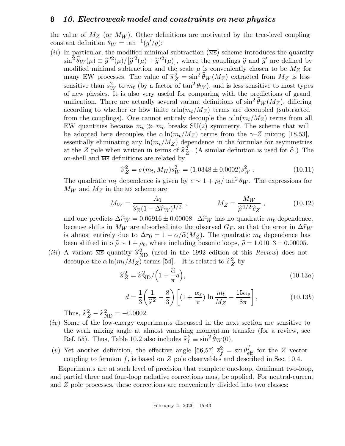the value of  $M_Z$  (or  $M_W$ ). Other definitions are motivated by the tree-level coupling constant definition  $\theta_W = \tan^{-1}(g'/g)$ :

(ii) In particular, the modified minimal subtraction  $(\overline{\text{MS}})$  scheme introduces the quantity  $\sin^2 \widehat{\theta}_W(\mu) \equiv \widehat{g}^{\prime 2}(\mu) / [\widehat{g}^2(\mu) + \widehat{g}^{\prime 2}(\mu)]$ , where the couplings  $\widehat{g}$  and  $\widehat{g}^{\prime}$  are defined by modified minimal subtraction and the scale  $\mu$  is conveniently chosen to be  $M_Z$  for many EW processes. The value of  $\hat{s}_Z^2 = \sin^2 \hat{\theta}_W (M_Z)$  extracted from  $M_Z$  is less sensitive than  $s_W^2$  to  $m_t$  (by a factor of  $\tan^2 \theta_W$ ), and is less sensitive to most types of new physics. It is also very useful for comparing with the predictions of grand unification. There are actually several variant definitions of  $\sin^2 \widehat{\theta}_W(M_Z)$ , differing according to whether or how finite  $\alpha \ln(m_t/M_Z)$  terms are decoupled (subtracted from the couplings). One cannot entirely decouple the  $\alpha \ln(m_t/M_Z)$  terms from all EW quantities because  $m_t \gg m_b$  breaks SU(2) symmetry. The scheme that will be adopted here decouples the  $\alpha \ln(m_t/M_Z)$  terms from the  $\gamma$ -Z mixing [18,53], essentially eliminating any  $ln(m_t/M_Z)$  dependence in the formulae for asymmetries at the Z pole when written in terms of  $\hat{s}^2$  $Z<sub>Z</sub>$ . (A similar definition is used for  $\hat{\alpha}$ .) The on-shell and  $\overline{MS}$  definitions are related by

$$
\hat{s}_Z^2 = c(m_t, M_H) s_W^2 = (1.0348 \pm 0.0002) s_W^2 \,. \tag{10.11}
$$

The quadratic  $m_t$  dependence is given by  $c \sim 1 + \rho_t / \tan^2 \theta_W$ . The expressions for  $M_W$  and  $M_Z$  in the  $\overline{\text{MS}}$  scheme are

$$
M_W = \frac{A_0}{\hat{s}_Z (1 - \Delta \hat{r}_W)^{1/2}}, \qquad M_Z = \frac{M_W}{\hat{\rho}^{1/2} \hat{c}_Z}, \qquad (10.12)
$$

and one predicts  $\Delta \hat{r}_W = 0.06916 \pm 0.00008$ .  $\Delta \hat{r}_W$  has no quadratic  $m_t$  dependence, because shifts in  $M_W$  are absorbed into the observed  $G_F$ , so that the error in  $\Delta \hat{r}_W$ is almost entirely due to  $\Delta r_0 = 1 - \alpha/\hat{\alpha}(M_Z)$ . The quadratic  $m_t$  dependence has been shifted into  $\hat{\rho} \sim 1 + \rho_t$ , where including bosonic loops,  $\hat{\rho} = 1.01013 \pm 0.00005$ .

(*iii*) A variant  $\overline{\text{MS}}$  quantity  $\hat{s}_{ND}^2$  (used in the 1992 edition of this *Review*) does not decouple the  $\alpha \ln(m_t/M_Z)$  terms [54]. It is related to  $\hat{s}_Z^2$  $Z$  by

$$
\hat{s}_Z^2 = \hat{s}_{\text{ND}}^2 / \left(1 + \frac{\hat{\alpha}}{\pi}d\right),\tag{10.13a}
$$

$$
d = \frac{1}{3} \left( \frac{1}{\hat{s}^2} - \frac{8}{3} \right) \left[ \left( 1 + \frac{\alpha_s}{\pi} \right) \ln \frac{m_t}{M_Z} - \frac{15 \alpha_s}{8\pi} \right],\tag{10.13b}
$$

Thus,  $\hat{s}_Z^2 - \hat{s}_{ND}^2 = -0.0002$ .

- (iv) Some of the low-energy experiments discussed in the next section are sensitive to the weak mixing angle at almost vanishing momentum transfer (for a review, see Ref. 55). Thus, Table 10.2 also includes  $\hat{s}_0^2 \equiv \sin^2 \hat{\theta}_W(0)$ .
- (v) Yet another definition, the effective angle [56,57]  $\bar{s}_f^2 = \sin \theta_{\text{eff}}^f$  for the Z vector coupling to fermion  $f$ , is based on  $Z$  pole observables and described in Sec. 10.4.

Experiments are at such level of precision that complete one-loop, dominant two-loop, and partial three and four-loop radiative corrections must be applied. For neutral-current and Z pole processes, these corrections are conveniently divided into two classes: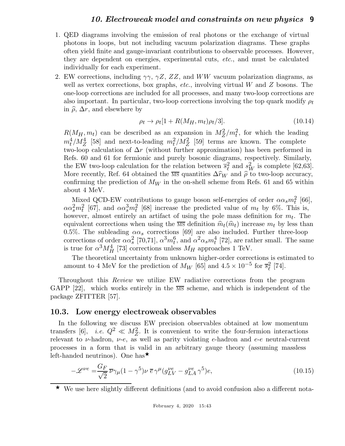- 1. QED diagrams involving the emission of real photons or the exchange of virtual photons in loops, but not including vacuum polarization diagrams. These graphs often yield finite and gauge-invariant contributions to observable processes. However, they are dependent on energies, experimental cuts, etc., and must be calculated individually for each experiment.
- 2. EW corrections, including  $\gamma\gamma$ ,  $\gamma Z$ ,  $ZZ$ , and WW vacuum polarization diagrams, as well as vertex corrections, box graphs, *etc.*, involving virtual  $W$  and  $Z$  bosons. The one-loop corrections are included for all processes, and many two-loop corrections are also important. In particular, two-loop corrections involving the top quark modify  $\rho_t$ in  $\hat{\rho}$ ,  $\Delta r$ , and elsewhere by

$$
\rho_t \to \rho_t [1 + R(M_H, m_t) \rho_t / 3]. \tag{10.14}
$$

 $R(M_H, m_t)$  can be described as an expansion in  $M_Z^2/m_t^2$ , for which the leading  $m_t^4/M_Z^4$  [58] and next-to-leading  $m_t^2/M_Z^2$  [59] terms are known. The complete two-loop calculation of  $\Delta r$  (without further approximation) has been performed in Refs. 60 and 61 for fermionic and purely bosonic diagrams, respectively. Similarly, the EW two-loop calculation for the relation between  $\bar{s}_{\ell}^2$  $\ell^2$  and  $s_W^2$  is complete [62,63]. More recently, Ref. 64 obtained the  $\overline{\text{MS}}$  quantities  $\Delta \hat{r}_W$  and  $\hat{\rho}$  to two-loop accuracy, confirming the prediction of  $M_W$  in the on-shell scheme from Refs. 61 and 65 within about 4 MeV.

Mixed QCD-EW contributions to gauge boson self-energies of order  $\alpha \alpha_s m_t^2$  [66],  $\alpha \alpha_s^2 m_t^2$  [67], and  $\alpha \alpha_s^3 m_t^2$  [68] increase the predicted value of  $m_t$  by 6%. This is, however, almost entirely an artifact of using the pole mass definition for  $m_t$ . The equivalent corrections when using the  $\overline{MS}$  definition  $\hat{m}_t(\hat{m}_t)$  increase  $m_t$  by less than 0.5%. The subleading  $\alpha \alpha_s$  corrections [69] are also included. Further three-loop corrections of order  $\alpha \alpha_s^2$  [70,71],  $\alpha^3 m_t^6$ , and  $\alpha^2 \alpha_s m_t^4$  [72], are rather small. The same is true for  $\alpha^3 M_H^4$  [73] corrections unless  $M_H$  approaches 1 TeV.

The theoretical uncertainty from unknown higher-order corrections is estimated to amount to 4 MeV for the prediction of  $M_W$  [65] and  $4.5 \times 10^{-5}$  for  $\overline{s}_{\ell}^2$  $\frac{2}{\ell}$  [74].

Throughout this Review we utilize EW radiative corrections from the program GAPP [22], which works entirely in the  $\overline{MS}$  scheme, and which is independent of the package ZFITTER [57].

### 10.3. Low energy electroweak observables

In the following we discuss EW precision observables obtained at low momentum transfers [6], *i.e.*  $Q^2 \ll M_Z^2$ . It is convenient to write the four-fermion interactions relevant to  $\nu$ -hadron,  $\nu$ -e, as well as parity violating e-hadron and e-e neutral-current processes in a form that is valid in an arbitrary gauge theory (assuming massless left-handed neutrinos). One has

$$
-\mathcal{L}^{\nu e} = \frac{G_F}{\sqrt{2}} \overline{\nu}\gamma_\mu (1 - \gamma^5) \nu \, \overline{e} \, \gamma^\mu (g_{LV}^{\nu e} - g_{LA}^{\nu e} \gamma^5) e,\tag{10.15}
$$

 $\star$  We use here slightly different definitions (and to avoid confusion also a different nota-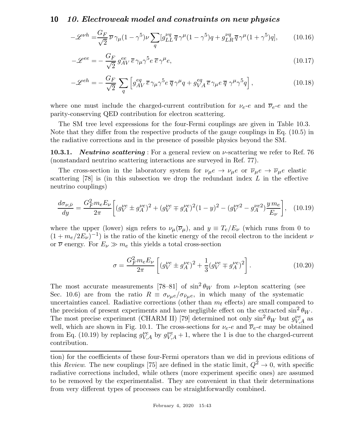$$
-\mathcal{L}^{\nu h} = \frac{G_F}{\sqrt{2}} \overline{\nu} \gamma_\mu (1 - \gamma^5) \nu \sum_q [g_{LL}^{\nu q} \overline{q} \gamma^\mu (1 - \gamma^5) q + g_{LR}^{\nu q} \overline{q} \gamma^\mu (1 + \gamma^5) q], \qquad (10.16)
$$

$$
-\mathcal{L}^{ee} = -\frac{G_F}{\sqrt{2}} g_{AV}^{ee} \,\overline{e} \,\gamma_\mu \gamma^5 e \,\overline{e} \,\gamma^\mu e,\tag{10.17}
$$

$$
-\mathcal{L}^{eh} = -\frac{G_F}{\sqrt{2}} \sum_{q} \left[ g_{AV}^{eq} \overline{e} \gamma_{\mu} \gamma^5 e \, \overline{q} \gamma^{\mu} q + g_{VA}^{eq} \overline{e} \gamma_{\mu} e \, \overline{q} \, \gamma^{\mu} \gamma^5 q \right], \tag{10.18}
$$

where one must include the charged-current contribution for  $\nu_e$ -e and  $\overline{\nu}_e$ -e and the parity-conserving QED contribution for electron scattering.

The SM tree level expressions for the four-Fermi couplings are given in Table 10.3. Note that they differ from the respective products of the gauge couplings in Eq. (10.5) in the radiative corrections and in the presence of possible physics beyond the SM.

**10.3.1.** Neutrino scattering: For a general review on  $\nu$ -scattering we refer to Ref. 76 (nonstandard neutrino scattering interactions are surveyed in Ref. 77).

The cross-section in the laboratory system for  $\nu_{\mu}e \to \nu_{\mu}e$  or  $\overline{\nu}_{\mu}e \to \overline{\nu}_{\mu}e$  elastic scattering  $[78]$  is (in this subsection we drop the redundant index L in the effective neutrino couplings)

$$
\frac{d\sigma_{\nu,\bar{\nu}}}{dy} = \frac{G_F^2 m_e E_\nu}{2\pi} \left[ (g_V^{\nu e} \pm g_A^{\nu e})^2 + (g_V^{\nu e} \mp g_A^{\nu e})^2 (1-y)^2 - (g_V^{\nu e2} - g_A^{\nu e2}) \frac{y m_e}{E_\nu} \right], \quad (10.19)
$$

where the upper (lower) sign refers to  $\nu_\mu(\overline{\nu}_\mu)$ , and  $y \equiv T_e/E_\nu$  (which runs from 0 to  $(1 + m_e/2E_\nu)^{-1}$ ) is the ratio of the kinetic energy of the recoil electron to the incident  $\nu$ or  $\overline{\nu}$  energy. For  $E_{\nu} \gg m_e$  this yields a total cross-section

$$
\sigma = \frac{G_F^2 m_e E_\nu}{2\pi} \left[ (g_V^{\nu e} \pm g_A^{\nu e})^2 + \frac{1}{3} (g_V^{\nu e} \mp g_A^{\nu e})^2 \right]. \tag{10.20}
$$

The most accurate measurements [78–81] of  $\sin^2 \theta_W$  from *v*-lepton scattering (see Sec. 10.6) are from the ratio  $R \equiv \sigma_{\nu_\mu e}/\sigma_{\bar{\nu}_\mu e}$ , in which many of the systematic uncertainties cancel. Radiative corrections (other than  $m_t$  effects) are small compared to the precision of present experiments and have negligible effect on the extracted  $\sin^2 \theta_W$ . The most precise experiment (CHARM II) [79] determined not only  $\sin^2 \theta_W$  but  $g_{V,A}^{\nu e}$  as well, which are shown in Fig. 10.1. The cross-sections for  $\nu_e$ -e and  $\overline{\nu}_e$ -e may be obtained from Eq. (10.19) by replacing  $g_{V,A}^{\nu e}$  by  $g_{V,A}^{\nu e} + 1$ , where the 1 is due to the charged-current contribution.

tion) for the coefficients of these four-Fermi operators than we did in previous editions of this Review. The new couplings [75] are defined in the static limit,  $Q^2 \to 0$ , with specific radiative corrections included, while others (more experiment specific ones) are assumed to be removed by the experimentalist. They are convenient in that their determinations from very different types of processes can be straightforwardly combined.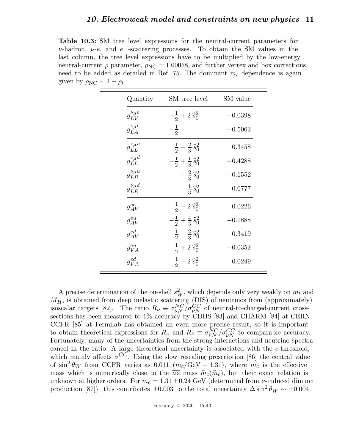Table 10.3: SM tree level expressions for the neutral-current parameters for  $\nu$ -hadron,  $\nu$ -e, and  $e^-$ -scattering processes. To obtain the SM values in the last column, the tree level expressions have to be multiplied by the low-energy neutral-current  $\rho$  parameter,  $\rho_{\text{NC}} = 1.00058$ , and further vertex and box corrections need to be added as detailed in Ref. 75. The dominant  $m_t$  dependence is again given by  $\rho_{\text{NC}} \sim 1 + \rho_t$ .

| Quantity                 | SM tree level                           | SM value  |
|--------------------------|-----------------------------------------|-----------|
| $g_{LV}^{\nu_\mu e}$     | $-\frac{1}{2}+2\,\hat{s}_0^2$           | $-0.0398$ |
| $g_{LA}^{\nu_{\mu}e}$    | $-\frac{1}{2}$                          | $-0.5063$ |
| $g_{LL}^{\nu_\mu u}$     | $rac{1}{2} - \frac{2}{3} \hat{s}_0^2$   | 0.3458    |
| $g_{LL}^{\nu_{\mu}d}$    | $-\frac{1}{2}+\frac{1}{3}\,\hat{s}_0^2$ | $-0.4288$ |
| $g_{LR}^{\nu_{\mu}u}$    | $-\frac{2}{3}\hat{s}_0^2$               | $-0.1552$ |
| $\nu_{\mu}d$<br>$g_{LR}$ | $rac{1}{3} \hat{s}_0^2$                 | 0.0777    |
| $g_{AV}^{ee}$            | $\frac{1}{2} - 2 \hat{s}_0^2$           | 0.0226    |
| $g_{AV}^{eu}$            | $-\frac{1}{2}+\frac{4}{3}\hat{s}_0^2$   | $-0.1888$ |
| $g_{AV}^{ed}$            | $rac{1}{2} - \frac{2}{3} \hat{s}_0^2$   | 0.3419    |
| $g_{VA}^{eu}$            | $-\frac{1}{2}+2\,\hat{s}_0^2$           | $-0.0352$ |
| $g_{VA}^{ed}$            | $rac{1}{2}$ – 2 $\hat{s}_0^2$           | 0.0249    |

A precise determination of the on-shell  $s_W^2$ , which depends only very weakly on  $m_t$  and  $M_H$ , is obtained from deep inelastic scattering (DIS) of neutrinos from (approximately) isoscalar targets [82]. The ratio  $R_{\nu} \equiv \sigma_{\nu N}^{NC}/\sigma_{\nu N}^{CC}$  of neutral-to-charged-current crosssections has been measured to 1% accuracy by CDHS [83] and CHARM [84] at CERN. CCFR [85] at Fermilab has obtained an even more precise result, so it is important to obtain theoretical expressions for  $R_{\nu}$  and  $R_{\bar{\nu}} \equiv \sigma_{\bar{\nu}N}^{NC}$  $\frac{NC}{\bar{\nu}N}/\sigma_{\bar{\nu}N}^{CC}$  to comparable accuracy. Fortunately, many of the uncertainties from the strong interactions and neutrino spectra cancel in the ratio. A large theoretical uncertainty is associated with the c-threshold, which mainly affects  $\sigma^{CC}$ . Using the slow rescaling prescription [86] the central value of  $\sin^2 \theta_W$  from CCFR varies as  $0.0111(m_c/\text{GeV} - 1.31)$ , where  $m_c$  is the effective mass which is numerically close to the  $\overline{\text{MS}}$  mass  $\hat{m}_c(\hat{m}_c)$ , but their exact relation is unknown at higher orders. For  $m_c = 1.31 \pm 0.24$  GeV (determined from  $\nu$ -induced dimuon production [87]) this contributes  $\pm 0.003$  to the total uncertainty  $\Delta \sin^2 \theta_W \sim \pm 0.004$ .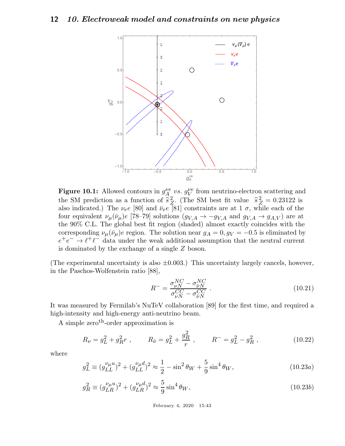

**Figure 10.1:** Allowed contours in  $g_A^{\nu e}$  $\mu_{A_\alpha}^{\nu}$  vs.  $g_V^{\nu e}$  from neutrino-electron scattering and the SM prediction as a function of  $\hat{s}^2$ <sup>2</sup>/<sub>2</sub>. (The SM best fit value  $\hat{s}_Z^2 = 0.23122$  is also indicated.) The  $\nu_e e$  [80] and  $\bar{\nu}_e e$  [81] constraints are at 1  $\sigma$ , while each of the four equivalent  $\nu_\mu(\bar{\nu}_\mu)e$  [78–79] solutions  $(g_{V,A} \to -g_{V,A}$  and  $g_{V,A} \to g_{A,V}$  are at the 90% C.L. The global best fit region (shaded) almost exactly coincides with the corresponding  $\nu_{\mu}(\bar{\nu}_{\mu})e$  region. The solution near  $g_A = 0, g_V = -0.5$  is eliminated by  $e^+e^- \rightarrow \ell^+\ell^-$  data under the weak additional assumption that the neutral current is dominated by the exchange of a single Z boson.

(The experimental uncertainty is also  $\pm 0.003$ .) This uncertainty largely cancels, however, in the Paschos-Wolfenstein ratio [88],

$$
R^{-} = \frac{\sigma_{\nu N}^{NC} - \sigma_{\bar{\nu} N}^{NC}}{\sigma_{\nu N}^{CC} - \sigma_{\bar{\nu} N}^{CC}}.
$$
\n(10.21)

It was measured by Fermilab's NuTeV collaboration [89] for the first time, and required a high-intensity and high-energy anti-neutrino beam.

A simple zero<sup>th</sup>-order approximation is

$$
R_{\nu} = g_L^2 + g_R^2 r \;, \qquad R_{\bar{\nu}} = g_L^2 + \frac{g_R^2}{r} \;, \qquad R^- = g_L^2 - g_R^2 \;, \tag{10.22}
$$

where

$$
g_L^2 \equiv (g_{LL}^{\nu_\mu u})^2 + (g_{LL}^{\nu_\mu d})^2 \approx \frac{1}{2} - \sin^2 \theta_W + \frac{5}{9} \sin^4 \theta_W,\tag{10.23a}
$$

$$
g_R^2 \equiv (g_{LR}^{\nu_\mu u})^2 + (g_{LR}^{\nu_\mu d})^2 \approx \frac{5}{9} \sin^4 \theta_W, \qquad (10.23b)
$$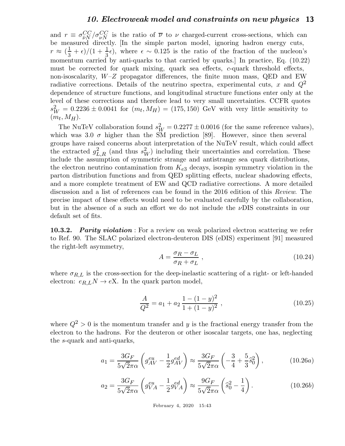and  $r \equiv \sigma_{\bar{\nu}N}^{CC}$  $\frac{CC}{\bar{\nu}N}/\sigma_{\nu N}^{CC}$  is the ratio of  $\bar{\nu}$  to  $\nu$  charged-current cross-sections, which can be measured directly. [In the simple parton model, ignoring hadron energy cuts,  $r \approx (\frac{1}{3})$  $\frac{1}{3} + \epsilon$ /(1 +  $\frac{1}{3}$  $\epsilon$ ), where  $\epsilon \sim 0.125$  is the ratio of the fraction of the nucleon's momentum carried by anti-quarks to that carried by quarks.] In practice, Eq. (10.22) must be corrected for quark mixing, quark sea effects, c-quark threshold effects, non-isoscalarity,  $W-Z$  propagator differences, the finite muon mass, QED and EW radiative corrections. Details of the neutrino spectra, experimental cuts, x and  $Q^2$ dependence of structure functions, and longitudinal structure functions enter only at the level of these corrections and therefore lead to very small uncertainties. CCFR quotes  $s_W^2 = 0.2236 \pm 0.0041$  for  $(m_t, M_H) = (175, 150)$  GeV with very little sensitivity to  $(m_t, M_H)$ .

The NuTeV collaboration found  $s_W^2 = 0.2277 \pm 0.0016$  (for the same reference values), which was 3.0  $\sigma$  higher than the SM prediction [89]. However, since then several groups have raised concerns about interpretation of the NuTeV result, which could affect the extracted  $g_{L,R}^2$  (and thus  $s_W^2$ ) including their uncertainties and correlation. These include the assumption of symmetric strange and antistrange sea quark distributions, the electron neutrino contamination from  $K_{e3}$  decays, isospin symmetry violation in the parton distribution functions and from QED splitting effects, nuclear shadowing effects, and a more complete treatment of EW and QCD radiative corrections. A more detailed discussion and a list of references can be found in the 2016 edition of this Review. The precise impact of these effects would need to be evaluated carefully by the collaboration, but in the absence of a such an effort we do not include the νDIS constraints in our default set of fits.

**10.3.2.** Parity violation : For a review on weak polarized electron scattering we refer to Ref. 90. The SLAC polarized electron-deuteron DIS (eDIS) experiment [91] measured the right-left asymmetry,

$$
A = \frac{\sigma_R - \sigma_L}{\sigma_R + \sigma_L} \,,\tag{10.24}
$$

where  $\sigma_{R,L}$  is the cross-section for the deep-inelastic scattering of a right- or left-handed electron:  $e_{R,L}N \rightarrow eX$ . In the quark parton model,

$$
\frac{A}{Q^2} = a_1 + a_2 \frac{1 - (1 - y)^2}{1 + (1 - y)^2},
$$
\n(10.25)

where  $Q^2 > 0$  is the momentum transfer and y is the fractional energy transfer from the electron to the hadrons. For the deuteron or other isoscalar targets, one has, neglecting the s-quark and anti-quarks,

$$
a_1 = \frac{3G_F}{5\sqrt{2}\pi\alpha} \left( g_{AV}^{eu} - \frac{1}{2} g_{AV}^{ed} \right) \approx \frac{3G_F}{5\sqrt{2}\pi\alpha} \left( -\frac{3}{4} + \frac{5}{3} \hat{s}_0^2 \right), \tag{10.26a}
$$

$$
a_2 = \frac{3G_F}{5\sqrt{2}\pi\alpha} \left( g_{VA}^{eu} - \frac{1}{2} g_{VA}^{ed} \right) \approx \frac{9G_F}{5\sqrt{2}\pi\alpha} \left( \hat{s}_0^2 - \frac{1}{4} \right). \tag{10.26b}
$$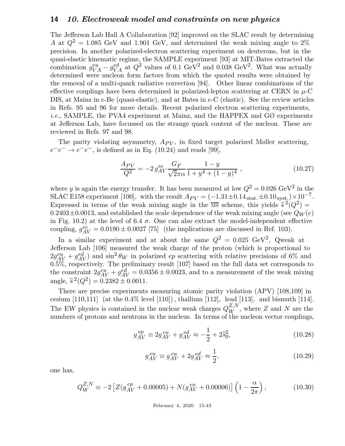The Jefferson Lab Hall A Collaboration [92] improved on the SLAC result by determining A at  $Q^2 = 1.085$  GeV and 1.901 GeV, and determined the weak mixing angle to 2% precision. In another polarized-electron scattering experiment on deuterons, but in the quasi-elastic kinematic regime, the SAMPLE experiment [93] at MIT-Bates extracted the combination  $g_{VA}^{eu} - g_{VA}^{ed}$  at  $Q^2$  values of 0.1 GeV<sup>2</sup> and 0.038 GeV<sup>2</sup>. What was actually determined were nucleon form factors from which the quoted results were obtained by the removal of a multi-quark radiative correction [94]. Other linear combinations of the effective couplings have been determined in polarized-lepton scattering at CERN in  $\mu$ -C DIS, at Mainz in e-Be (quasi-elastic), and at Bates in e-C (elastic). See the review articles in Refs. 95 and 96 for more details. Recent polarized electron scattering experiments, *i.e.*, SAMPLE, the PVA4 experiment at Mainz, and the HAPPEX and  $G\varnothing$  experiments at Jefferson Lab, have focussed on the strange quark content of the nucleon. These are reviewed in Refs. 97 and 98.

The parity violating asymmetry,  $A_{PV}$ , in fixed target polarized Møller scattering,  $e^-e^- \rightarrow e^-e^-$ , is defined as in Eq. (10.24) and reads [99],

$$
\frac{A_{PV}}{Q^2} = -2 g_{AV}^{ee} \frac{G_F}{\sqrt{2}\pi\alpha} \frac{1-y}{1+y^4+(1-y)^4} ,\qquad (10.27)
$$

where y is again the energy transfer. It has been measured at low  $Q^2 = 0.026 \text{ GeV}^2$  in the SLAC E158 experiment [100], with the result  $A_{PV} = (-1.31 \pm 0.14_{\text{stat.}} \pm 0.10_{\text{syst.}}) \times 10^{-7}$ . Expressed in terms of the weak mixing angle in the  $\overline{MS}$  scheme, this yields  $\hat{s}^2(Q^2) =$ 0.2403 $\pm$ 0.0013, and established the scale dependence of the weak mixing angle (see  $Q_W(e)$ ) in Fig. 10.2) at the level of 6.4  $\sigma$ . One can also extract the model-independent effective coupling,  $g_{AV}^{ee} = 0.0190 \pm 0.0027$  [75] (the implications are discussed in Ref. 103).

In a similar experiment and at about the same  $Q^2 = 0.025 \text{ GeV}^2$ , Qweak at Jefferson Lab [106] measured the weak charge of the proton (which is proportional to  $2g_{AV}^{eu} + g_{AV}^{ed}$ ) and  $\sin^2 \theta_W$  in polarized ep scattering with relative precisions of 6% and  $0.5\%$ , respectively. The preliminary result [107] based on the full data set corresponds to the constraint  $2g_{AV}^{eu} + g_{AV}^{ed} = 0.0356 \pm 0.0023$ , and to a measurement of the weak mixing angle,  $\hat{s}^2(Q^2) = 0.2382 \pm 0.0011$ .

There are precise experiments measuring atomic parity violation (APV) [108,109] in cesium  $[110,111]$  (at the 0.4% level  $[110]$ ), thallium  $[112]$ , lead  $[113]$ , and bismuth  $[114]$ . The EW physics is contained in the nuclear weak charges  $Q_{W}^{Z,N}$ , where Z and N are the numbers of protons and neutrons in the nucleus. In terms of the nucleon vector couplings,

$$
g_{AV}^{ep} \equiv 2g_{AV}^{eu} + g_{AV}^{ed} \approx -\frac{1}{2} + 2\hat{s}_0^2,\tag{10.28}
$$

$$
g_{AV}^{en} \equiv g_{AV}^{eu} + 2g_{AV}^{ed} \approx \frac{1}{2},
$$
\n(10.29)

one has,

$$
Q_W^{Z,N} \equiv -2\left[Z(g_{AV}^{ep} + 0.00005) + N(g_{AV}^{en} + 0.00006)\right]\left(1 - \frac{\alpha}{2\pi}\right),\tag{10.30}
$$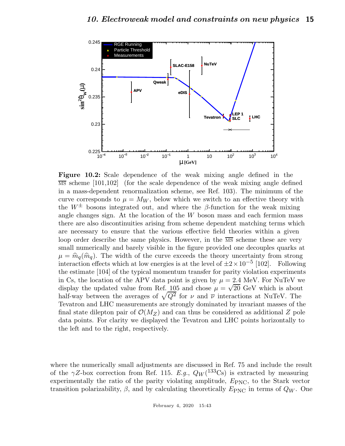

Figure 10.2: Scale dependence of the weak mixing angle defined in the  $\overline{\text{MS}}$  scheme [101,102] (for the scale dependence of the weak mixing angle defined in a mass-dependent renormalization scheme, see Ref. 103). The minimum of the curve corresponds to  $\mu = M_W$ , below which we switch to an effective theory with the  $W^{\pm}$  bosons integrated out, and where the β-function for the weak mixing angle changes sign. At the location of the  $W$  boson mass and each fermion mass there are also discontinuities arising from scheme dependent matching terms which are necessary to ensure that the various effective field theories within a given loop order describe the same physics. However, in the  $\overline{MS}$  scheme these are very small numerically and barely visible in the figure provided one decouples quarks at  $\mu = \hat{m}_q(\hat{m}_q)$ . The width of the curve exceeds the theory uncertainty from strong interaction effects which at low energies is at the level of  $\pm 2 \times 10^{-5}$  [102]. Following the estimate [104] of the typical momentum transfer for parity violation experiments in Cs, the location of the APV data point is given by  $\mu = 2.4$  MeV. For NuTeV we display the updated value from Ref. 105 and chose  $\mu = \sqrt{20}$  GeV which is about half-way between the averages of  $\sqrt{Q^2}$  for  $\nu$  and  $\overline{\nu}$  interactions at NuTeV. The Tevatron and LHC measurements are strongly dominated by invariant masses of the final state dilepton pair of  $\mathcal{O}(M_Z)$  and can thus be considered as additional Z pole data points. For clarity we displayed the Tevatron and LHC points horizontally to the left and to the right, respectively.

where the numerically small adjustments are discussed in Ref. 75 and include the result of the  $\gamma Z$ -box correction from Ref. 115. E.g.,  $Q_W(^{133}\text{Cs})$  is extracted by measuring experimentally the ratio of the parity violating amplitude,  $E_{PNC}$ , to the Stark vector transition polarizability,  $\beta$ , and by calculating theoretically  $E_{\rm PNC}$  in terms of  $Q_W$ . One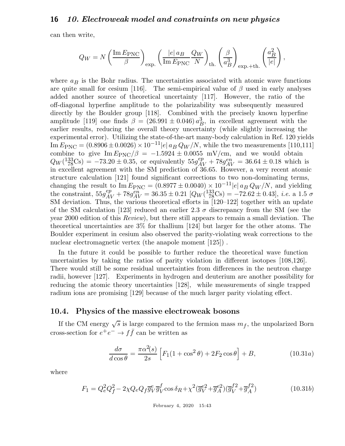can then write,

$$
Q_W=N\left(\frac{\mathrm{Im}\,E_{\mathrm{PNC}}}{\beta}\right)_{\mathrm{exp.}}\left(\frac{|e|\,a_B}{\mathrm{Im}\,E_{\mathrm{PNC}}}\frac{Q_W}{N}\right)_{\mathrm{th.}}\left(\frac{\beta}{a_B^3}\right)_{\mathrm{exp.}+\mathrm{th.}}\left(\frac{a_B^2}{|e|}\right),
$$

where  $a_B$  is the Bohr radius. The uncertainties associated with atomic wave functions are quite small for cesium [116]. The semi-empirical value of  $\beta$  used in early analyses added another source of theoretical uncertainty [117]. However, the ratio of the off-diagonal hyperfine amplitude to the polarizability was subsequently measured directly by the Boulder group [118]. Combined with the precisely known hyperfine amplitude [119] one finds  $\beta = (26.991 \pm 0.046) a_{P}^{3}$  $B^3$ , in excellent agreement with the earlier results, reducing the overall theory uncertainty (while slightly increasing the experimental error). Utilizing the state-of-the-art many-body calculation in Ref. 120 yields Im  $E_{\rm PNC} = (0.8906 \pm 0.0026) \times 10^{-11} |e| a_B Q_W/N$ , while the two measurements [110,111] combine to give Im  $E_{PNC}/\beta = -1.5924 \pm 0.0055$  mV/cm, and we would obtain  $Q_W(\frac{133}{78}\text{Cs}) = -73.20 \pm 0.35$ , or equivalently  $55g_{AV}^{ep} + 78g_{AV}^{en} = 36.64 \pm 0.18$  which is in excellent agreement with the SM prediction of 36.65. However, a very recent atomic structure calculation [121] found significant corrections to two non-dominating terms, changing the result to  $\text{Im} E_{PNC} = (0.8977 \pm 0.0040) \times 10^{-11} |e| a_B Q_W/N$ , and yielding the constraint,  $55g_{AV}^{ep} + 78g_{AV}^{en} = 36.35 \pm 0.21 \left[Q_W(\frac{133}{78}\text{Cs}) = -72.62 \pm 0.43\right], i.e. \text{ a } 1.5 \text{ }\sigma$ SM deviation. Thus, the various theoretical efforts in [120–122] together with an update of the SM calculation [123] reduced an earlier 2.3  $\sigma$  discrepancy from the SM (see the year 2000 edition of this Review), but there still appears to remain a small deviation. The theoretical uncertainties are 3% for thallium [124] but larger for the other atoms. The Boulder experiment in cesium also observed the parity-violating weak corrections to the nuclear electromagnetic vertex (the anapole moment [125]).

In the future it could be possible to further reduce the theoretical wave function uncertainties by taking the ratios of parity violation in different isotopes [108,126]. There would still be some residual uncertainties from differences in the neutron charge radii, however [127]. Experiments in hydrogen and deuterium are another possibility for reducing the atomic theory uncertainties [128], while measurements of single trapped radium ions are promising [129] because of the much larger parity violating effect.

#### 10.4. Physics of the massive electroweak bosons

If the CM energy  $\sqrt{s}$  is large compared to the fermion mass  $m_f$ , the unpolarized Born cross-section for  $e^+e^- \to f\bar{f}$  can be written as

$$
\frac{d\sigma}{d\cos\theta} = \frac{\pi\alpha^2(s)}{2s} \left[ F_1(1+\cos^2\theta) + 2F_2\cos\theta \right] + B,\tag{10.31a}
$$

where

$$
F_1 = Q_e^2 Q_f^2 - 2\chi Q_e Q_f \overline{g}_V^e \overline{g}_V^f \cos \delta_R + \chi^2 (\overline{g}_V^{e2} + \overline{g}_A^{e2}) (\overline{g}_V^{f2} + \overline{g}_A^{f2})
$$
(10.31b)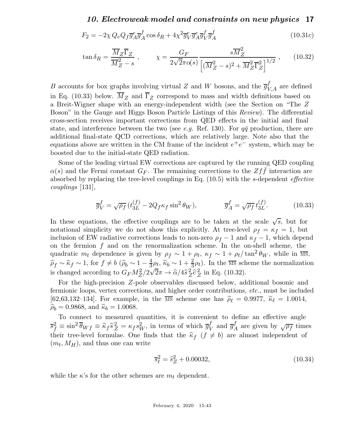$$
F_2 = -2\chi Q_e Q_f \overline{g}_A^e \overline{g}_A^f \cos \delta_R + 4\chi^2 \overline{g}_V^e \overline{g}_A^e \overline{g}_V^f \overline{g}_A^f \tag{10.31c}
$$

$$
\tan \delta_R = \frac{\overline{M}_Z \overline{\Gamma}_Z}{\overline{M}_Z^2 - s} , \qquad \chi = \frac{G_F}{2\sqrt{2}\pi\alpha(s)} \frac{s\overline{M}_Z^2}{\left[ (\overline{M}_Z^2 - s)^2 + \overline{M}_Z^2 \overline{\Gamma}_Z^2 \right]^{1/2}} , \qquad (10.32)
$$

B accounts for box graphs involving virtual Z and W bosons, and the  $\overline{g}_{V,A}^f$  are defined in Eq. (10.33) below.  $\overline{M}_Z$  and  $\overline{\Gamma}_Z$  correspond to mass and width definitions based on a Breit-Wigner shape with an energy-independent width (see the Section on "The Z Boson" in the Gauge and Higgs Boson Particle Listings of this Review). The differential cross-section receives important corrections from QED effects in the initial and final state, and interference between the two (see e.g. Ref. 130). For  $q\bar{q}$  production, there are additional final-state QCD corrections, which are relatively large. Note also that the equations above are written in the CM frame of the incident  $e^+e^-$  system, which may be boosted due to the initial-state QED radiation.

Some of the leading virtual EW corrections are captured by the running QED coupling  $\alpha(s)$  and the Fermi constant  $G_F$ . The remaining corrections to the  $Zf\bar{f}$  interaction are absorbed by replacing the tree-level couplings in Eq. (10.5) with the s-dependent *effective* couplings [131],

$$
\overline{g}_V^f = \sqrt{\rho_f} \left( t_{3L}^{(f)} - 2Q_f \kappa_f \sin^2 \theta_W \right), \qquad \overline{g}_A^f = \sqrt{\rho_f} \, t_{3L}^{(f)}.\n\tag{10.33}
$$

In these equations, the effective couplings are to be taken at the scale  $\sqrt{s}$ , but for notational simplicity we do not show this explicitly. At tree-level  $\rho_f = \kappa_f = 1$ , but inclusion of EW radiative corrections leads to non-zero  $\rho_f - 1$  and  $\kappa_f - 1$ , which depend on the fermion  $f$  and on the renormalization scheme. In the on-shell scheme, the quadratic  $m_t$  dependence is given by  $\rho_f \sim 1 + \rho_t$ ,  $\kappa_f \sim 1 + \rho_t/\tan^2 \theta_W$ , while in  $\overline{\text{MS}}$ ,  $\widehat{\rho}_f \sim \widehat{\kappa}_f \sim 1$ , for  $f \neq b$  ( $\widehat{\rho}_b \sim 1 - \frac{4}{3}$  $\frac{4}{3}\rho_t$ ,  $\hat{\kappa}_b \sim 1 + \frac{2}{3}\rho_t$ ). In the MS scheme the normalization is changed according to  $G_F M_Z^2/2\sqrt{2}\pi \rightarrow \hat{\alpha}/4\hat{s}_Z^2$  $\frac{2}{Z}\hat{c}^2$  $Z^2$  in Eq. (10.32).

For the high-precision Z-pole observables discussed below, additional bosonic and fermionic loops, vertex corrections, and higher order contributions, etc., must be included [62,63,132–134]. For example, in the  $\overline{\text{MS}}$  scheme one has  $\hat{\rho}_{\ell} = 0.9977$ ,  $\hat{\kappa}_{\ell} = 1.0014$ ,  $\hat{\rho}_b = 0.9868$ , and  $\hat{\kappa}_b = 1.0068$ .

To connect to measured quantities, it is convenient to define an effective angle  $\overline{s}_f^2 \equiv \sin^2 \overline{\theta}_{Wf} \equiv \hat{\kappa}_f \hat{s}_Z^2 = \kappa_f s_W^2$ , in terms of which  $\overline{g}_V^f$  $V$  and  $\overline{g}_{A}^{f}$  $A^f$  are given by  $\sqrt{\rho_f}$  times their tree-level formulae. One finds that the  $\hat{\kappa}_f$   $(f \neq b)$  are almost independent of  $(m_t, M_H)$ , and thus one can write

$$
\overline{s}_{\ell}^2 = \hat{s}_{Z}^2 + 0.00032, \tag{10.34}
$$

while the  $\kappa$ 's for the other schemes are  $m_t$  dependent.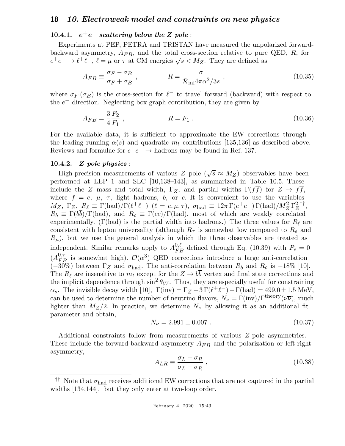# $10.4.1.$   $e^+e^-$  scattering below the Z pole :

Experiments at PEP, PETRA and TRISTAN have measured the unpolarized forwardbackward asymmetry,  $A_{FB}$ , and the total cross-section relative to pure QED, R, for  $e^+e^- \to \ell^+e^-$ ,  $\ell = \mu$  or  $\tau$  at CM energies  $\sqrt{s} < M_Z$ . They are defined as

$$
A_{FB} \equiv \frac{\sigma_F - \sigma_B}{\sigma_F + \sigma_B} \,, \qquad R = \frac{\sigma}{\mathcal{R}_{\text{ini}} 4\pi \alpha^2 / 3s} \,, \tag{10.35}
$$

where  $\sigma_F(\sigma_B)$  is the cross-section for  $\ell^-$  to travel forward (backward) with respect to the  $e^-$  direction. Neglecting box graph contribution, they are given by

$$
A_{FB} = \frac{3}{4} \frac{F_2}{F_1} \,, \qquad R = F_1 \,. \tag{10.36}
$$

For the available data, it is sufficient to approximate the EW corrections through the leading running  $\alpha(s)$  and quadratic  $m_t$  contributions [135,136] as described above. Reviews and formulae for  $e^+e^- \to$  hadrons may be found in Ref. 137.

#### 10.4.2. Z pole physics :

High-precision measurements of various Z pole  $(\sqrt{s} \approx M_Z)$  observables have been performed at LEP 1 and SLC [10,138–143], as summarized in Table 10.5. These include the Z mass and total width,  $\Gamma_Z$ , and partial widths  $\Gamma(ff)$  for  $Z \to ff$ , where  $f = e, \mu, \tau$ , light hadrons, b, or c. It is convenient to use the variables  $M_Z$ ,  $\Gamma_Z$ ,  $R_\ell \equiv \Gamma(\text{had})/\Gamma(\ell^+\ell^-)$   $(\ell = e, \mu, \tau)$ ,  $\sigma_{\text{had}} \equiv 12\pi\Gamma(e^+e^-)\Gamma(\text{had})/M_Z^2\Gamma_Z^2$ Z †† ,  $R_b \equiv \Gamma(b\overline{b})/\Gamma(\text{had})$ , and  $R_c \equiv \Gamma(c\overline{c})/\Gamma(\text{had})$ , most of which are weakly correlated experimentally. (Γ(had) is the partial width into hadrons.) The three values for  $R_\ell$  are consistent with lepton universality (although  $R_{\tau}$  is somewhat low compared to  $R_e$  and  $R_{\mu}$ , but we use the general analysis in which the three observables are treated as independent. Similar remarks apply to  $A_{FB}^{0,\ell}$  defined through Eq. (10.39) with  $P_e = 0$  $(A_{FB}^{0, \tau})$  is somewhat high).  $\mathcal{O}(\alpha^3)$  QED corrections introduce a large anti-correlation  $(-30\%)$  between  $\Gamma_Z$  and  $\sigma_{\text{had}}$ . The anti-correlation between  $R_b$  and  $R_c$  is  $-18\%$  [10]. The  $R_{\ell}$  are insensitive to  $m_t$  except for the  $Z \rightarrow bb$  vertex and final state corrections and the implicit dependence through  $\sin^2 \theta_W$ . Thus, they are especially useful for constraining  $\alpha_s$ . The invisible decay width [10],  $\Gamma(\text{inv}) = \Gamma_Z - 3\Gamma(\ell^+\ell^-) - \Gamma(\text{had}) = 499.0 \pm 1.5 \text{ MeV}$ , can be used to determine the number of neutrino flavors,  $N_{\nu} = \Gamma(i\text{nv})/\Gamma^{theory}(\nu\overline{\nu})$ , much lighter than  $M_Z/2$ . In practice, we determine  $N_\nu$  by allowing it as an additional fit parameter and obtain,

$$
N_{\nu} = 2.991 \pm 0.007 \tag{10.37}
$$

Additional constraints follow from measurements of various Z-pole asymmetries. These include the forward-backward asymmetry  $A_{FB}$  and the polarization or left-right asymmetry,

$$
A_{LR} \equiv \frac{\sigma_L - \sigma_R}{\sigma_L + \sigma_R} \,,\tag{10.38}
$$

<sup>&</sup>lt;sup>††</sup> Note that  $\sigma_{\text{had}}$  receives additional EW corrections that are not captured in the partial widths [134,144], but they only enter at two-loop order.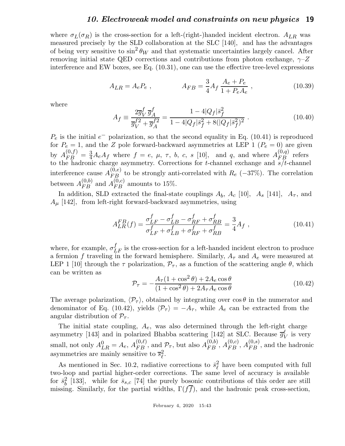where  $\sigma_L(\sigma_R)$  is the cross-section for a left-(right-)handed incident electron.  $A_{LR}$  was measured precisely by the SLD collaboration at the SLC [140], and has the advantages of being very sensitive to  $\sin^2 \theta_W$  and that systematic uncertainties largely cancel. After removing initial state QED corrections and contributions from photon exchange,  $\gamma$ -Z interference and EW boxes, see Eq. (10.31), one can use the effective tree-level expressions

$$
A_{LR} = A_e P_e , \qquad A_{FB} = \frac{3}{4} A_f \frac{A_e + P_e}{1 + P_e A_e} , \qquad (10.39)
$$

where

$$
A_f \equiv \frac{2\overline{g}_V^f \overline{g}_A^f}{\overline{g}_V^f + \overline{g}_A^{f2}} = \frac{1 - 4|Q_f|\overline{s}_f^2}{1 - 4|Q_f|\overline{s}_f^2 + 8(|Q_f|\overline{s}_f^2)^2} \,. \tag{10.40}
$$

 $P_e$  is the initial  $e^-$  polarization, so that the second equality in Eq. (10.41) is reproduced for  $P_e = 1$ , and the Z pole forward-backward asymmetries at LEP 1 ( $P_e = 0$ ) are given by  $A_{FB}^{(0,f)} = \frac{3}{4}A_eA_f$  where  $f = e, \mu, \tau, b, c, s$  [10], and q, and where  $A_{FB}^{(0,q)}$  refers to the hadronic charge asymmetry. Corrections for t-channel exchange and  $s/t$ -channel interference cause  $A_{FB}^{(0,e)}$  to be strongly anti-correlated with  $R_e$  (−37%). The correlation between  $A_{FB}^{(0,b)}$  and  $A_{FB}^{(0,c)}$  amounts to 15%.

In addition, SLD extracted the final-state couplings  $A_b$ ,  $A_c$  [10],  $A_s$  [141],  $A_{\tau}$ , and  $A_{\mu}$  [142], from left-right forward-backward asymmetries, using

$$
A_{LR}^{FB}(f) = \frac{\sigma_{LF}^f - \sigma_{LB}^f - \sigma_{RF}^f + \sigma_{RB}^f}{\sigma_{LF}^f + \sigma_{LB}^f + \sigma_{RF}^f + \sigma_{RB}^f} = \frac{3}{4} A_f ,
$$
 (10.41)

where, for example,  $\sigma_{LF}^{f}$  is the cross-section for a left-handed incident electron to produce a fermion f traveling in the forward hemisphere. Similarly,  $A_{\tau}$  and  $A_{e}$  were measured at LEP 1 [10] through the  $\tau$  polarization,  $\mathcal{P}_{\tau}$ , as a function of the scattering angle  $\theta$ , which can be written as

$$
\mathcal{P}_{\tau} = -\frac{A_{\tau}(1+\cos^2\theta) + 2A_e\cos\theta}{(1+\cos^2\theta) + 2A_{\tau}A_e\cos\theta}
$$
(10.42)

The average polarization,  $\langle \mathcal{P}_{\tau} \rangle$ , obtained by integrating over  $\cos \theta$  in the numerator and denominator of Eq. (10.42), yields  $\langle \mathcal{P}_{\tau} \rangle = -A_{\tau}$ , while  $A_e$  can be extracted from the angular distribution of  $\mathcal{P}_{\tau}$ .

The initial state coupling,  $A_e$ , was also determined through the left-right charge asymmetry [143] and in polarized Bhabba scattering [142] at SLC. Because  $\overline{g}_1^{\ell}$  $\frac{\ell}{V}$  is very small, not only  $A_{LR}^0 = A_e$ ,  $A_{FB}^{(0,\ell)}$ , and  $P_\tau$ , but also  $A_{FB}^{(0,b)}$ ,  $A_{FB}^{(0,c)}$ ,  $A_{FB}^{(0,s)}$ , and the hadronic asymmetries are mainly sensitive to  $\overline{s}_{\ell}^2$ ℓ .

As mentioned in Sec. 10.2, radiative corrections to  $\bar{s}_{\ell}^2$  $\ell$  have been computed with full two-loop and partial higher-order corrections. The same level of accuracy is available for  $\bar{s}_h^2$  $\frac{2}{b}$  [133], while for  $\bar{s}_{s,c}$  [74] the purely bosonic contributions of this order are still missing. Similarly, for the partial widths,  $\Gamma(f\bar{f})$ , and the hadronic peak cross-section,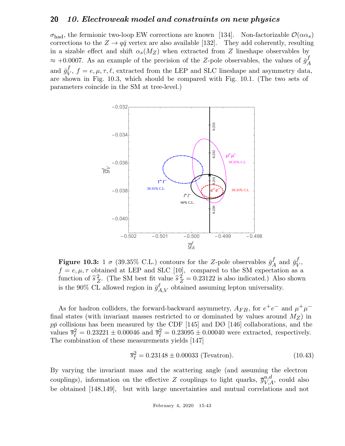$\sigma_{\text{had}}$ , the fermionic two-loop EW corrections are known [134]. Non-factorizable  $\mathcal{O}(\alpha \alpha_s)$ corrections to the  $Z \rightarrow q\bar{q}$  vertex are also available [132]. They add coherently, resulting in a sizable effect and shift  $\alpha_s(M_Z)$  when extracted from Z lineshape observables by  $\approx +0.0007$ . As an example of the precision of the Z-pole observables, the values of  $\bar{g}^f_A$ A and  $\bar{g}^f_{\rm{V}}$  $V_V$ ,  $f = e, \mu, \tau, \ell$ , extracted from the LEP and SLC lineshape and asymmetry data, are shown in Fig. 10.3, which should be compared with Fig. 10.1. (The two sets of parameters coincide in the SM at tree-level.)



**Figure 10.3:** 1  $\sigma$  (39.35% C.L.) contours for the Z-pole observables  $\bar{g}^f$  $A \text{ and } \bar{g}^f_V$  $_V^{\prime}$  $f = e, \mu, \tau$  obtained at LEP and SLC [10], compared to the SM expectation as a function of  $\hat{s}_Z^2$ <sup>2</sup>/<sub>2</sub>. (The SM best fit value  $\hat{s}_Z^2 = 0.23122$  is also indicated.) Also shown is the 90% CL allowed region in  $\bar{g}^{\ell}_{A,V}$  obtained assuming lepton universality.

As for hadron colliders, the forward-backward asymmetry,  $A_{FB}$ , for  $e^+e^-$  and  $\mu^+\mu^$ final states (with invariant masses restricted to or dominated by values around  $M_Z$ ) in  $p\bar{p}$  collisions has been measured by the CDF [145] and DØ [146] collaborations, and the values  $\bar{s}_{\ell}^2 = 0.23221 \pm 0.00046$  and  $\bar{s}_{\ell}^2 = 0.23095 \pm 0.00040$  were extracted, respectively. The combination of these measurements yields [147]

$$
\overline{s}_{\ell}^2 = 0.23148 \pm 0.00033 \text{ (Tevatron)}.
$$
 (10.43)

By varying the invariant mass and the scattering angle (and assuming the electron couplings), information on the effective Z couplings to light quarks,  $\overline{g}_{V,A}^{u,d}$ , could also be obtained [148,149], but with large uncertainties and mutual correlations and not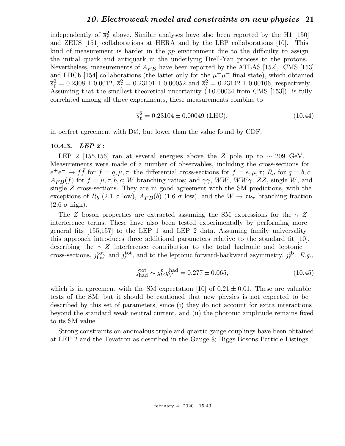independently of  $\bar{s}^2_\ell$  $\ell^2$  above. Similar analyses have also been reported by the H1 [150] and ZEUS [151] collaborations at HERA and by the LEP collaborations [10]. This kind of measurement is harder in the pp environment due to the difficulty to assign the initial quark and antiquark in the underlying Drell-Yan process to the protons. Nevertheless, measurements of  $A_{FB}$  have been reported by the ATLAS [152], CMS [153] and LHCb [154] collaborations (the latter only for the  $\mu^+\mu^-$  final state), which obtained  $\overline{s}_{\ell}^2 = 0.2308 \pm 0.0012$ ,  $\overline{s}_{\ell}^2 = 0.23101 \pm 0.00052$  and  $\overline{s}_{\ell}^2 = 0.23142 \pm 0.00106$ , respectively. Assuming that the smallest theoretical uncertainty  $(\pm 0.00034 \text{ from CMS } [153])$  is fully correlated among all three experiments, these measurements combine to

$$
\overline{s}_{\ell}^2 = 0.23104 \pm 0.00049 \text{ (LHC)},\tag{10.44}
$$

in perfect agreement with DØ, but lower than the value found by CDF.

#### 10.4.3. LEP 2 :

LEP 2 [155,156] ran at several energies above the Z pole up to  $\sim 209$  GeV. Measurements were made of a number of observables, including the cross-sections for  $e^+e^- \rightarrow f\bar{f}$  for  $f = q, \mu, \tau$ ; the differential cross-sections for  $f = e, \mu, \tau$ ;  $R_q$  for  $q = b, c$ ;  $A_{FB}(f)$  for  $f = \mu, \tau, b, c; W$  branching ratios; and  $\gamma\gamma$ , WW, WW $\gamma$ , ZZ, single W, and single Z cross-sections. They are in good agreement with the SM predictions, with the exceptions of  $R_b$  (2.1  $\sigma$  low),  $A_{FB}(b)$  (1.6  $\sigma$  low), and the  $W \to \tau \nu_{\tau}$  branching fraction  $(2.6 \sigma \text{ high}).$ 

The Z boson properties are extracted assuming the SM expressions for the  $\gamma$ -Z interference terms. These have also been tested experimentally by performing more general fits [155,157] to the LEP 1 and LEP 2 data. Assuming family universality this approach introduces three additional parameters relative to the standard fit  $[10]$ , describing the  $\gamma$ -Z interference contribution to the total hadronic and leptonic cross-sections,  $j_{\text{had}}^{\text{tot}}$  and  $j_{\ell}^{\text{tot}}$ <sup>tot</sup>, and to the leptonic forward-backward asymmetry,  $j_{\ell}^{\text{fb}}$  $_{\ell}^{\text{1b}}$ . E.g.,

$$
j_{\text{had}}^{\text{tot}} \sim g_V^{\ell} g_V^{\text{had}} = 0.277 \pm 0.065,\tag{10.45}
$$

which is in agreement with the SM expectation [10] of  $0.21 \pm 0.01$ . These are valuable tests of the SM; but it should be cautioned that new physics is not expected to be described by this set of parameters, since (i) they do not account for extra interactions beyond the standard weak neutral current, and (ii) the photonic amplitude remains fixed to its SM value.

Strong constraints on anomalous triple and quartic gauge couplings have been obtained at LEP 2 and the Tevatron as described in the Gauge & Higgs Bosons Particle Listings.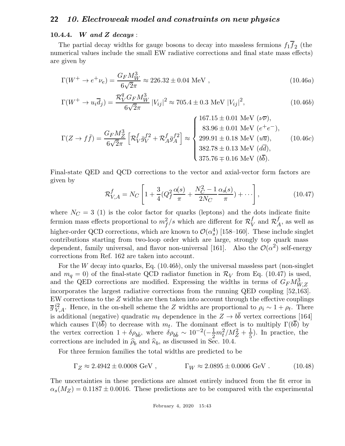#### 10.4.4. W and Z decays:

The partial decay widths for gauge bosons to decay into massless fermions  $f_1 f_2$  (the numerical values include the small EW radiative corrections and final state mass effects) are given by

$$
\Gamma(W^+ \to e^+ \nu_e) = \frac{G_F M_W^3}{6\sqrt{2}\pi} \approx 226.32 \pm 0.04 \text{ MeV} , \qquad (10.46a)
$$

$$
\Gamma(W^+ \to u_i \overline{d}_j) = \frac{\mathcal{R}_V^q G_F M_W^3}{6\sqrt{2}\pi} |V_{ij}|^2 \approx 705.4 \pm 0.3 \text{ MeV } |V_{ij}|^2,
$$
\n(10.46b)

$$
\Gamma(Z \to f\bar{f}) = \frac{G_F M_Z^3}{6\sqrt{2}\pi} \left[ \mathcal{R}_V^f \bar{g}_V^{f2} + \mathcal{R}_A^f \bar{g}_A^{f2} \right] \approx \begin{cases} 167.15 \pm 0.01 \text{ MeV } (\nu \overline{\nu}), \\ 83.96 \pm 0.01 \text{ MeV } (e^+e^-), \\ 299.91 \pm 0.18 \text{ MeV } (u\overline{u}), \\ 382.78 \pm 0.13 \text{ MeV } (d\overline{d}), \\ 375.76 \mp 0.16 \text{ MeV } (b\overline{b}). \end{cases} (10.46c)
$$

Final-state QED and QCD corrections to the vector and axial-vector form factors are given by

$$
\mathcal{R}_{V,A}^{f} = N_C \left[ 1 + \frac{3}{4} (Q_f^2 \frac{\alpha(s)}{\pi} + \frac{N_C^2 - 1}{2N_C} \frac{\alpha_s(s)}{\pi}) + \cdots \right],
$$
\n(10.47)

where  $N_C = 3$  (1) is the color factor for quarks (leptons) and the dots indicate finite fermion mass effects proportional to  $m_f^2/s$  which are different for  $\mathcal{R}_{V}^f$  $\frac{f}{V}$  and  $\mathcal{R}_{\neq}^{f}$  $A^J$ , as well as higher-order QCD corrections, which are known to  $\mathcal{O}(\alpha_s^4)$  [158–160]. These include singlet contributions starting from two-loop order which are large, strongly top quark mass dependent, family universal, and flavor non-universal [161]. Also the  $\mathcal{O}(\alpha^2)$  self-energy corrections from Ref. 162 are taken into account.

For the W decay into quarks, Eq.  $(10.46b)$ , only the universal massless part (non-singlet and  $m_q = 0$ ) of the final-state QCD radiator function in  $\mathcal{R}_V$  from Eq. (10.47) is used, and the QED corrections are modified. Expressing the widths in terms of  $G_F M_{W,Z}^3$ incorporates the largest radiative corrections from the running QED coupling [52,163]. EW corrections to the Z widths are then taken into account through the effective couplings  $\overline{g}^{i2}_{V,A}$ . Hence, in the on-shell scheme the Z widths are proportional to  $\rho_i \sim 1 + \rho_t$ . There is additional (negative) quadratic  $m_t$  dependence in the  $Z \rightarrow b\overline{b}$  vertex corrections [164] which causes  $\Gamma(b\overline{b})$  to decrease with  $m_t$ . The dominant effect is to multiply  $\Gamma(b\overline{b})$  by the vertex correction  $1 + \delta \rho_{b\bar{b}}$ , where  $\delta \rho_{b\bar{b}} \sim 10^{-2}(-\frac{1}{2})$  $\frac{1}{2}m_t^2/M_Z^2 + \frac{1}{5}$  $\frac{1}{5}$ ). In practice, the corrections are included in  $\hat{\rho}_b$  and  $\hat{\kappa}_b$ , as discussed in Sec. 10.4.

For three fermion families the total widths are predicted to be

$$
\Gamma_Z \approx 2.4942 \pm 0.0008 \text{ GeV} , \qquad \Gamma_W \approx 2.0895 \pm 0.0006 \text{ GeV} . \tag{10.48}
$$

The uncertainties in these predictions are almost entirely induced from the fit error in  $\alpha_s(M_Z) = 0.1187 \pm 0.0016$ . These predictions are to be compared with the experimental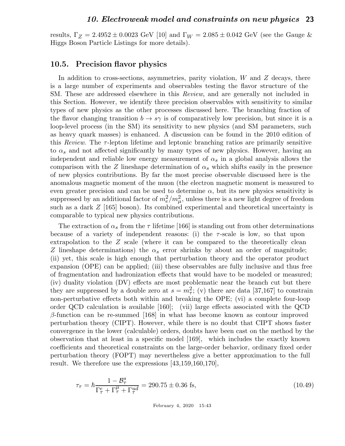results,  $\Gamma_Z = 2.4952 \pm 0.0023$  GeV [10] and  $\Gamma_W = 2.085 \pm 0.042$  GeV (see the Gauge & Higgs Boson Particle Listings for more details).

### 10.5. Precision flavor physics

In addition to cross-sections, asymmetries, parity violation,  $W$  and  $Z$  decays, there is a large number of experiments and observables testing the flavor structure of the SM. These are addressed elsewhere in this Review, and are generally not included in this Section. However, we identify three precision observables with sensitivity to similar types of new physics as the other processes discussed here. The branching fraction of the flavor changing transition  $b \to s\gamma$  is of comparatively low precision, but since it is a loop-level process (in the SM) its sensitivity to new physics (and SM parameters, such as heavy quark masses) is enhanced. A discussion can be found in the 2010 edition of this Review. The  $\tau$ -lepton lifetime and leptonic branching ratios are primarily sensitive to  $\alpha_s$  and not affected significantly by many types of new physics. However, having an independent and reliable low energy measurement of  $\alpha_s$  in a global analysis allows the comparison with the Z lineshape determination of  $\alpha_s$  which shifts easily in the presence of new physics contributions. By far the most precise observable discussed here is the anomalous magnetic moment of the muon (the electron magnetic moment is measured to even greater precision and can be used to determine  $\alpha$ , but its new physics sensitivity is suppressed by an additional factor of  $m_e^2/m_\mu^2$ , unless there is a new light degree of freedom such as a dark Z [165] boson). Its combined experimental and theoretical uncertainty is comparable to typical new physics contributions.

The extraction of  $\alpha_s$  from the  $\tau$  lifetime [166] is standing out from other determinations because of a variety of independent reasons: (i) the  $\tau$ -scale is low, so that upon extrapolation to the Z scale (where it can be compared to the theoretically clean Z lineshape determinations) the  $\alpha_s$  error shrinks by about an order of magnitude; (ii) yet, this scale is high enough that perturbation theory and the operator product expansion (OPE) can be applied; (iii) these observables are fully inclusive and thus free of fragmentation and hadronization effects that would have to be modeled or measured; (iv) duality violation (DV) effects are most problematic near the branch cut but there they are suppressed by a double zero at  $s = m_{\tau}^2$ ; (v) there are data [37,167] to constrain non-perturbative effects both within and breaking the OPE; (vi) a complete four-loop order QCD calculation is available [160]; (vii) large effects associated with the QCD β-function can be re-summed [168] in what has become known as contour improved perturbation theory (CIPT). However, while there is no doubt that CIPT shows faster convergence in the lower (calculable) orders, doubts have been cast on the method by the observation that at least in a specific model [169], which includes the exactly known coefficients and theoretical constraints on the large-order behavior, ordinary fixed order perturbation theory (FOPT) may nevertheless give a better approximation to the full result. We therefore use the expressions [43,159,160,170],

$$
\tau_{\tau} = \hbar \frac{1 - B_{\tau}^{s}}{\Gamma_{\tau}^{e} + \Gamma_{\tau}^{\mu} + \Gamma_{\tau}^{ud}} = 290.75 \pm 0.36 \text{ fs},\tag{10.49}
$$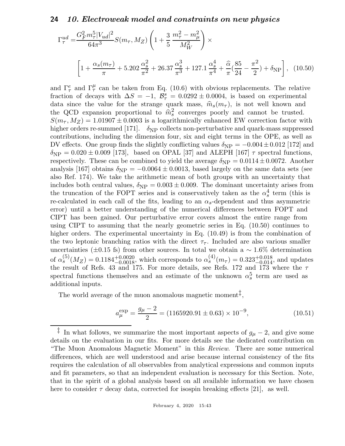$$
\Gamma_{\tau}^{ud} = \frac{G_F^2 m_{\tau}^5 |V_{ud}|^2}{64\pi^3} S(m_{\tau}, M_Z) \left(1 + \frac{3}{5} \frac{m_{\tau}^2 - m_{\mu}^2}{M_W^2}\right) \times \left[1 + \frac{\alpha_s(m_{\tau})}{\pi} + 5.202 \frac{\alpha_s^2}{\pi^2} + 26.37 \frac{\alpha_s^3}{\pi^3} + 127.1 \frac{\alpha_s^4}{\pi^4} + \frac{\hat{\alpha}}{\pi} (\frac{85}{24} - \frac{\pi^2}{2}) + \delta_{\text{NP}}\right], \quad (10.50)
$$

and  $\Gamma_{\tau}^{e}$  and  $\Gamma_{\tau}^{\mu}$  can be taken from Eq. (10.6) with obvious replacements. The relative fraction of decays with  $\Delta S = -1$ ,  $\mathcal{B}_{\tau}^s = 0.0292 \pm 0.0004$ , is based on experimental data since the value for the strange quark mass,  $\hat{m}_s(m_\tau)$ , is not well known and the QCD expansion proportional to  $\hat{m}_s^2$  converges poorly and cannot be trusted.  $S(m_{\tau}, M_Z) = 1.01907 \pm 0.0003$  is a logarithmically enhanced EW correction factor with higher orders re-summed [171].  $\delta_{NP}$  collects non-perturbative and quark-mass suppressed contributions, including the dimension four, six and eight terms in the OPE, as well as DV effects. One group finds the slightly conflicting values  $\delta_{\rm NP} = -0.004 \pm 0.012$  [172] and  $\delta_{\rm NP} = 0.020 \pm 0.009$  [173], based on OPAL [37] and ALEPH [167]  $\tau$  spectral functions, respectively. These can be combined to yield the average  $\delta_{\rm NP} = 0.0114 \pm 0.0072$ . Another analysis [167] obtains  $\delta_{\rm NP} = -0.0064 \pm 0.0013$ , based largely on the same data sets (see also Ref. 174). We take the arithmetic mean of both groups with an uncertainty that includes both central values,  $\delta_{\rm NP} = 0.003 \pm 0.009$ . The dominant uncertainty arises from the truncation of the FOPT series and is conservatively taken as the  $\alpha_s^4$  term (this is re-calculated in each call of the fits, leading to an  $\alpha_s$ -dependent and thus asymmetric error) until a better understanding of the numerical differences between FOPT and CIPT has been gained. Our perturbative error covers almost the entire range from using CIPT to assuming that the nearly geometric series in Eq. (10.50) continues to higher orders. The experimental uncertainty in Eq.  $(10.49)$  is from the combination of the two leptonic branching ratios with the direct  $\tau_{\tau}$ . Included are also various smaller uncertainties ( $\pm 0.15$  fs) from other sources. In total we obtain a ~ 1.6% determination of  $\alpha_s^{(5)}(M_Z) = 0.1184_{-0.0018}^{+0.0020}$ , which corresponds to  $\alpha_s^{(4)}(m_\tau) = 0.323_{-0.014}^{+0.018}$ , and updates the result of Refs. 43 and 175. For more details, see Refs. 172 and 173 where the  $\tau$ spectral functions themselves and an estimate of the unknown  $\alpha_s^5$  term are used as additional inputs.

The world average of the muon anomalous magnetic moment<sup> $\ddagger$ </sup>,

$$
a_{\mu}^{\exp} = \frac{g_{\mu} - 2}{2} = (1165920.91 \pm 0.63) \times 10^{-9},\tag{10.51}
$$

<sup>&</sup>lt;sup>‡</sup> In what follows, we summarize the most important aspects of  $g_{\mu} - 2$ , and give some details on the evaluation in our fits. For more details see the dedicated contribution on "The Muon Anomalous Magnetic Moment" in this Review. There are some numerical differences, which are well understood and arise because internal consistency of the fits requires the calculation of all observables from analytical expressions and common inputs and fit parameters, so that an independent evaluation is necessary for this Section. Note, that in the spirit of a global analysis based on all available information we have chosen here to consider  $\tau$  decay data, corrected for isospin breaking effects [21], as well.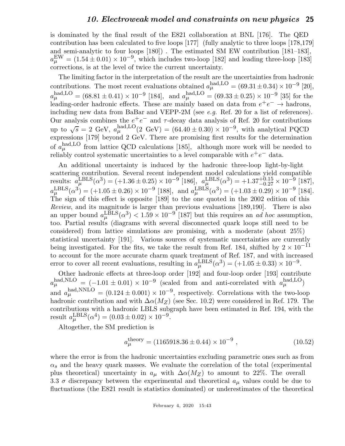is dominated by the final result of the E821 collaboration at BNL [176]. The QED contribution has been calculated to five loops [177] (fully analytic to three loops [178,179] and semi-analytic to four loops [180]) . The estimated SM EW contribution [181–183],  $a_{\mu}^{\text{EW}} = (1.54 \pm 0.01) \times 10^{-9}$ , which includes two-loop [182] and leading three-loop [183] corrections, is at the level of twice the current uncertainty.

The limiting factor in the interpretation of the result are the uncertainties from hadronic contributions. The most recent evaluations obtained  $a_{\mu}^{\text{had},\text{LO}} = (69.31 \pm 0.34) \times 10^{-9}$  [20],  $a_{\mu}^{\text{had,LO}} = (68.81 \pm 0.41) \times 10^{-9}$  [184], and  $a_{\mu}^{\text{had,LO}} = (69.33 \pm 0.25) \times 10^{-9}$  [35] for the leading-order hadronic effects. These are mainly based on data from  $e^+e^- \rightarrow$  hadrons, including new data from BaBar and VEPP-2M (see *e.g.* Ref. 20 for a list of references). Our analysis combines the  $e^+e^-$  and  $\tau$ -decay data analysis of Ref. 20 for contributions up to  $\sqrt{s} = 2$  GeV,  $a_{\mu}^{\text{had,LO}}(2 \text{ GeV}) = (64.40 \pm 0.30) \times 10^{-9}$ , with analytical PQCD expressions [179] beyond 2 GeV. There are promising first results for the determination of  $a_{\mu}^{\text{had,LO}}$  from lattice QCD calculations [185], although more work will be needed to reliably control systematic uncertainties to a level comparable with  $e^+e^-$  data.

An additional uncertainty is induced by the hadronic three-loop light-by-light scattering contribution. Several recent independent model calculations yield compatible results:  $a_{\mu}^{\text{LBLS}}(\alpha^3) = (+1.36 \pm 0.25) \times 10^{-9} [186]$ ,  $a_{\mu}^{\text{LBLS}}(\alpha^3) = +1.37^{+0.15}_{-0.27} \times 10^{-9} [187]$ ,  $a_{\mu}^{\text{LBLS}}(\alpha^3) = (+1.05 \pm 0.26) \times 10^{-9}$  [188], and  $a_{\mu}^{\text{LBLS}}(\alpha^3) = (+1.03 \pm 0.29) \times 10^{-9}$  [184]. The sign of this effect is opposite [189] to the one quoted in the 2002 edition of this Review, and its magnitude is larger than previous evaluations [189,190]. There is also an upper bound  $a_{\mu}^{\text{LBLS}}(\alpha^3) < 1.59 \times 10^{-9}$  [187] but this requires an *ad hoc* assumption, too. Partial results (diagrams with several disconnected quark loops still need to be considered) from lattice simulations are promising, with a moderate (about 25%) statistical uncertainty [191]. Various sources of systematic uncertainties are currently being investigated. For the fits, we take the result from Ref. 184, shifted by  $2 \times 10^{-11}$ to account for the more accurate charm quark treatment of Ref. 187, and with increased error to cover all recent evaluations, resulting in  $a_{\mu}^{\text{LBLS}}(\alpha^3) = (+1.05 \pm 0.33) \times 10^{-9}$ .

Other hadronic effects at three-loop order [192] and four-loop order [193] contribute  $a_{\mu}^{\text{had, NLO}} = (-1.01 \pm 0.01) \times 10^{-9}$  (scaled from and anti-correlated with  $a_{\mu}^{\text{had, LO}}$ ) and  $a_{\mu}^{\text{had,NNLO}} = (0.124 \pm 0.001) \times 10^{-9}$ , respectively. Correlations with the two-loop hadronic contribution and with  $\Delta \alpha(M_Z)$  (see Sec. 10.2) were considered in Ref. 179. The contributions with a hadronic LBLS subgraph have been estimated in Ref. 194, with the result  $a_{\mu}^{\text{LBLS}}(\alpha^4) = (0.03 \pm 0.02) \times 10^{-9}$ .

Altogether, the SM prediction is

$$
a_{\mu}^{\text{theory}} = (1165918.36 \pm 0.44) \times 10^{-9} , \qquad (10.52)
$$

where the error is from the hadronic uncertainties excluding parametric ones such as from  $\alpha_s$  and the heavy quark masses. We evaluate the correlation of the total (experimental plus theoretical) uncertainty in  $a_{\mu}$  with  $\Delta \alpha(M_Z)$  to amount to 22%. The overall 3.3  $\sigma$  discrepancy between the experimental and theoretical  $a_{\mu}$  values could be due to fluctuations (the E821 result is statistics dominated) or underestimates of the theoretical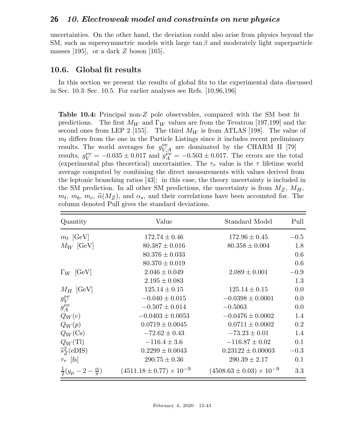uncertainties. On the other hand, the deviation could also arise from physics beyond the SM, such as supersymmetric models with large  $\tan \beta$  and moderately light superparticle masses  $|195|$ , or a dark Z boson  $|165|$ .

#### 10.6. Global fit results

In this section we present the results of global fits to the experimental data discussed in Sec. 10.3–Sec. 10.5. For earlier analyses see Refs. [10,96,196]

Table 10.4: Principal non-Z pole observables, compared with the SM best fit predictions. The first  $M_W$  and  $\Gamma_W$  values are from the Tevatron [197,199] and the second ones from LEP 2 [155]. The third  $M_W$  is from ATLAS [198]. The value of  $m_t$  differs from the one in the Particle Listings since it includes recent preliminary results. The world averages for  $g_{V,A}^{\nu e}$  are dominated by the CHARM II [79] results,  $g_V^{\nu e} = -0.035 \pm 0.017$  and  $g_A^{\nu e} = -0.503 \pm 0.017$ . The errors are the total (experimental plus theoretical) uncertainties. The  $\tau_{\tau}$  value is the  $\tau$  lifetime world average computed by combining the direct measurements with values derived from the leptonic branching ratios [43]; in this case, the theory uncertainty is included in the SM prediction. In all other SM predictions, the uncertainty is from  $M_Z$ ,  $M_H$ ,  $m_t$ ,  $m_b$ ,  $m_c$ ,  $\hat{\alpha}(M_Z)$ , and  $\alpha_s$ , and their correlations have been accounted for. The column denoted Pull gives the standard deviations.

| Quantity                                    | Value                               | Standard Model                      | Pull   |
|---------------------------------------------|-------------------------------------|-------------------------------------|--------|
| $m_t$ [GeV]                                 | $172.74 \pm 0.46$                   | $172.96 \pm 0.45$                   | $-0.5$ |
| $M_W$ [GeV]                                 | $80.387 \pm 0.016$                  | $80.358 \pm 0.004$                  | 1.8    |
|                                             | $80.376 \pm 0.033$                  |                                     | 0.6    |
|                                             | $80.370 \pm 0.019$                  |                                     | 0.6    |
| $\Gamma_W$ [GeV]                            | $2.046 \pm 0.049$                   | $2.089 \pm 0.001$                   | $-0.9$ |
|                                             | $2.195 \pm 0.083$                   |                                     | 1.3    |
| $M_H$ [GeV]                                 | $125.14 \pm 0.15$                   | $125.14 \pm 0.15$                   | 0.0    |
| $g_V^{\nu e}$                               | $-0.040 \pm 0.015$                  | $-0.0398 \pm 0.0001$                | 0.0    |
| $g_A^{\nu e}$                               | $-0.507 \pm 0.014$                  | $-0.5063$                           | 0.0    |
| $Q_W(e)$                                    | $-0.0403 \pm 0.0053$                | $-0.0476 \pm 0.0002$                | 1.4    |
| $Q_W(p)$                                    | $0.0719 \pm 0.0045$                 | $0.0711 \pm 0.0002$                 | 0.2    |
| $Q_W(\text{Cs})$                            | $-72.62 \pm 0.43$                   | $-73.23 \pm 0.01$                   | 1.4    |
| $Q_W(T)$                                    | $-116.4 \pm 3.6$                    | $-116.87 \pm 0.02$                  | 0.1    |
| $\widehat{s}_{Z}^{2}$ (eDIS)                | $0.2299 \pm 0.0043$                 | $0.23122 \pm 0.00003$               | $-0.3$ |
| $\tau_{\tau}$ [fs]                          | $290.75 \pm 0.36$                   | $290.39 \pm 2.17$                   | 0.1    |
| $\frac{1}{2}(g_{\mu}-2-\frac{\alpha}{\pi})$ | $(4511.18 \pm 0.77) \times 10^{-9}$ | $(4508.63 \pm 0.03) \times 10^{-9}$ | 3.3    |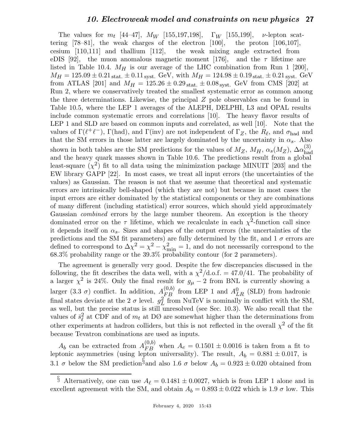The values for  $m_t$  [44–47],  $M_W$  [155,197,198],  $\Gamma_W$  [155,199],  $\nu$ -lepton scattering [78–81], the weak charges of the electron [100], the proton [106,107], cesium [110,111] and thallium [112], the weak mixing angle extracted from eDIS [92], the muon anomalous magnetic moment [176], and the  $\tau$  lifetime are listed in Table 10.4.  $M_H$  is our average of the LHC combination from Run 1 [200],  $M_H = 125.09 \pm 0.21$  stat.  $\pm 0.11$  syst. GeV, with  $M_H = 124.98 \pm 0.19$  stat.  $\pm 0.21$  syst. GeV from ATLAS [201] and  $M_H = 125.26 \pm 0.29_{\text{stat.}} \pm 0.08_{\text{svst.}}$  GeV from CMS [202] at Run 2, where we conservatively treated the smallest systematic error as common among the three determinations. Likewise, the principal Z pole observables can be found in Table 10.5, where the LEP 1 averages of the ALEPH, DELPHI, L3 and OPAL results include common systematic errors and correlations [10]. The heavy flavor results of LEP 1 and SLD are based on common inputs and correlated, as well [10]. Note that the values of  $\Gamma(\ell^+\ell^-)$ ,  $\Gamma(\text{had})$ , and  $\Gamma(\text{inv})$  are not independent of  $\Gamma_Z$ , the  $R_\ell$ , and  $\sigma_{\text{had}}$  and that the SM errors in those latter are largely dominated by the uncertainty in  $\alpha_s$ . Also shown in both tables are the SM predictions for the values of  $M_Z$ ,  $M_H$ ,  $\alpha_s(M_Z)$ ,  $\Delta \alpha_{\text{hac}}^{(3)}$ had and the heavy quark masses shown in Table 10.6. The predictions result from a global least-square  $(\chi^2)$  fit to all data using the minimization package MINUIT [203] and the EW library GAPP [22]. In most cases, we treat all input errors (the uncertainties of the values) as Gaussian. The reason is not that we assume that theoretical and systematic errors are intrinsically bell-shaped (which they are not) but because in most cases the input errors are either dominated by the statistical components or they are combinations of many different (including statistical) error sources, which should yield approximately Gaussian combined errors by the large number theorem. An exception is the theory dominated error on the  $\tau$  lifetime, which we recalculate in each  $\chi^2$ -function call since it depends itself on  $\alpha_s$ . Sizes and shapes of the output errors (the uncertainties of the predictions and the SM fit parameters) are fully determined by the fit, and  $1\sigma$  errors are defined to correspond to  $\Delta \chi^2 = \chi^2 - \chi^2_{\text{min}} = 1$ , and do not necessarily correspond to the 68.3% probability range or the 39.3% probability contour (for 2 parameters).

The agreement is generally very good. Despite the few discrepancies discussed in the following, the fit describes the data well, with a  $\chi^2/\text{d.o.f.} = 47.0/41$ . The probability of a larger  $\chi^2$  is 24%. Only the final result for  $g_\mu - 2$  from BNL is currently showing a larger (3.3  $\sigma$ ) conflict. In addition,  $A_{FB}^{(0,b)}$  from LEP 1 and  $A_{LR}^{0}$  (SLD) from hadronic final states deviate at the 2  $\sigma$  level.  $g_I^2$  $L<sup>2</sup>$  from NuTeV is nominally in conflict with the SM, as well, but the precise status is still unresolved (see Sec. 10.3). We also recall that the values of  $\bar{s}_{\ell}^2$ <sup>2</sup> at CDF and of  $m_t$  at DØ are somewhat higher than the determinations from other experiments at hadron colliders, but this is not reflected in the overall  $\chi^2$  of the fit because Tevatron combinations are used as inputs.

 $A_b$  can be extracted from  $A_{FB}^{(0,b)}$  when  $A_e = 0.1501 \pm 0.0016$  is taken from a fit to leptonic asymmetries (using lepton universality). The result,  $A_b = 0.881 \pm 0.017$ , is 3.1  $\sigma$  below the SM prediction<sup>§</sup> and also 1.6  $\sigma$  below  $A_b = 0.923 \pm 0.020$  obtained from

<sup>§</sup> Alternatively, one can use  $A_{\ell} = 0.1481 \pm 0.0027$ , which is from LEP 1 alone and in excellent agreement with the SM, and obtain  $A_b = 0.893 \pm 0.022$  which is 1.9  $\sigma$  low. This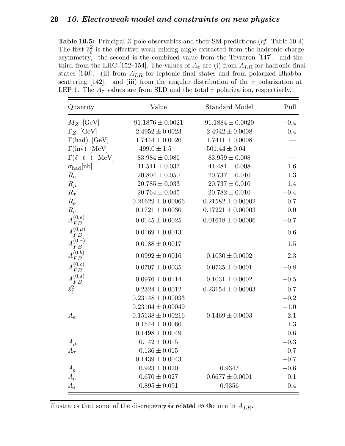Table 10.5: Principal Z pole observables and their SM predictions (*cf.* Table 10.4). The first  $\overline{s}_{\ell}^2$  $\ell$  is the effective weak mixing angle extracted from the hadronic charge asymmetry, the second is the combined value from the Tevatron [147], and the third from the LHC [152–154]. The values of  $A_e$  are (i) from  $A_{LR}$  for hadronic final states [140]; (ii) from  $A_{LR}$  for leptonic final states and from polarized Bhabba scattering [142]; and (iii) from the angular distribution of the  $\tau$  polarization at LEP 1. The  $A_\tau$  values are from SLD and the total  $\tau$  polarization, respectively.

| Quantity                     | Value                 | Standard Model        | Pull    |
|------------------------------|-----------------------|-----------------------|---------|
| $M_Z$ [GeV]                  | $91.1876 \pm 0.0021$  | $91.1884 \pm 0.0020$  | $-0.4$  |
| $\Gamma_Z$ [GeV]             | $2.4952 \pm 0.0023$   | $2.4942 \pm 0.0008$   | $0.4\,$ |
| $\Gamma(had)$ [GeV]          | $1.7444 \pm 0.0020$   | $1.7411 \pm 0.0008$   |         |
| $\Gamma(\text{inv})$ [MeV]   | $499.0 \pm 1.5$       | $501.44 \pm 0.04$     |         |
| $\Gamma(\ell^+\ell^-)$ [MeV] | $83.984 \pm 0.086$    | $83.959 \pm 0.008$    |         |
| $\sigma_{\rm had}[\rm nb]$   | $41.541 \pm 0.037$    | $41.481 \pm 0.008$    | 1.6     |
| $R_e$                        | $20.804 \pm 0.050$    | $20.737 \pm 0.010$    | 1.3     |
| $R_\mu$                      | $20.785 \pm 0.033$    | $20.737 \pm 0.010$    | 1.4     |
| $R_{\tau}$                   | $20.764 \pm 0.045$    | $20.782 \pm 0.010$    | $-0.4$  |
| $R_b$                        | $0.21629 \pm 0.00066$ | $0.21582 \pm 0.00002$ | 0.7     |
| $R_c$                        | $0.1721 \pm 0.0030$   | $0.17221 \pm 0.00003$ | 0.0     |
| $A_{FB}^{(0,e)}$             | $0.0145 \pm 0.0025$   | $0.01618 \pm 0.00006$ | $-0.7$  |
| $A_{FB}^{(0,\mu)}$           | $0.0169 \pm 0.0013$   |                       | 0.6     |
| $A_{FB}^{(0,\tau)}$          | $0.0188 \pm 0.0017$   |                       | 1.5     |
| $A_{FB}^{(0,b)}$             | $0.0992 \pm 0.0016$   | $0.1030 \pm 0.0002$   | $-2.3$  |
| $A_{FB}^{(0,c)}$             | $0.0707 \pm 0.0035$   | $0.0735 \pm 0.0001$   | $-0.8$  |
| $A_{FB}^{(0,s)}$             | $0.0976 \pm 0.0114$   | $0.1031 \pm 0.0002$   | $-0.5$  |
| $\bar{s}_{\ell}^2$           | $0.2324 \pm 0.0012$   | $0.23154 \pm 0.00003$ | 0.7     |
|                              | $0.23148 \pm 0.00033$ |                       | $-0.2$  |
|                              | $0.23104 \pm 0.00049$ |                       | $-1.0$  |
| $A_e$                        | $0.15138 \pm 0.00216$ | $0.1469 \pm 0.0003$   | $2.1\,$ |
|                              | $0.1544 \pm 0.0060$   |                       | 1.3     |
|                              | $0.1498 \pm 0.0049$   |                       | 0.6     |
| $A_\mu$                      | $0.142 \pm 0.015$     |                       | $-0.3$  |
| $A_\tau$                     | $0.136 \pm 0.015$     |                       | $-0.7$  |
|                              | $0.1439 \pm 0.0043$   |                       | $-0.7$  |
| $A_b$                        | $0.923 \pm 0.020$     | 0.9347                | $-0.6$  |
| $A_c$                        | $0.670 \pm 0.027$     | $0.6677 \pm 0.0001$   | 0.1     |
| $A_s$                        | $0.895 \pm 0.091$     | 0.9356                | $-0.4$  |

illustrates that some of the discrepancy related to the one in  $A_{LR}$ .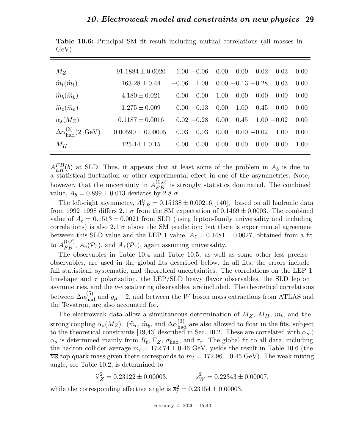| $M_Z$                                        | $91.1884 \pm 0.0020$  | $1.00 - 0.06$   | 0.00<br>0.00         | 0.02<br>0.03          | 0.00 |
|----------------------------------------------|-----------------------|-----------------|----------------------|-----------------------|------|
| $\widehat{m}_t(\widehat{m}_t)$               | $163.28 \pm 0.44$     | 1.00<br>$-0.06$ | $0.00 - 0.13 - 0.28$ | 0.03                  | 0.00 |
| $\widehat{m}_b(\widehat{m}_b)$               | $4.180 \pm 0.021$     | 0.00<br>0.00    | 1.00<br>0.00         | 0.00<br>0.00          | 0.00 |
| $\widehat{m}_c(\widehat{m}_c)$               | $1.275 \pm 0.009$     | $0.00 - 0.13$   | 0.00<br>1.00         | 0.45<br>0.00          | 0.00 |
| $\alpha_s(M_Z)$                              | $0.1187 + 0.0016$     | $0.02 - 0.28$   | 0.00<br>0.45         | $1.00 - 0.02$         | 0.00 |
| $\Delta \alpha_{\rm had}^{(3)}(2~{\rm GeV})$ | $0.00590 \pm 0.00005$ | 0.03<br>0.03    | 0.00                 | $0.00 - 0.02$<br>1.00 | 0.00 |
| $M_H$                                        | $125.14 \pm 0.15$     | 0.00<br>0.00    | 0.00<br>0.00         | 0.00<br>0.00          | 1.00 |

Table 10.6: Principal SM fit result including mutual correlations (all masses in GeV).

 $A_{LR}^{FB}(b)$  at SLD. Thus, it appears that at least some of the problem in  $A_b$  is due to a statistical fluctuation or other experimental effect in one of the asymmetries. Note, however, that the uncertainty in  $A_{FB}^{(0,b)}$  is strongly statistics dominated. The combined value,  $A_b = 0.899 \pm 0.013$  deviates by 2.8  $\sigma$ .

The left-right asymmetry,  $A_{LR}^0 = 0.15138 \pm 0.00216$  [140], based on all hadronic data from 1992–1998 differs 2.1  $\sigma$  from the SM expectation of 0.1469  $\pm$  0.0003. The combined value of  $A_{\ell} = 0.1513 \pm 0.0021$  from SLD (using lepton-family universality and including correlations) is also 2.1  $\sigma$  above the SM prediction; but there is experimental agreement between this SLD value and the LEP 1 value,  $A_{\ell} = 0.1481 \pm 0.0027$ , obtained from a fit to  $A_{FB}^{(0,\ell)}$ ,  $A_e(\mathcal{P}_\tau)$ , and  $A_\tau(\mathcal{P}_\tau)$ , again assuming universality.

The observables in Table 10.4 and Table 10.5, as well as some other less precise observables, are used in the global fits described below. In all fits, the errors include full statistical, systematic, and theoretical uncertainties. The correlations on the LEP 1 lineshape and  $\tau$  polarization, the LEP/SLD heavy flavor observables, the SLD lepton asymmetries, and the  $\nu$ -e scattering observables, are included. The theoretical correlations between  $\Delta \alpha_{\text{had}}^{(5)}$  and  $g_{\mu} - 2$ , and between the W boson mass extractions from ATLAS and the Tevatron, are also accounted for.

The electroweak data allow a simultaneous determination of  $M_Z$ ,  $M_H$ ,  $m_t$ , and the strong coupling  $\alpha_s(M_Z)$ .  $(\hat{m}_c, \hat{m}_b, \text{ and } \Delta \alpha_{\text{had}}^{(3)}$  are also allowed to float in the fits, subject to the three intervals in the fits of  $\alpha_s(M_Z)$ . to the theoretical constraints [19,43] described in Sec. 10.2. These are correlated with  $\alpha_s$ .)  $\alpha_s$  is determined mainly from  $R_\ell$ ,  $\Gamma_Z$ ,  $\sigma_{\text{had}}$ , and  $\tau_\tau$ . The global fit to all data, including the hadron collider average  $m_t = 172.74 \pm 0.46$  GeV, yields the result in Table 10.6 (the  $\overline{\text{MS}}$  top quark mass given there corresponds to  $m_t = 172.96 \pm 0.45 \text{ GeV}$ ). The weak mixing angle, see Table 10.2, is determined to

> $\widehat{s}_Z^2 = 0.23122 \pm 0.00003,$   $s_V^2$  $s_W^2 = 0.22343 \pm 0.00007,$

while the corresponding effective angle is  $\overline{s}_{\ell}^2 = 0.23154 \pm 0.00003$ .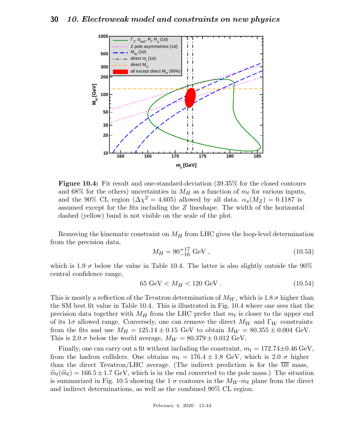

Figure 10.4: Fit result and one-standard-deviation (39.35% for the closed contours and 68% for the others) uncertainties in  $M_H$  as a function of  $m_t$  for various inputs, and the 90% CL region ( $\Delta \chi^2 = 4.605$ ) allowed by all data.  $\alpha_s(M_Z) = 0.1187$  is assumed except for the fits including the Z lineshape. The width of the horizontal dashed (yellow) band is not visible on the scale of the plot.

Removing the kinematic constraint on  $M_H$  from LHC gives the loop-level determination from the precision data,

$$
M_H = 90^{+17}_{-16} \text{ GeV} ,\qquad (10.53)
$$

which is 1.9  $\sigma$  below the value in Table 10.4. The latter is also slightly outside the 90% central confidence range,

$$
65 \text{ GeV} < M_H < 120 \text{ GeV} \tag{10.54}
$$

This is mostly a reflection of the Tevatron determination of  $M_W$ , which is 1.8  $\sigma$  higher than the SM best fit value in Table 10.4. This is illustrated in Fig. 10.4 where one sees that the precision data together with  $M_H$  from the LHC prefer that  $m_t$  is closer to the upper end of its 1 $\sigma$  allowed range. Conversely, one can remove the direct  $M_W$  and  $\Gamma_W$  constraints from the fits and use  $M_H = 125.14 \pm 0.15$  GeV to obtain  $M_W = 80.355 \pm 0.004$  GeV. This is 2.0  $\sigma$  below the world average,  $M_W = 80.379 \pm 0.012$  GeV.

Finally, one can carry out a fit without including the constraint,  $m_t = 172.74 \pm 0.46$  GeV, from the hadron colliders. One obtains  $m_t = 176.4 \pm 1.8$  GeV, which is 2.0  $\sigma$  higher than the direct Tevatron/LHC average. (The indirect prediction is for the  $\overline{MS}$  mass,  $\hat{m}_t(\hat{m}_t) = 166.5 \pm 1.7$  GeV, which is in the end converted to the pole mass.) The situation is summarized in Fig. 10.5 showing the 1  $\sigma$  contours in the  $M_W$ - $m_t$  plane from the direct and indirect determinations, as well as the combined 90% CL region.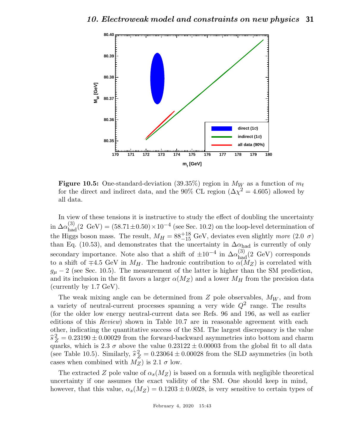

Figure 10.5: One-standard-deviation (39.35%) region in  $M_W$  as a function of  $m_t$ for the direct and indirect data, and the 90% CL region  $(\Delta \chi^2 = 4.605)$  allowed by all data.

In view of these tensions it is instructive to study the effect of doubling the uncertainty in  $\Delta \alpha_{\rm had}^{(3)}(2\text{ GeV}) = (58.71 \pm 0.50) \times 10^{-4}$  (see Sec. 10.2) on the loop-level determination of the Higgs boson mass. The result,  $M_H = 88^{+18}_{-15}$  GeV, deviates even slightly more (2.0  $\sigma$ ) than Eq. (10.53), and demonstrates that the uncertainty in  $\Delta \alpha_{\text{had}}$  is currently of only secondary importance. Note also that a shift of  $\pm 10^{-4}$  in  $\Delta \alpha_{\text{hag}}^{(3)}(2 \text{ GeV})$  corresponds to a shift of  $\mp 4.5$  GeV in  $M_H$ . The hadronic contribution to  $\alpha(M_Z)$  is correlated with  $g_{\mu} - 2$  (see Sec. 10.5). The measurement of the latter is higher than the SM prediction, and its inclusion in the fit favors a larger  $\alpha(M_Z)$  and a lower  $M_H$  from the precision data (currently by 1.7 GeV).

The weak mixing angle can be determined from  $Z$  pole observables,  $M_W$ , and from a variety of neutral-current processes spanning a very wide  $Q^2$  range. The results (for the older low energy neutral-current data see Refs. 96 and 196, as well as earlier editions of this Review) shown in Table 10.7 are in reasonable agreement with each other, indicating the quantitative success of the SM. The largest discrepancy is the value  $\hat{s}_Z^2 = 0.23190 \pm 0.00029$  from the forward-backward asymmetries into bottom and charm quarks, which is 2.3  $\sigma$  above the value  $0.23122 \pm 0.00003$  from the global fit to all data (see Table 10.5). Similarly,  $\hat{s}_Z^2 = 0.23064 \pm 0.00028$  from the SLD asymmetries (in both cases when combined with  $M_Z$ ) is 2.1  $\sigma$  low.

The extracted Z pole value of  $\alpha_s(M_Z)$  is based on a formula with negligible theoretical uncertainty if one assumes the exact validity of the SM. One should keep in mind, however, that this value,  $\alpha_s(M_Z) = 0.1203 \pm 0.0028$ , is very sensitive to certain types of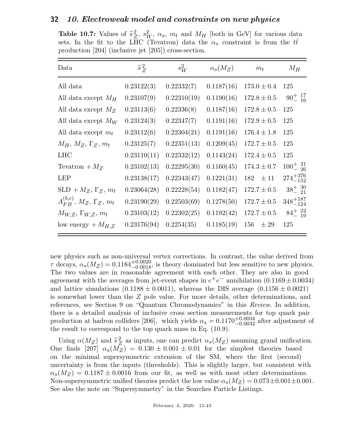**Table 10.7:** Values of  $\hat{s}^2$  $\frac{2}{Z}, s_W^2, \alpha_s, m_t$  and  $M_H$  [both in GeV] for various data sets. In the fit to the LHC (Tevatron) data the  $\alpha_s$  constraint is from the  $t\bar{t}$ production [204] (inclusive jet [205]) cross-section.

| Data                                          | $\hat{s}_Z^2$ | $s_W^2$     | $\alpha_s(M_Z)$ | $m_t$           | $M_H$                         |
|-----------------------------------------------|---------------|-------------|-----------------|-----------------|-------------------------------|
| All data                                      | 0.23122(3)    | 0.22332(7)  | 0.1187(16)      | $173.0 \pm 0.4$ | 125                           |
| All data except $M_H$                         | 0.23107(9)    | 0.22310(19) | 0.1190(16)      | $172.8 \pm 0.5$ | $90^{+17}_{-16}$              |
| All data except $M_Z$                         | 0.23113(6)    | 0.22336(8)  | 0.1187(16)      | $172.8 \pm 0.5$ | 125                           |
| All data except $M_W$                         | 0.23124(3)    | 0.22347(7)  | 0.1191(16)      | $172.9 \pm 0.5$ | 125                           |
| All data except $m_t$                         | 0.23112(6)    | 0.22304(21) | 0.1191(16)      | $176.4 \pm 1.8$ | 125                           |
| $M_H$ , $M_Z$ , $\Gamma_Z$ , $m_t$            | 0.23125(7)    | 0.22351(13) | 0.1209(45)      | $172.7 \pm 0.5$ | 125                           |
| <b>LHC</b>                                    | 0.23110(11)   | 0.22332(12) | 0.1143(24)      | $172.4 \pm 0.5$ | 125                           |
| Tevatron $+ M_Z$                              | 0.23102(13)   | 0.22295(30) | 0.1160(45)      | $174.3 \pm 0.7$ | $100^{+}_{-}$ $\frac{31}{26}$ |
| <b>LEP</b>                                    | 0.23138(17)   | 0.22343(47) | 0.1221(31)      | $182 \pm 11$    | $274^{+376}_{-152}$           |
| $SLD + M_Z, \Gamma_Z, m_t$                    | 0.23064(28)   | 0.22228(54) | 0.1182(47)      | $172.7 \pm 0.5$ | $38^{+}_{-}$ $^{30}_{21}$     |
| $A_{FR}^{(b,c)}$ , $M_Z$ , $\Gamma_Z$ , $m_t$ | 0.23190(29)   | 0.22503(69) | 0.1278(50)      | $172.7 \pm 0.5$ | $348^{+187}_{-124}$           |
| $M_{W,Z}, \Gamma_{W,Z}, m_t$                  | 0.23103(12)   | 0.22302(25) | 0.1192(42)      | $172.7 \pm 0.5$ | $84^{+22}_{-19}$              |
| low energy $+M_{H,Z}$                         | 0.23176(94)   | 0.2254(35)  | 0.1185(19)      | 156<br>$\pm 29$ | 125                           |

new physics such as non-universal vertex corrections. In contrast, the value derived from  $\tau$  decays,  $\alpha_s(M_Z) = 0.1184^{+0.0020}_{-0.0018}$ , is theory dominated but less sensitive to new physics. The two values are in reasonable agreement with each other. They are also in good agreement with the averages from jet-event shapes in  $e^+e^-$  annihilation  $(0.1169 \pm 0.0034)$ and lattice simulations  $(0.1188 \pm 0.0011)$ , whereas the DIS average  $(0.1156 \pm 0.0021)$ is somewhat lower than the Z pole value. For more details, other determinations, and references, see Section 9 on "Quantum Chromodynamics" in this Review. In addition, there is a detailed analysis of inclusive cross section measurements for top quark pair production at hadron colliders [206], which yields  $\alpha_s = 0.1170^{+0.0034}_{-0.0032}$  after adjustment of the result to correspond to the top quark mass in Eq. (10.9).

Using  $\alpha(M_Z)$  and  $\hat{s}_Z^2$  $Z_{Z}^{2}$  as inputs, one can predict  $\alpha_{s}(M_{Z})$  assuming grand unification. One finds [207]  $\alpha_s(M_Z) = 0.130 \pm 0.001 \pm 0.01$  for the simplest theories based on the minimal supersymmetric extension of the SM, where the first (second) uncertainty is from the inputs (thresholds). This is slightly larger, but consistent with  $\alpha_s(M_Z) = 0.1187 \pm 0.0016$  from our fit, as well as with most other determinations. Non-supersymmetric unified theories predict the low value  $\alpha_s(M_Z) = 0.073 \pm 0.001 \pm 0.001$ . See also the note on "Supersymmetry" in the Searches Particle Listings.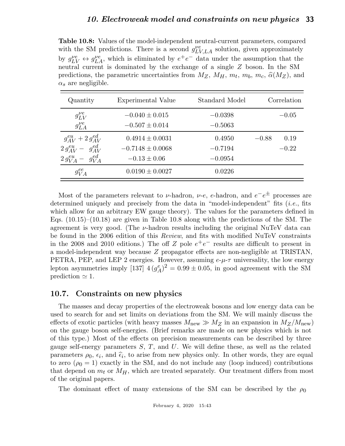Table 10.8: Values of the model-independent neutral-current parameters, compared with the SM predictions. There is a second  $g_{LV,LA}^{\nu e}$  solution, given approximately by  $g_{LV}^{\nu e} \leftrightarrow g_{LA}^{\nu e}$ , which is eliminated by  $e^+e^-$  data under the assumption that the neutral current is dominated by the exchange of a single Z boson. In the SM predictions, the parametric uncertainties from  $M_Z$ ,  $M_H$ ,  $m_t$ ,  $m_b$ ,  $m_c$ ,  $\hat{\alpha}(M_Z)$ , and  $\alpha_s$  are negligible.

| Quantity                      | Experimental Value   | Standard Model | Correlation     |
|-------------------------------|----------------------|----------------|-----------------|
| $g_{LV}^{\nu e}$              | $-0.040 \pm 0.015$   | $-0.0398$      | $-0.05$         |
| $g_{LA}^{\nu e}$              | $-0.507 \pm 0.014$   | $-0.5063$      |                 |
| $g_{AV}^{eu} + 2 g_{AV}^{ed}$ | $0.4914 \pm 0.0031$  | 0.4950         | 0.19<br>$-0.88$ |
| $2 g_{AV}^{eu} - g_{AV}^{ed}$ | $-0.7148 \pm 0.0068$ | $-0.7194$      | $-0.22$         |
| $2 g_{VA}^{eu} - g_{VA}^{ed}$ | $-0.13 \pm 0.06$     | $-0.0954$      |                 |
| $g_{VA}^{ee}$                 | $0.0190 \pm 0.0027$  | 0.0226         |                 |

Most of the parameters relevant to v-hadron, v-e, e-hadron, and  $e^-e^{\pm}$  processes are determined uniquely and precisely from the data in "model-independent" fits  $(i.e.,$  fits which allow for an arbitrary EW gauge theory). The values for the parameters defined in Eqs. (10.15)–(10.18) are given in Table 10.8 along with the predictions of the SM. The agreement is very good. (The  $\nu$ -hadron results including the original NuTeV data can be found in the 2006 edition of this Review, and fits with modified NuTeV constraints in the 2008 and 2010 editions.) The off Z pole  $e^+e^-$  results are difficult to present in a model-independent way because Z propagator effects are non-negligible at TRISTAN, PETRA, PEP, and LEP 2 energies. However, assuming  $e-\mu-\tau$  universality, the low energy lepton asymmetries imply [137]  $4(g^e_A)$  $_A^e$  $\left(\frac{e}{A}\right)^2 = 0.99 \pm 0.05$ , in good agreement with the SM prediction  $\simeq$  1.

### 10.7. Constraints on new physics

The masses and decay properties of the electroweak bosons and low energy data can be used to search for and set limits on deviations from the SM. We will mainly discuss the effects of exotic particles (with heavy masses  $M_{\text{new}} \gg M_Z$  in an expansion in  $M_Z/M_{\text{new}}$ ) on the gauge boson self-energies. (Brief remarks are made on new physics which is not of this type.) Most of the effects on precision measurements can be described by three gauge self-energy parameters  $S, T$ , and  $U$ . We will define these, as well as the related parameters  $\rho_0$ ,  $\epsilon_i$ , and  $\hat{\epsilon}_i$ , to arise from new physics only. In other words, they are equal to any  $(1, 1)$  considering the SM, and do not include any (lase induced) contributions to zero ( $\rho_0 = 1$ ) exactly in the SM, and do not include any (loop induced) contributions that depend on  $m_t$  or  $M_H$ , which are treated separately. Our treatment differs from most of the original papers.

The dominant effect of many extensions of the SM can be described by the  $\rho_0$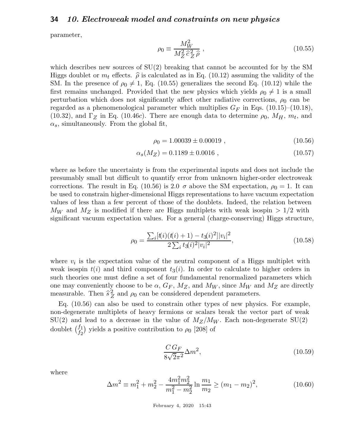parameter,

$$
\rho_0 \equiv \frac{M_W^2}{M_Z^2 \,\hat{c}_Z^2 \,\hat{\rho}} \,, \tag{10.55}
$$

which describes new sources of  $SU(2)$  breaking that cannot be accounted for by the SM Higgs doublet or  $m_t$  effects.  $\hat{\rho}$  is calculated as in Eq. (10.12) assuming the validity of the SM. In the presence of  $\rho_0 \neq 1$ , Eq. (10.55) generalizes the second Eq. (10.12) while the first remains unchanged. Provided that the new physics which yields  $\rho_0 \neq 1$  is a small perturbation which does not significantly affect other radiative corrections,  $\rho_0$  can be regarded as a phenomenological parameter which multiplies  $G_F$  in Eqs. (10.15)–(10.18), (10.32), and  $\Gamma_Z$  in Eq. (10.46*c*). There are enough data to determine  $\rho_0$ ,  $M_H$ ,  $m_t$ , and  $\alpha_s$ , simultaneously. From the global fit,

 $\rho_0 = 1.00039 \pm 0.00019$ , (10.56)

$$
\alpha_s(M_Z) = 0.1189 \pm 0.0016 , \qquad (10.57)
$$

where as before the uncertainty is from the experimental inputs and does not include the presumably small but difficult to quantify error from unknown higher-order electroweak corrections. The result in Eq. (10.56) is 2.0  $\sigma$  above the SM expectation,  $\rho_0 = 1$ . It can be used to constrain higher-dimensional Higgs representations to have vacuum expectation values of less than a few percent of those of the doublets. Indeed, the relation between  $M_W$  and  $M_Z$  is modified if there are Higgs multiplets with weak isospin  $> 1/2$  with significant vacuum expectation values. For a general (charge-conserving) Higgs structure,

$$
\rho_0 = \frac{\sum_i [t(i)(t(i) + 1) - t_3(i)^2]|v_i|^2}{2\sum_i t_3(i)^2|v_i|^2},\tag{10.58}
$$

where  $v_i$  is the expectation value of the neutral component of a Higgs multiplet with weak isospin  $t(i)$  and third component  $t_3(i)$ . In order to calculate to higher orders in such theories one must define a set of four fundamental renormalized parameters which one may conveniently choose to be  $\alpha$ ,  $G_F$ ,  $M_Z$ , and  $M_W$ , since  $M_W$  and  $M_Z$  are directly measurable. Then  $\hat{s}_Z^2$  $Z_Z^2$  and  $\rho_0$  can be considered dependent parameters.

Eq. (10.56) can also be used to constrain other types of new physics. For example, non-degenerate multiplets of heavy fermions or scalars break the vector part of weak  $SU(2)$  and lead to a decrease in the value of  $M_Z/M_W$ . Each non-degenerate  $SU(2)$ doublet  $\binom{f_1}{f_2}$ ) yields a positive contribution to  $\rho_0$  [208] of

$$
\frac{C\,G_F}{8\sqrt{2}\pi^2}\Delta m^2,\tag{10.59}
$$

where

$$
\Delta m^2 \equiv m_1^2 + m_2^2 - \frac{4m_1^2 m_2^2}{m_1^2 - m_2^2} \ln \frac{m_1}{m_2} \ge (m_1 - m_2)^2,
$$
\n(10.60)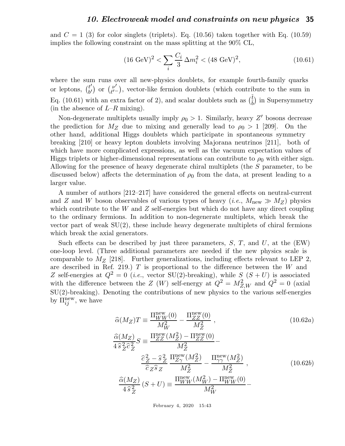and  $C = 1$  (3) for color singlets (triplets). Eq. (10.56) taken together with Eq. (10.59) implies the following constraint on the mass splitting at the 90% CL,

$$
(16 \text{ GeV})^2 < \sum_{i} \frac{C_i}{3} \Delta m_i^2 < (48 \text{ GeV})^2,\tag{10.61}
$$

where the sum runs over all new-physics doublets, for example fourth-family quarks or leptons,  $\begin{pmatrix} t' \\ b' \end{pmatrix}$  $\begin{pmatrix} t' \\ b' \end{pmatrix}$  or  $\begin{pmatrix} \nu' \\ \ell' \end{pmatrix}$  $v'_{\ell}$ , vector-like fermion doublets (which contribute to the sum in Eq. (10.61) with an extra factor of 2), and scalar doublets such as  $(\tilde{\tilde{t}})$  in Supersymmetry (in the absence of  $L-R$  mixing).

Non-degenerate multiplets usually imply  $\rho_0 > 1$ . Similarly, heavy Z' bosons decrease the prediction for  $M_Z$  due to mixing and generally lead to  $\rho_0 > 1$  [209]. On the other hand, additional Higgs doublets which participate in spontaneous symmetry breaking [210] or heavy lepton doublets involving Majorana neutrinos [211], both of which have more complicated expressions, as well as the vacuum expectation values of Higgs triplets or higher-dimensional representations can contribute to  $\rho_0$  with either sign. Allowing for the presence of heavy degenerate chiral multiplets (the S parameter, to be discussed below) affects the determination of  $\rho_0$  from the data, at present leading to a larger value.

A number of authors [212–217] have considered the general effects on neutral-current and Z and W boson observables of various types of heavy (*i.e.*,  $M_{\text{new}} \gg M_Z$ ) physics which contribute to the W and Z self-energies but which do not have any direct coupling to the ordinary fermions. In addition to non-degenerate multiplets, which break the vector part of weak  $SU(2)$ , these include heavy degenerate multiplets of chiral fermions which break the axial generators.

Such effects can be described by just three parameters,  $S, T$ , and  $U$ , at the (EW) one-loop level. (Three additional parameters are needed if the new physics scale is comparable to  $M_Z$  [218]. Further generalizations, including effects relevant to LEP 2, are described in Ref. 219.)  $T$  is proportional to the difference between the  $W$  and Z self-energies at  $Q^2 = 0$  (*i.e.*, vector SU(2)-breaking), while S  $(S + U)$  is associated with the difference between the Z (W) self-energy at  $Q^2 = M_{Z,W}^2$  and  $Q^2 = 0$  (axial SU(2)-breaking). Denoting the contributions of new physics to the various self-energies by  $\Pi_{ij}^{\text{new}}$ , we have

$$
\hat{\alpha}(M_Z)T \equiv \frac{\Pi_{WW}^{\text{new}}(0)}{M_W^2} - \frac{\Pi_{ZZ}^{\text{new}}(0)}{M_Z^2} ,\qquad(10.62a)
$$
\n
$$
\frac{\hat{\alpha}(M_Z)}{4\hat{s}_Z^2\hat{c}_Z^2}S \equiv \frac{\Pi_{ZZ}^{\text{new}}(M_Z^2) - \Pi_{ZZ}^{\text{new}}(0)}{M_Z^2} - \frac{\hat{c}_Z^2 - \hat{s}_Z^2}{M_Z^2} \frac{\Pi_{ZY}^{\text{new}}(M_Z^2)}{M_Z^2} - \frac{\Pi_{\gamma\gamma}^{\text{new}}(M_Z^2)}{M_Z^2} ,\qquad(10.62b)
$$
\n
$$
\frac{\hat{\alpha}(M_Z)}{4\hat{s}_Z^2}(S+U) \equiv \frac{\Pi_{WW}^{\text{new}}(M_W^2) - \Pi_{WW}^{\text{new}}(0)}{M_W^2} - \frac{\hat{c}_Z^2 - \hat{c}_Z^2}{M_W^2}.
$$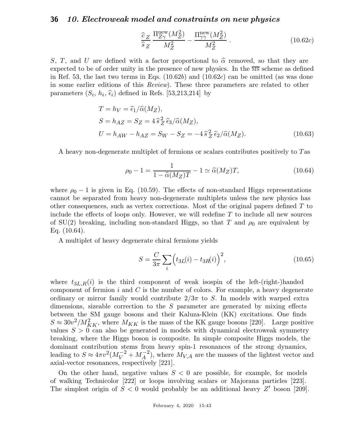$$
\frac{\hat{c}_Z}{\hat{s}_Z} \frac{\Pi_{Z\gamma}^{\text{new}}(M_Z^2)}{M_Z^2} - \frac{\Pi_{\gamma\gamma}^{\text{new}}(M_Z^2)}{M_Z^2} \,. \tag{10.62c}
$$

S, T, and U are defined with a factor proportional to  $\hat{\alpha}$  removed, so that they are expected to be of order unity in the presence of new physics. In the  $\overline{MS}$  scheme as defined in Ref. 53, the last two terms in Eqs.  $(10.62b)$  and  $(10.62c)$  can be omitted (as was done in some earlier editions of this Review). These three parameters are related to other parameters  $(S_i, h_i, \hat{\epsilon}_i)$  defined in Refs. [53,213,214] by

$$
T = h_V = \hat{\epsilon}_1 / \hat{\alpha}(M_Z),
$$
  
\n
$$
S = h_{AZ} = S_Z = 4 \hat{s}_Z^2 \hat{\epsilon}_3 / \hat{\alpha}(M_Z),
$$
  
\n
$$
U = h_{AW} - h_{AZ} = S_W - S_Z = -4 \hat{s}_Z^2 \hat{\epsilon}_2 / \hat{\alpha}(M_Z).
$$
\n(10.63)

A heavy non-degenerate multiplet of fermions or scalars contributes positively to Tas

$$
\rho_0 - 1 = \frac{1}{1 - \widehat{\alpha}(M_Z)T} - 1 \simeq \widehat{\alpha}(M_Z)T,\tag{10.64}
$$

where  $\rho_0 - 1$  is given in Eq. (10.59). The effects of non-standard Higgs representations cannot be separated from heavy non-degenerate multiplets unless the new physics has other consequences, such as vertex corrections. Most of the original papers defined  $T$  to include the effects of loops only. However, we will redefine  $T$  to include all new sources of SU(2) breaking, including non-standard Higgs, so that T and  $\rho_0$  are equivalent by Eq. (10.64).

A multiplet of heavy degenerate chiral fermions yields

$$
S = \frac{C}{3\pi} \sum_{i} \left( t_{3L}(i) - t_{3R}(i) \right)^2,
$$
\n(10.65)

where  $t_{3L,R}(i)$  is the third component of weak isospin of the left-(right-)handed component of fermion  $i$  and  $C$  is the number of colors. For example, a heavy degenerate ordinary or mirror family would contribute  $2/3\pi$  to S. In models with warped extra dimensions, sizeable correction to the  $S$  parameter are generated by mixing effects between the SM gauge bosons and their Kaluza-Klein (KK) excitations. One finds  $S \approx 30v^2/M_{KK}^2$ , where  $M_{KK}$  is the mass of the KK gauge bosons [220]. Large positive values  $S > 0$  can also be generated in models with dynamical electroweak symmetry breaking, where the Higgs boson is composite. In simple composite Higgs models, the dominant contribution stems from heavy spin-1 resonances of the strong dynamics, leading to  $S \approx 4\pi v^2 (M_V^{-2} + M_A^{-2})$ , where  $M_{V,A}$  are the masses of the lightest vector and axial-vector resonances, respectively [221].

On the other hand, negative values  $S < 0$  are possible, for example, for models of walking Technicolor [222] or loops involving scalars or Majorana particles [223]. The simplest origin of  $S < 0$  would probably be an additional heavy Z' boson [209].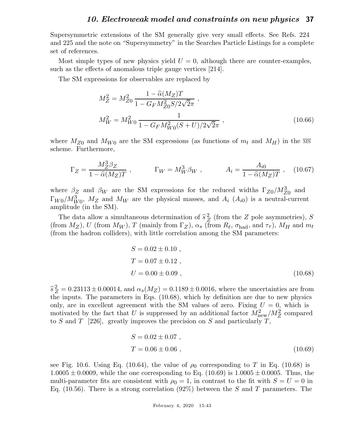Supersymmetric extensions of the SM generally give very small effects. See Refs. 224 and 225 and the note on "Supersymmetry" in the Searches Particle Listings for a complete set of references.

Most simple types of new physics yield  $U = 0$ , although there are counter-examples, such as the effects of anomalous triple gauge vertices [214].

The SM expressions for observables are replaced by

$$
M_Z^2 = M_{Z0}^2 \frac{1 - \hat{\alpha}(M_Z)T}{1 - G_F M_{Z0}^2 S / 2\sqrt{2}\pi} ,
$$
  
\n
$$
M_W^2 = M_{W0}^2 \frac{1}{1 - G_F M_{W0}^2 (S + U) / 2\sqrt{2}\pi} ,
$$
\n(10.66)

where  $M_{Z0}$  and  $M_{W0}$  are the SM expressions (as functions of  $m_t$  and  $M_H$ ) in the  $\overline{\text{MS}}$ scheme. Furthermore,

$$
\Gamma_Z = \frac{M_Z^3 \beta_Z}{1 - \widehat{\alpha}(M_Z)T} , \qquad \Gamma_W = M_W^3 \beta_W , \qquad A_i = \frac{A_{i0}}{1 - \widehat{\alpha}(M_Z)T} , \quad (10.67)
$$

where  $\beta_Z$  and  $\beta_W$  are the SM expressions for the reduced widths  $\Gamma_{Z0}/M_{Z0}^3$  and  $\Gamma_{W0}/M_{W0}^3$ ,  $M_Z$  and  $M_W$  are the physical masses, and  $A_i$   $(A_{i0})$  is a neutral-current amplitude (in the SM).

The data allow a simultaneous determination of  $\hat{s}^2$  $Z$  (from the Z pole asymmetries), S (from  $M_Z$ ), U (from  $M_W$ ), T (mainly from  $\Gamma_Z$ ),  $\alpha_s$  (from  $R_\ell$ ,  $\sigma_{\text{had}}$ , and  $\tau_\tau$ ),  $M_H$  and  $m_t$ (from the hadron colliders), with little correlation among the SM parameters:

$$
S = 0.02 \pm 0.10 ,
$$
  
\n
$$
T = 0.07 \pm 0.12 ,
$$
  
\n
$$
U = 0.00 \pm 0.09 ,
$$
\n(10.68)

 $\hat{s}_Z^2 = 0.23113 \pm 0.00014$ , and  $\alpha_s(M_Z) = 0.1189 \pm 0.0016$ , where the uncertainties are from the inputs. The parameters in Eqs. (10.68), which by definition are due to new physics only, are in excellent agreement with the SM values of zero. Fixing  $U = 0$ , which is motivated by the fact that U is suppressed by an additional factor  $M_{\text{new}}^2/M_Z^2$  compared to S and T [226], greatly improves the precision on S and particularly T,

$$
S = 0.02 \pm 0.07 ,
$$
  
\n
$$
T = 0.06 \pm 0.06 ,
$$
\n(10.69)

see Fig. 10.6. Using Eq. (10.64), the value of  $\rho_0$  corresponding to T in Eq. (10.68) is  $1.0005 \pm 0.0009$ , while the one corresponding to Eq. (10.69) is  $1.0005 \pm 0.0005$ . Thus, the multi-parameter fits are consistent with  $\rho_0 = 1$ , in contrast to the fit with  $S = U = 0$  in Eq. (10.56). There is a strong correlation (92%) between the S and T parameters. The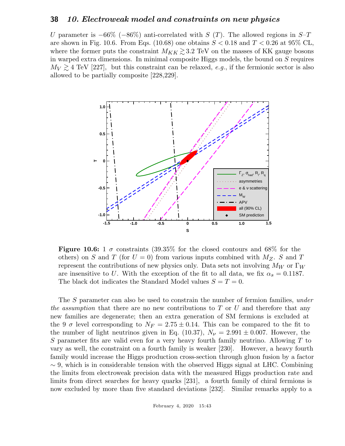U parameter is  $-66\%$  ( $-86\%$ ) anti-correlated with S (T). The allowed regions in S–T are shown in Fig. 10.6. From Eqs. (10.68) one obtains  $S < 0.18$  and  $T < 0.26$  at 95% CL, where the former puts the constraint  $M_{KK} \gtrsim 3.2$  TeV on the masses of KK gauge bosons in warped extra dimensions. In minimal composite Higgs models, the bound on S requires  $M_V \gtrsim 4$  TeV [227], but this constraint can be relaxed, e.g., if the fermionic sector is also allowed to be partially composite [228,229].



**Figure 10.6:** 1  $\sigma$  constraints (39.35% for the closed contours and 68% for the others) on S and T (for  $U = 0$ ) from various inputs combined with  $M_Z$ . S and T represent the contributions of new physics only. Data sets not involving  $M_W$  or  $\Gamma_W$ are insensitive to U. With the exception of the fit to all data, we fix  $\alpha_s = 0.1187$ . The black dot indicates the Standard Model values  $S = T = 0$ .

The S parameter can also be used to constrain the number of fermion families, *under* the assumption that there are no new contributions to T or U and therefore that any new families are degenerate; then an extra generation of SM fermions is excluded at the 9  $\sigma$  level corresponding to  $N_F = 2.75 \pm 0.14$ . This can be compared to the fit to the number of light neutrinos given in Eq. (10.37),  $N_{\nu} = 2.991 \pm 0.007$ . However, the S parameter fits are valid even for a very heavy fourth family neutrino. Allowing  $T$  to vary as well, the constraint on a fourth family is weaker [230]. However, a heavy fourth family would increase the Higgs production cross-section through gluon fusion by a factor  $\sim$  9, which is in considerable tension with the observed Higgs signal at LHC. Combining the limits from electroweak precision data with the measured Higgs production rate and limits from direct searches for heavy quarks [231], a fourth family of chiral fermions is now excluded by more than five standard deviations [232]. Similar remarks apply to a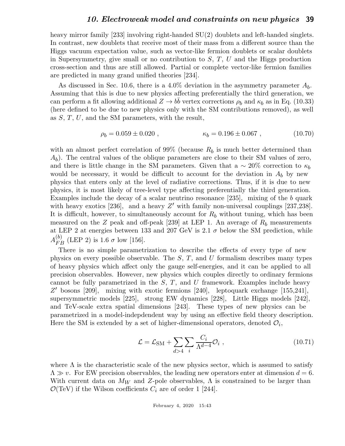heavy mirror family [233] involving right-handed  $SU(2)$  doublets and left-handed singlets. In contrast, new doublets that receive most of their mass from a different source than the Higgs vacuum expectation value, such as vector-like fermion doublets or scalar doublets in Supersymmetry, give small or no contribution to  $S, T, U$  and the Higgs production cross-section and thus are still allowed. Partial or complete vector-like fermion families are predicted in many grand unified theories [234].

As discussed in Sec. 10.6, there is a 4.0% deviation in the asymmetry parameter  $A_b$ . Assuming that this is due to new physics affecting preferentially the third generation, we can perform a fit allowing additional  $Z \to b\bar{b}$  vertex corrections  $\rho_b$  and  $\kappa_b$  as in Eq. (10.33) (here defined to be due to new physics only with the SM contributions removed), as well as  $S, T, U$ , and the SM parameters, with the result,

$$
\rho_b = 0.059 \pm 0.020 , \qquad \qquad \kappa_b = 0.196 \pm 0.067 , \qquad (10.70)
$$

with an almost perfect correlation of 99% (because  $R_b$  is much better determined than  $(A_b)$ . The central values of the oblique parameters are close to their SM values of zero, and there is little change in the SM parameters. Given that a  $\sim 20\%$  correction to  $\kappa_b$ would be necessary, it would be difficult to account for the deviation in  $A_b$  by new physics that enters only at the level of radiative corrections. Thus, if it is due to new physics, it is most likely of tree-level type affecting preferentially the third generation. Examples include the decay of a scalar neutrino resonance [235], mixing of the b quark with heavy exotics [236], and a heavy  $Z'$  with family non-universal couplings [237,238]. It is difficult, however, to simultaneously account for  $R<sub>b</sub>$  without tuning, which has been measured on the Z peak and off-peak [239] at LEP 1. An average of  $R_b$  measurements at LEP 2 at energies between 133 and 207 GeV is 2.1  $\sigma$  below the SM prediction, while  $A_{FB}^{(b)}$  (LEP 2) is 1.6  $\sigma$  low [156].

There is no simple parametrization to describe the effects of every type of new physics on every possible observable. The  $S$ ,  $T$ , and  $U$  formalism describes many types of heavy physics which affect only the gauge self-energies, and it can be applied to all precision observables. However, new physics which couples directly to ordinary fermions cannot be fully parametrized in the  $S, T$ , and U framework. Examples include heavy Z' bosons [209], mixing with exotic fermions [240], leptoquark exchange [155,241], supersymmetric models [225], strong EW dynamics [228], Little Higgs models [242], and TeV-scale extra spatial dimensions [243]. These types of new physics can be parametrized in a model-indepdendent way by using an effective field theory description. Here the SM is extended by a set of higher-dimensional operators, denoted  $\mathcal{O}_i$ ,

$$
\mathcal{L} = \mathcal{L}_{\rm SM} + \sum_{d>4} \sum_{i} \frac{C_i}{\Lambda^{d-4}} \mathcal{O}_i , \qquad (10.71)
$$

where  $\Lambda$  is the characteristic scale of the new physics sector, which is assumed to satisfy  $\Lambda \gg v$ . For EW precision observables, the leading new operators enter at dimension  $d = 6$ . With current data on  $M_W$  and Z-pole observables,  $\Lambda$  is constrained to be larger than  $\mathcal{O}(\text{TeV})$  if the Wilson coefficients  $C_i$  are of order 1 [244].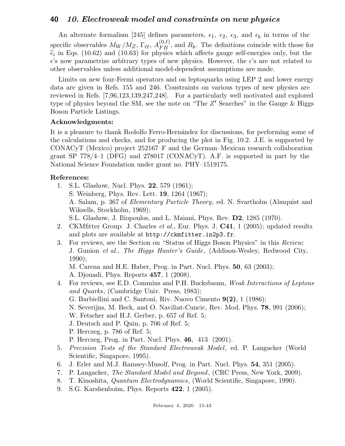An alternate formalism [245] defines parameters,  $\epsilon_1$ ,  $\epsilon_2$ ,  $\epsilon_3$ , and  $\epsilon_b$  in terms of the specific observables  $M_W/M_Z$ ,  $\Gamma_{\ell\ell}$ ,  $A_{FB}^{(0,\ell)}$ , and  $R_b$ . The definitions coincide with those for  $\hat{\epsilon}_i$  in Eqs. (10.62) and (10.63) for physics which affects gauge self-energies only, but the  $\epsilon$ 's now parametrize arbitrary types of new physics. However, the  $\epsilon$ 's are not related to other observables unless additional model-dependent assumptions are made.

Limits on new four-Fermi operators and on leptoquarks using LEP 2 and lower energy data are given in Refs. 155 and 246. Constraints on various types of new physics are reviewed in Refs. [7,96,123,139,247,248]. For a particularly well motivated and explored type of physics beyond the SM, see the note on "The  $Z'$  Searches" in the Gauge  $\&$  Higgs Boson Particle Listings.

### Acknowledgments:

It is a pleasure to thank Rodolfo Ferro-Hernández for discussions, for performing some of the calculations and checks, and for producing the plot in Fig. 10.2. J.E. is supported by CONACyT (Mexico) project 252167–F and the German–Mexican research collaboration grant SP 778/4–1 (DFG) and 278017 (CONACyT). A.F. is supported in part by the National Science Foundation under grant no. PHY–1519175.

### References:

- 1. S.L. Glashow, Nucl. Phys. 22, 579 (1961); S. Weinberg, Phys. Rev. Lett. 19, 1264 (1967); A. Salam, p. 367 of Elementary Particle Theory, ed. N. Svartholm (Almquist and Wiksells, Stockholm, 1969); S.L. Glashow, J. Iliopoulos, and L. Maiani, Phys. Rev. D2, 1285 (1970).
- 2. CKMfitter Group: J. Charles *et al.*, Eur. Phys. J. **C41**, 1 (2005); updated results and plots are available at http://ckmfitter.in2p3.fr.
- 3. For reviews, see the Section on "Status of Higgs Boson Physics" in this Review; J. Gunion et al., The Higgs Hunter's Guide, (Addison-Wesley, Redwood City, 1990);

M. Carena and H.E. Haber, Prog. in Part. Nucl. Phys. 50, 63 (2003); A. Djouadi, Phys. Reports 457, 1 (2008).

- 4. For reviews, see E.D. Commins and P.H. Bucksbaum, Weak Interactions of Leptons and Quarks, (Cambridge Univ. Press, 1983); G. Barbiellini and C. Santoni, Riv. Nuovo Cimento 9(2), 1 (1986); N. Severijns, M. Beck, and O. Naviliat-Cuncic, Rev. Mod. Phys. 78, 991 (2006); W. Fetscher and H.J. Gerber, p. 657 of Ref. 5; J. Deutsch and P. Quin, p. 706 of Ref. 5; P. Herczeg, p. 786 of Ref. 5; P. Herczeg, Prog. in Part. Nucl. Phys. 46, 413 (2001). 5. Precision Tests of the Standard Electroweak Model, ed. P. Langacker (World Scientific, Singapore, 1995).
- 6. J. Erler and M.J. Ramsey-Musolf, Prog. in Part. Nucl. Phys. 54, 351 (2005).
- 7. P. Langacker, The Standard Model and Beyond, (CRC Press, New York, 2009).
- 8. T. Kinoshita, Quantum Electrodynamics, (World Scientific, Singapore, 1990).
- 9. S.G. Karshenboim, Phys. Reports 422, 1 (2005).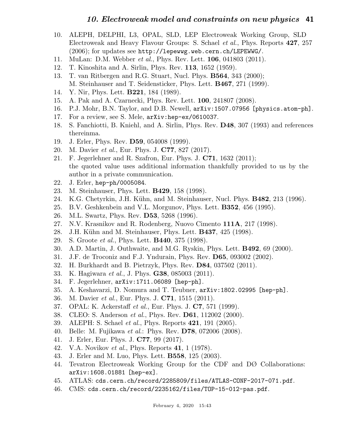- 10. ALEPH, DELPHI, L3, OPAL, SLD, LEP Electroweak Working Group, SLD Electroweak and Heavy Flavour Groups: S. Schael et al., Phys. Reports 427, 257 (2006); for updates see http://lepewwg.web.cern.ch/LEPEWWG/.
- 11. MuLan: D.M. Webber et al., Phys. Rev. Lett. 106, 041803 (2011).
- 12. T. Kinoshita and A. Sirlin, Phys. Rev. 113, 1652 (1959).
- 13. T. van Ritbergen and R.G. Stuart, Nucl. Phys. B564, 343 (2000); M. Steinhauser and T. Seidensticker, Phys. Lett. B467, 271 (1999).
- 14. Y. Nir, Phys. Lett. B221, 184 (1989).
- 15. A. Pak and A. Czarnecki, Phys. Rev. Lett. 100, 241807 (2008).
- 16. P.J. Mohr, B.N. Taylor, and D.B. Newell, arXiv:1507.07956 [physics.atom-ph].
- 17. For a review, see S. Mele, arXiv:hep-ex/0610037.
- 18. S. Fanchiotti, B. Kniehl, and A. Sirlin, Phys. Rev. D48, 307 (1993) and references thereinma.
- 19. J. Erler, Phys. Rev. D59, 054008 (1999).
- 20. M. Davier et al., Eur. Phys. J. C77, 827 (2017).
- 21. F. Jegerlehner and R. Szafron, Eur. Phys. J. C71, 1632 (2011); the quoted value uses additional information thankfully provided to us by the author in a private communication.
- 22. J. Erler, hep-ph/0005084.
- 23. M. Steinhauser, Phys. Lett. B429, 158 (1998).
- 24. K.G. Chetyrkin, J.H. K¨uhn, and M. Steinhauser, Nucl. Phys. B482, 213 (1996).
- 25. B.V. Geshkenbein and V.L. Morgunov, Phys. Lett. B352, 456 (1995).
- 26. M.L. Swartz, Phys. Rev. D53, 5268 (1996).
- 27. N.V. Krasnikov and R. Rodenberg, Nuovo Cimento 111A, 217 (1998).
- 28. J.H. Kühn and M. Steinhauser, Phys. Lett. **B437**, 425 (1998).
- 29. S. Groote et al., Phys. Lett. B440, 375 (1998).
- 30. A.D. Martin, J. Outhwaite, and M.G. Ryskin, Phys. Lett. B492, 69 (2000).
- 31. J.F. de Troconiz and F.J. Yndurain, Phys. Rev. D65, 093002 (2002).
- 32. H. Burkhardt and B. Pietrzyk, Phys. Rev. D84, 037502 (2011).
- 33. K. Hagiwara *et al.*, J. Phys. **G38**, 085003 (2011).
- 34. F. Jegerlehner, arXiv:1711.06089 [hep-ph].
- 35. A. Keshavarzi, D. Nomura and T. Teubner, arXiv:1802.02995 [hep-ph].
- 36. M. Davier et al., Eur. Phys. J. C71, 1515 (2011).
- 37. OPAL: K. Ackerstaff et al., Eur. Phys. J. C7, 571 (1999).
- 38. CLEO: S. Anderson *et al.*, Phys. Rev. **D61**, 112002 (2000).
- 39. ALEPH: S. Schael et al., Phys. Reports 421, 191 (2005).
- 40. Belle: M. Fujikawa *et al.*: Phys. Rev. **D78**, 072006 (2008).
- 41. J. Erler, Eur. Phys. J. C77, 99 (2017).
- 42. V.A. Novikov et al., Phys. Reports 41, 1 (1978).
- 43. J. Erler and M. Luo, Phys. Lett. B558, 125 (2003).
- 44. Tevatron Electroweak Working Group for the CDF and DØ Collaborations: arXiv:1608.01881 [hep-ex].
- 45. ATLAS: cds.cern.ch/record/2285809/files/ATLAS-CONF-2017-071.pdf.
- 46. CMS: cds.cern.ch/record/2235162/files/TOP-15-012-pas.pdf.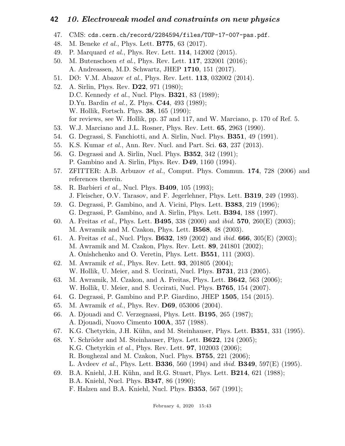- 47. CMS: cds.cern.ch/record/2284594/files/TOP-17-007-pas.pdf.
- 48. M. Beneke et al., Phys. Lett. B775, 63 (2017).
- 49. P. Marquard et al., Phys. Rev. Lett. 114, 142002 (2015).
- 50. M. Butenschoen et al., Phys. Rev. Lett. 117, 232001 (2016); A. Andreassen, M.D. Schwartz, JHEP 1710, 151 (2017).
- 51. DØ: V.M. Abazov et al., Phys. Rev. Lett. 113, 032002 (2014).
- 52. A. Sirlin, Phys. Rev. D22, 971 (1980); D.C. Kennedy *et al.*, Nucl. Phys. **B321**, 83 (1989); D.Yu. Bardin *et al.*, Z. Phys. **C44**, 493 (1989); W. Hollik, Fortsch. Phys. 38, 165 (1990); for reviews, see W. Hollik, pp. 37 and 117, and W. Marciano, p. 170 of Ref. 5.
- 53. W.J. Marciano and J.L. Rosner, Phys. Rev. Lett. 65, 2963 (1990).
- 54. G. Degrassi, S. Fanchiotti, and A. Sirlin, Nucl. Phys. B351, 49 (1991).
- 55. K.S. Kumar et al., Ann. Rev. Nucl. and Part. Sci. 63, 237 (2013).
- 56. G. Degrassi and A. Sirlin, Nucl. Phys. B352, 342 (1991); P. Gambino and A. Sirlin, Phys. Rev. D49, 1160 (1994).
- 57. ZFITTER: A.B. Arbuzov *et al.*, Comput. Phys. Commun.  $174$ , 728 (2006) and references therein.
- 58. R. Barbieri *et al.*, Nucl. Phys. **B409**, 105 (1993); J. Fleischer, O.V. Tarasov, and F. Jegerlehner, Phys. Lett. B319, 249 (1993).
- 59. G. Degrassi, P. Gambino, and A. Vicini, Phys. Lett. B383, 219 (1996); G. Degrassi, P. Gambino, and A. Sirlin, Phys. Lett. B394, 188 (1997).
- 60. A. Freitas et al., Phys. Lett. B495, 338 (2000) and ibid. 570, 260(E) (2003); M. Awramik and M. Czakon, Phys. Lett. B568, 48 (2003).
- 61. A. Freitas et al., Nucl. Phys. B632, 189 (2002) and ibid. 666, 305(E) (2003); M. Awramik and M. Czakon, Phys. Rev. Lett. 89, 241801 (2002); A. Onishchenko and O. Veretin, Phys. Lett. B551, 111 (2003).
- 62. M. Awramik et al., Phys. Rev. Lett. 93, 201805 (2004); W. Hollik, U. Meier, and S. Uccirati, Nucl. Phys. **B731**, 213 (2005).
- 63. M. Awramik, M. Czakon, and A. Freitas, Phys. Lett. B642, 563 (2006); W. Hollik, U. Meier, and S. Uccirati, Nucl. Phys. B765, 154 (2007).
- 64. G. Degrassi, P. Gambino and P.P. Giardino, JHEP 1505, 154 (2015).
- 65. M. Awramik et al., Phys. Rev. D69, 053006 (2004).
- 66. A. Djouadi and C. Verzegnassi, Phys. Lett. B195, 265 (1987); A. Djouadi, Nuovo Cimento 100A, 357 (1988).
- 67. K.G. Chetyrkin, J.H. Kühn, and M. Steinhauser, Phys. Lett. **B351**, 331 (1995).
- 68. Y. Schröder and M. Steinhauser, Phys. Lett.  $\bf{B622}$ , 124 (2005); K.G. Chetyrkin et al., Phys. Rev. Lett. 97, 102003 (2006); R. Boughezal and M. Czakon, Nucl. Phys. B755, 221 (2006); L. Avdeev *et al.*, Phys. Lett. **B336**, 560 (1994) and *ibid.* **B349**, 597(E) (1995).
- 69. B.A. Kniehl, J.H. Kühn, and R.G. Stuart, Phys. Lett. **B214**, 621 (1988); B.A. Kniehl, Nucl. Phys. B347, 86 (1990); F. Halzen and B.A. Kniehl, Nucl. Phys. B353, 567 (1991);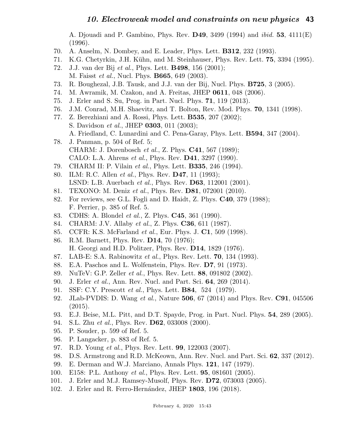A. Djouadi and P. Gambino, Phys. Rev. D49, 3499 (1994) and ibid. 53, 4111(E) (1996).

- 70. A. Anselm, N. Dombey, and E. Leader, Phys. Lett. B312, 232 (1993).
- 71. K.G. Chetyrkin, J.H. Kühn, and M. Steinhauser, Phys. Rev. Lett. **75**, 3394 (1995).
- 72. J.J. van der Bij et al., Phys. Lett. B498, 156 (2001); M. Faisst *et al.*, Nucl. Phys. **B665**, 649 (2003).
- 73. R. Boughezal, J.B. Tausk, and J.J. van der Bij, Nucl. Phys. B725, 3 (2005).
- 74. M. Awramik, M. Czakon, and A. Freitas, JHEP 0611, 048 (2006).
- 75. J. Erler and S. Su, Prog. in Part. Nucl. Phys. 71, 119 (2013).
- 76. J.M. Conrad, M.H. Shaevitz, and T. Bolton, Rev. Mod. Phys. 70, 1341 (1998).
- 77. Z. Berezhiani and A. Rossi, Phys. Lett. B535, 207 (2002); S. Davidson *et al.*, JHEP **0303**, 011 (2003); A. Friedland, C. Lunardini and C. Pena-Garay, Phys. Lett. B594, 347 (2004).
- 78. J. Panman, p. 504 of Ref. 5; CHARM: J. Dorenbosch et al., Z. Phys. C41, 567 (1989); CALO: L.A. Ahrens et al., Phys. Rev. D41, 3297 (1990).
- 79. CHARM II: P. Vilain *et al.*, Phys. Lett. **B335**, 246 (1994).
- 80. ILM: R.C. Allen et al., Phys. Rev. D47, 11 (1993); LSND: L.B. Auerbach et al., Phys. Rev. D63, 112001 (2001).
- 81. TEXONO: M. Deniz et al., Phys. Rev. D81, 072001 (2010).
- 82. For reviews, see G.L. Fogli and D. Haidt, Z. Phys. C40, 379 (1988); F. Perrier, p. 385 of Ref. 5.
- 83. CDHS: A. Blondel et al., Z. Phys. C45, 361 (1990).
- 84. CHARM: J.V. Allaby et al., Z. Phys. C36, 611 (1987).
- 85. CCFR: K.S. McFarland et al., Eur. Phys. J. C1, 509 (1998).
- 86. R.M. Barnett, Phys. Rev. D14, 70 (1976); H. Georgi and H.D. Politzer, Phys. Rev. D14, 1829 (1976).
- 87. LAB-E: S.A. Rabinowitz et al., Phys. Rev. Lett. 70, 134 (1993).
- 88. E.A. Paschos and L. Wolfenstein, Phys. Rev. D7, 91 (1973).
- 89. NuTeV: G.P. Zeller et al., Phys. Rev. Lett. 88, 091802 (2002).
- 90. J. Erler et al., Ann. Rev. Nucl. and Part. Sci. 64, 269 (2014).
- 91. SSF: C.Y. Prescott *et al.*, Phys. Lett. **B84**, 524 (1979).
- 92. JLab-PVDIS: D. Wang et al., Nature 506, 67 (2014) and Phys. Rev. C91, 045506 (2015).
- 93. E.J. Beise, M.L. Pitt, and D.T. Spayde, Prog. in Part. Nucl. Phys. 54, 289 (2005).
- 94. S.L. Zhu et al., Phys. Rev. D62, 033008 (2000).
- 95. P. Souder, p. 599 of Ref. 5.
- 96. P. Langacker, p. 883 of Ref. 5.
- 97. R.D. Young et al., Phys. Rev. Lett. 99, 122003 (2007).
- 98. D.S. Armstrong and R.D. McKeown, Ann. Rev. Nucl. and Part. Sci. 62, 337 (2012).
- 99. E. Derman and W.J. Marciano, Annals Phys. 121, 147 (1979).
- 100. E158: P.L. Anthony *et al.*, Phys. Rev. Lett. **95**, 081601 (2005).
- 101. J. Erler and M.J. Ramsey-Musolf, Phys. Rev. **D72**, 073003 (2005).
- 102. J. Erler and R. Ferro-Hernández, JHEP 1803, 196 (2018).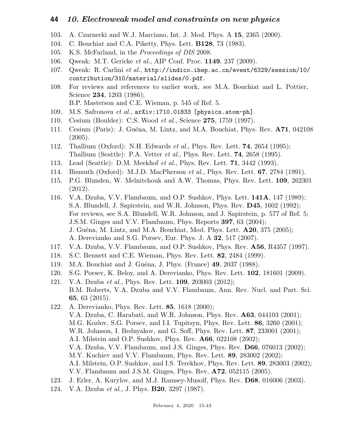- 103. A. Czarnecki and W.J. Marciano, Int. J. Mod. Phys. A 15, 2365 (2000).
- 104. C. Bouchiat and C.A. Piketty, Phys. Lett. B128, 73 (1983).
- 105. K.S. McFarland, in the Proceedings of DIS 2008.
- 106. Qweak: M.T. Gericke et al., AIP Conf. Proc. 1149, 237 (2009).
- 107. Qweak: R. Carlini et al., http://indico.ihep.ac.cn/event/6329/session/10/ contribution/310/material/slides/0.pdf.
- 108. For reviews and references to earlier work, see M.A. Bouchiat and L. Pottier, Science **234**, 1203 (1986); B.P. Masterson and C.E. Wieman, p. 545 of Ref. 5.
- 109. M.S. Safronova et al., arXiv:1710.01833 [physics.atom-ph].
- 110. Cesium (Boulder): C.S. Wood et al., Science 275, 1759 (1997).
- 111. Cesium (Paris): J. Guéna, M. Lintz, and M.A. Bouchiat, Phys. Rev. A71, 042108 (2005).
- 112. Thallium (Oxford): N.H. Edwards *et al.*, Phys. Rev. Lett. **74**, 2654 (1995); Thallium (Seattle): P.A. Vetter et al., Phys. Rev. Lett. 74, 2658 (1995).
- 113. Lead (Seattle): D.M. Meekhof *et al.*, Phys. Rev. Lett. **71**, 3442 (1993).
- 114. Bismuth (Oxford): M.J.D. MacPherson et al., Phys. Rev. Lett. 67, 2784 (1991).
- 115. P.G. Blunden, W. Melnitchouk and A.W. Thomas, Phys. Rev. Lett. 109, 262301 (2012).
- 116. V.A. Dzuba, V.V. Flambaum, and O.P. Sushkov, Phys. Lett. 141A, 147 (1989); S.A. Blundell, J. Sapirstein, and W.R. Johnson, Phys. Rev. D45, 1602 (1992); For reviews, see S.A. Blundell, W.R. Johnson, and J. Sapirstein, p. 577 of Ref. 5; J.S.M. Ginges and V.V. Flambaum, Phys. Reports 397, 63 (2004); J. Guéna, M. Lintz, and M.A. Bouchiat, Mod. Phys. Lett.  $\mathbf{A20}$ , 375 (2005); A. Derevianko and S.G. Porsev, Eur. Phys. J. A 32, 517 (2007).
- 117. V.A. Dzuba, V.V. Flambaum, and O.P. Sushkov, Phys. Rev. A56, R4357 (1997).
- 118. S.C. Bennett and C.E. Wieman, Phys. Rev. Lett. 82, 2484 (1999).
- 119. M.A. Bouchiat and J. Guéna, J. Phys. (France) 49, 2037 (1988).
- 120. S.G. Porsev, K. Beloy, and A. Derevianko, Phys. Rev. Lett. 102, 181601 (2009).
- 121. V.A. Dzuba et al., Phys. Rev. Lett. 109, 203003 (2012); B.M. Roberts, V.A. Dzuba and V.V. Flambaum, Ann. Rev. Nucl. and Part. Sci. 65, 63 (2015).
- 122. A. Derevianko, Phys. Rev. Lett. 85, 1618 (2000); V.A. Dzuba, C. Harabati, and W.R. Johnson, Phys. Rev. A63, 044103 (2001); M.G. Kozlov, S.G. Porsev, and I.I. Tupitsyn, Phys. Rev. Lett. 86, 3260 (2001); W.R. Johnson, I. Bednyakov, and G. Soff, Phys. Rev. Lett. 87, 233001 (2001); A.I. Milstein and O.P. Sushkov, Phys. Rev. A66, 022108 (2002); V.A. Dzuba, V.V. Flambaum, and J.S. Ginges, Phys. Rev. D66, 076013 (2002); M.Y. Kuchiev and V.V. Flambaum, Phys. Rev. Lett. 89, 283002 (2002); A.I. Milstein, O.P. Sushkov, and I.S. Terekhov, Phys. Rev. Lett. 89, 283003 (2002); V.V. Flambaum and J.S.M. Ginges, Phys. Rev. A72, 052115 (2005).
- 123. J. Erler, A. Kurylov, and M.J. Ramsey-Musolf, Phys. Rev. D68, 016006 (2003).
- 124. V.A. Dzuba et al., J. Phys. **B20**, 3297 (1987).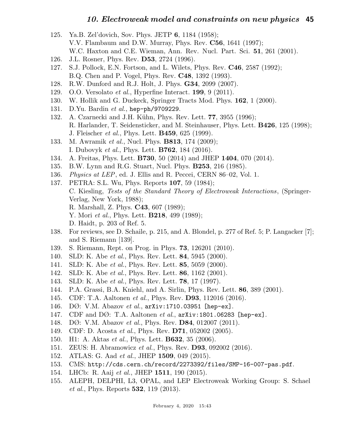- 125. Ya.B. Zel'dovich, Sov. Phys. JETP 6, 1184 (1958); V.V. Flambaum and D.W. Murray, Phys. Rev. C56, 1641 (1997); W.C. Haxton and C.E. Wieman, Ann. Rev. Nucl. Part. Sci. 51, 261 (2001).
- 126. J.L. Rosner, Phys. Rev. D53, 2724 (1996).
- 127. S.J. Pollock, E.N. Fortson, and L. Wilets, Phys. Rev. C46, 2587 (1992); B.Q. Chen and P. Vogel, Phys. Rev. C48, 1392 (1993).
- 128. R.W. Dunford and R.J. Holt, J. Phys. G34, 2099 (2007).
- 129. O.O. Versolato et al., Hyperfine Interact.  $199, 9$  (2011).
- 130. W. Hollik and G. Duckeck, Springer Tracts Mod. Phys. 162, 1 (2000).
- 131. D.Yu. Bardin et al., hep-ph/9709229.
- 132. A. Czarnecki and J.H. Kühn, Phys. Rev. Lett. **77**, 3955 (1996); R. Harlander, T. Seidensticker, and M. Steinhauser, Phys. Lett. B426, 125 (1998); J. Fleischer et al., Phys. Lett. B459, 625 (1999).
- 133. M. Awramik *et al.*, Nucl. Phys. **B813**, 174 (2009); I. Dubovyk et al., Phys. Lett. B762, 184 (2016).
- 134. A. Freitas, Phys. Lett. B730, 50 (2014) and JHEP 1404, 070 (2014).
- 135. B.W. Lynn and R.G. Stuart, Nucl. Phys. **B253**, 216 (1985).
- 136. *Physics at LEP*, ed. J. Ellis and R. Peccei, CERN 86–02, Vol. 1.
- 137. PETRA: S.L. Wu, Phys. Reports 107, 59 (1984); C. Kiesling, Tests of the Standard Theory of Electroweak Interactions, (Springer-Verlag, New York, 1988); R. Marshall, Z. Phys. C43, 607 (1989); Y. Mori *et al.*, Phys. Lett. **B218**, 499 (1989); D. Haidt, p. 203 of Ref. 5.
- 138. For reviews, see D. Schaile, p. 215, and A. Blondel, p. 277 of Ref. 5; P. Langacker [7]; and S. Riemann [139].
- 139. S. Riemann, Rept. on Prog. in Phys. 73, 126201 (2010).
- 140. SLD: K. Abe *et al.*, Phys. Rev. Lett. **84**, 5945 (2000).
- 141. SLD: K. Abe *et al.*, Phys. Rev. Lett. **85**, 5059 (2000).
- 142. SLD: K. Abe *et al.*, Phys. Rev. Lett. **86**, 1162 (2001).
- 143. SLD: K. Abe *et al.*, Phys. Rev. Lett. **78**, 17 (1997).
- 144. P.A. Grassi, B.A. Kniehl, and A. Sirlin, Phys. Rev. Lett. 86, 389 (2001).
- 145. CDF: T.A. Aaltonen et al., Phys. Rev. D93, 112016 (2016).
- 146. DØ: V.M. Abazov et al., arXiv:1710.03951 [hep-ex].
- 147. CDF and D $\emptyset$ : T.A. Aaltonen *et al.*,  $arXiv:1801.06283$  [hep-ex].
- 148. DØ: V.M. Abazov *et al.*, Phys. Rev. **D84**, 012007 (2011).
- 149. CDF: D. Acosta et al., Phys. Rev. D71, 052002 (2005).
- 150. H1: A. Aktas *et al.*, Phys. Lett. **B632**, 35 (2006).
- 151. ZEUS: H. Abramowicz et al., Phys. Rev. D93, 092002 (2016).
- 152. ATLAS: G. Aad et al., JHEP 1509, 049 (2015).
- 153. CMS: http://cds.cern.ch/record/2273392/files/SMP-16-007-pas.pdf.
- 154. LHCb: R. Aaij et al., JHEP 1511, 190 (2015).
- 155. ALEPH, DELPHI, L3, OPAL, and LEP Electroweak Working Group: S. Schael et al., Phys. Reports **532**, 119 (2013).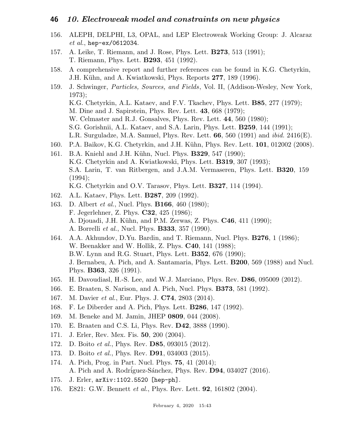- 156. ALEPH, DELPHI, L3, OPAL, and LEP Electroweak Working Group: J. Alcaraz et al., hep-ex/0612034.
- 157. A. Leike, T. Riemann, and J. Rose, Phys. Lett. B273, 513 (1991); T. Riemann, Phys. Lett. B293, 451 (1992).
- 158. A comprehensive report and further references can be found in K.G. Chetyrkin, J.H. Kühn, and A. Kwiatkowski, Phys. Reports 277, 189 (1996).
- 159. J. Schwinger, Particles, Sources, and Fields, Vol. II, (Addison-Wesley, New York, 1973); K.G. Chetyrkin, A.L. Kataev, and F.V. Tkachev, Phys. Lett. B85, 277 (1979); M. Dine and J. Sapirstein, Phys. Rev. Lett. 43, 668 (1979); W. Celmaster and R.J. Gonsalves, Phys. Rev. Lett. 44, 560 (1980); S.G. Gorishnii, A.L. Kataev, and S.A. Larin, Phys. Lett. B259, 144 (1991); L.R. Surguladze, M.A. Samuel, Phys. Rev. Lett.  $66, 560$  (1991) and *ibid.* 2416(E).
- 160. P.A. Baikov, K.G. Chetyrkin, and J.H. Kühn, Phys. Rev. Lett. **101**, 012002 (2008).
- 161. B.A. Kniehl and J.H. Kühn, Nucl. Phys. **B329**, 547 (1990); K.G. Chetyrkin and A. Kwiatkowski, Phys. Lett. B319, 307 (1993); S.A. Larin, T. van Ritbergen, and J.A.M. Vermaseren, Phys. Lett. B320, 159  $(1994);$ K.G. Chetyrkin and O.V. Tarasov, Phys. Lett. B327, 114 (1994).
- 162. A.L. Kataev, Phys. Lett. B287, 209 (1992).
- 163. D. Albert *et al.*, Nucl. Phys. **B166**, 460 (1980); F. Jegerlehner, Z. Phys. C32, 425 (1986); A. Djouadi, J.H. Kühn, and P.M. Zerwas, Z. Phys. **C46**, 411 (1990); A. Borrelli et al., Nucl. Phys. B333, 357 (1990).
- 164. A.A. Akhundov, D.Yu. Bardin, and T. Riemann, Nucl. Phys. B276, 1 (1986); W. Beenakker and W. Hollik, Z. Phys. C40, 141 (1988); B.W. Lynn and R.G. Stuart, Phys. Lett. B352, 676 (1990); J. Bernabeu, A. Pich, and A. Santamaria, Phys. Lett. B200, 569 (1988) and Nucl. Phys. B363, 326 (1991).
- 165. H. Davoudiasl, H.-S. Lee, and W.J. Marciano, Phys. Rev. D86, 095009 (2012).
- 166. E. Braaten, S. Narison, and A. Pich, Nucl. Phys. B373, 581 (1992).
- 167. M. Davier et al., Eur. Phys. J. C74, 2803 (2014).
- 168. F. Le Diberder and A. Pich, Phys. Lett. B286, 147 (1992).
- 169. M. Beneke and M. Jamin, JHEP 0809, 044 (2008).
- 170. E. Braaten and C.S. Li, Phys. Rev. **D42**, 3888 (1990).
- 171. J. Erler, Rev. Mex. Fis. 50, 200 (2004).
- 172. D. Boito et al., Phys. Rev. D85, 093015 (2012).
- 173. D. Boito et al., Phys. Rev. D91, 034003 (2015).
- 174. A. Pich, Prog. in Part. Nucl. Phys. 75, 41 (2014); A. Pich and A. Rodriguez-Sánchez, Phys. Rev. D94, 034027 (2016).
- 175. J. Erler, arXiv:1102.5520 [hep-ph].
- 176. E821: G.W. Bennett *et al.*, Phys. Rev. Lett. **92**, 161802 (2004).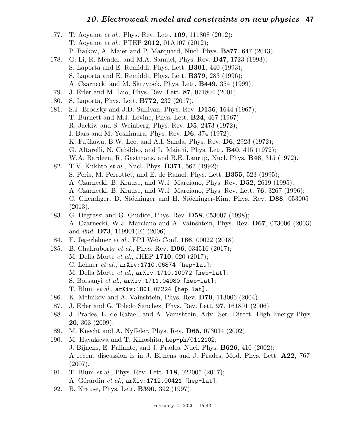| 177. | T. Aoyama et al., Phys. Rev. Lett. <b>109</b> , 111808 (2012);                        |
|------|---------------------------------------------------------------------------------------|
|      | T. Aoyama et al., PTEP 2012, 01A107 (2012);                                           |
|      | P. Baikov, A. Maier and P. Marquard, Nucl. Phys. <b>B877</b> , 647 (2013).            |
| 178. | G. Li, R. Mendel, and M.A. Samuel, Phys. Rev. D47, 1723 (1993);                       |
|      | S. Laporta and E. Remiddi, Phys. Lett. <b>B301</b> , 440 (1993);                      |
|      | S. Laporta and E. Remiddi, Phys. Lett. <b>B379</b> , 283 (1996);                      |
|      | A. Czarnecki and M. Skrzypek, Phys. Lett. <b>B449</b> , 354 (1999).                   |
| 179. | J. Erler and M. Luo, Phys. Rev. Lett. 87, 071804 (2001).                              |
| 180. | S. Laporta, Phys. Lett. <b>B772</b> , 232 (2017).                                     |
| 181. | S.J. Brodsky and J.D. Sullivan, Phys. Rev. D156, 1644 (1967);                         |
|      | T. Burnett and M.J. Levine, Phys. Lett. <b>B24</b> , 467 (1967);                      |
|      | R. Jackiw and S. Weinberg, Phys. Rev. D5, 2473 (1972);                                |
|      | I. Bars and M. Yoshimura, Phys. Rev. $D6$ , 374 (1972);                               |
|      | K. Fujikawa, B.W. Lee, and A.I. Sanda, Phys. Rev. D6, 2923 (1972);                    |
|      | G. Altarelli, N. Cabibbo, and L. Maiani, Phys. Lett. <b>B40</b> , 415 (1972);         |
|      | W.A. Bardeen, R. Gastmans, and B.E. Laurup, Nucl. Phys. <b>B46</b> , 315 (1972).      |
| 182. | T.V. Kukhto et al., Nucl. Phys. <b>B371</b> , 567 (1992);                             |
|      | S. Peris, M. Perrottet, and E. de Rafael, Phys. Lett. <b>B355</b> , 523 (1995);       |
|      | A. Czarnecki, B. Krause, and W.J. Marciano, Phys. Rev. D52, 2619 (1995);              |
|      | A. Czarnecki, B. Krause, and W.J. Marciano, Phys. Rev. Lett. <b>76</b> , 3267 (1996); |
|      | C. Gnendiger, D. Stöckinger and H. Stöckinger-Kim, Phys. Rev. D88, 053005             |
|      | (2013).                                                                               |
| 183. | G. Degrassi and G. Giudice, Phys. Rev. D58, 053007 (1998);                            |
|      | A. Czarnecki, W.J. Marciano and A. Vainshtein, Phys. Rev. D67, 073006 (2003)          |
|      | and <i>ibid.</i> <b>D73</b> , 119901(E) (2006).                                       |
| 184. | F. Jegerlehner et al., EPJ Web Conf. 166, 00022 (2018).                               |
| 185. | B. Chakraborty et al., Phys. Rev. D96, 034516 (2017);                                 |
|      | M. Della Morte et al., JHEP 1710, 020 (2017);                                         |
|      | C. Lehner $et$ al., $arXiv:1710.06874$ [hep-lat];                                     |
|      | M. Della Morte et al., arXiv:1710.10072 [hep-lat];                                    |
|      | S. Borsanyi $et$ $al.$ , $arXiv:1711.04980$ [hep-lat];                                |
|      | T. Blum <i>et al.</i> , $arXiv:1801.07224$ [hep-lat].                                 |
| 186. | K. Melnikov and A. Vainshtein, Phys. Rev. D70, 113006 (2004).                         |
| 187. | J. Erler and G. Toledo Sánchez, Phys. Rev. Lett. <b>97</b> , 161801 (2006).           |
| 188. | J. Prades, E. de Rafael, and A. Vainshtein, Adv. Ser. Direct. High Energy Phys.       |
|      | $20, 303$ (2009).                                                                     |
| 189. | M. Knecht and A. Nyffeler, Phys. Rev. <b>D65</b> , 073034 (2002).                     |
| 190. | M. Hayakawa and T. Kinoshita, hep-ph/0112102;                                         |
|      | J. Bijnens, E. Pallante, and J. Prades, Nucl. Phys. <b>B626</b> , 410 (2002);         |
|      | A recent discussion is in J. Bijnens and J. Prades, Mod. Phys. Lett. A22, 767         |
|      | (2007).                                                                               |
| 191. | T. Blum <i>et al.</i> , Phys. Rev. Lett. <b>118</b> , 022005 (2017);                  |
|      | A. Gérardin et al., $arXiv:1712.00421$ [hep-lat].                                     |
| 192. | B. Krause, Phys. Lett. <b>B390</b> , 392 (1997).                                      |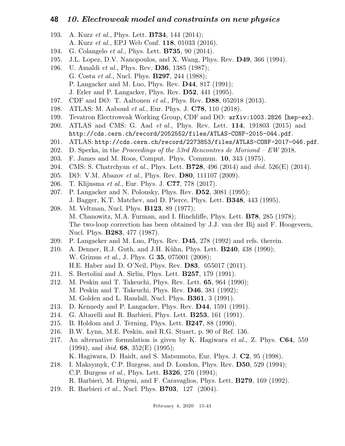- 193. A. Kurz et al., Phys. Lett. **B734**, 144 (2014); A. Kurz et al., EPJ Web Conf. 118, 01033 (2016).
- 194. G. Colangelo et al., Phys. Lett. B735, 90 (2014).
- 195. J.L. Lopez, D.V. Nanopoulos, and X. Wang, Phys. Rev. D49, 366 (1994).
- 196. U. Amaldi et al., Phys. Rev. D36, 1385 (1987); G. Costa et al., Nucl. Phys. B297, 244 (1988); P. Langacker and M. Luo, Phys. Rev. D44, 817 (1991); J. Erler and P. Langacker, Phys. Rev. D52, 441 (1995).
- 197. CDF and  $DØ: T.$  Aaltonen *et al.*, Phys. Rev. **D88**, 052018 (2013).
- 198. ATLAS: M. Aaboud et al., Eur. Phys. J. C78, 110 (2018).
- 199. Tevatron Electroweak Working Group, CDF and DØ: arXiv:1003.2826 [hep-ex].
- 200. ATLAS and CMS: G. Aad et al., Phys. Rev. Lett. 114, 191803 (2015) and http://cds.cern.ch/record/2052552/files/ATLAS-CONF-2015-044.pdf.
- 201. ATLAS: http://cds.cern.ch/record/2273853/files/ATLAS-CONF-2017-046.pdf.
- 202. D. Sperka, in the Proceedings of the 53rd Rencontres de Moriond  $EW$  2018.
- 203. F. James and M. Roos, Comput. Phys. Commun. 10, 343 (1975).
- 204. CMS: S. Chatrchyan et al., Phys. Lett. **B728**, 496 (2014) and *ibid.* 526(E) (2014).
- 205. DØ: V.M. Abazov *et al.*, Phys. Rev. **D80**, 111107 (2009).
- 206. T. Klijnsma et al., Eur. Phys. J. C77, 778 (2017).
- 207. P. Langacker and N. Polonsky, Phys. Rev. D52, 3081 (1995); J. Bagger, K.T. Matchev, and D. Pierce, Phys. Lett. B348, 443 (1995).
- 208. M. Veltman, Nucl. Phys. B123, 89 (1977); M. Chanowitz, M.A. Furman, and I. Hinchliffe, Phys. Lett. B78, 285 (1978); The two-loop correction has been obtained by J.J. van der Bij and F. Hoogeveen, Nucl. Phys. B283, 477 (1987).
- 209. P. Langacker and M. Luo, Phys. Rev. D45, 278 (1992) and refs. therein.
- 210. A. Denner, R.J. Guth, and J.H. Kühn, Phys. Lett. **B240**, 438 (1990); W. Grimus *et al.*, J. Phys. G **35**, 075001 (2008); H.E. Haber and D. O'Neil, Phys. Rev. D83, 055017 (2011).
- 211. S. Bertolini and A. Sirlin, Phys. Lett. B257, 179 (1991).
- 212. M. Peskin and T. Takeuchi, Phys. Rev. Lett. 65, 964 (1990); M. Peskin and T. Takeuchi, Phys. Rev. D46, 381 (1992); M. Golden and L. Randall, Nucl. Phys. B361, 3 (1991).
- 213. D. Kennedy and P. Langacker, Phys. Rev. D44, 1591 (1991).
- 214. G. Altarelli and R. Barbieri, Phys. Lett. B253, 161 (1991).
- 215. B. Holdom and J. Terning, Phys. Lett. B247, 88 (1990).
- 216. B.W. Lynn, M.E. Peskin, and R.G. Stuart, p. 90 of Ref. 136.
- 217. An alternative formulation is given by K. Hagiwara et al., Z. Phys. C64, 559  $(1994)$ , and *ibid.* **68**,  $352(E)$  (1995); K. Hagiwara, D. Haidt, and S. Matsumoto, Eur. Phys. J. C2, 95 (1998).
- 218. I. Maksymyk, C.P. Burgess, and D. London, Phys. Rev. D50, 529 (1994); C.P. Burgess et al., Phys. Lett. B326, 276 (1994); R. Barbieri, M. Frigeni, and F. Caravaglios, Phys. Lett. B279, 169 (1992).
- 219. R. Barbieri et al., Nucl. Phys. B703, 127 (2004).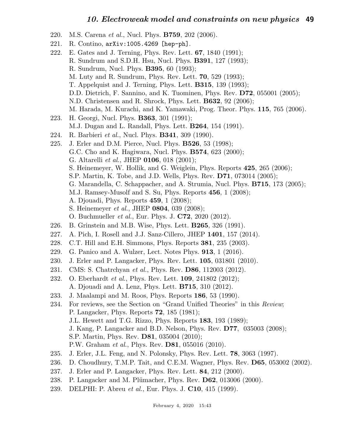- 220. M.S. Carena *et al.*, Nucl. Phys. **B759**, 202 (2006).
- 221. R. Contino, arXiv:1005.4269 [hep-ph].
- 222. E. Gates and J. Terning, Phys. Rev. Lett. 67, 1840 (1991); R. Sundrum and S.D.H. Hsu, Nucl. Phys. B391, 127 (1993); R. Sundrum, Nucl. Phys. B395, 60 (1993); M. Luty and R. Sundrum, Phys. Rev. Lett. 70, 529 (1993); T. Appelquist and J. Terning, Phys. Lett. B315, 139 (1993); D.D. Dietrich, F. Sannino, and K. Tuominen, Phys. Rev. D72, 055001 (2005); N.D. Christensen and R. Shrock, Phys. Lett. B632, 92 (2006); M. Harada, M. Kurachi, and K. Yamawaki, Prog. Theor. Phys. 115, 765 (2006). 223. H. Georgi, Nucl. Phys. B363, 301 (1991); M.J. Dugan and L. Randall, Phys. Lett. B264, 154 (1991). 224. R. Barbieri *et al.*, Nucl. Phys. **B341**, 309 (1990). 225. J. Erler and D.M. Pierce, Nucl. Phys. **B526**, 53 (1998); G.C. Cho and K. Hagiwara, Nucl. Phys. B574, 623 (2000); G. Altarelli et al., JHEP 0106, 018 (2001); S. Heinemeyer, W. Hollik, and G. Weiglein, Phys. Reports 425, 265 (2006); S.P. Martin, K. Tobe, and J.D. Wells, Phys. Rev. D71, 073014 (2005); G. Marandella, C. Schappacher, and A. Strumia, Nucl. Phys. B715, 173 (2005); M.J. Ramsey-Musolf and S. Su, Phys. Reports 456, 1 (2008); A. Djouadi, Phys. Reports 459, 1 (2008); S. Heinemeyer *et al.*, JHEP **0804**, 039 (2008);
	- O. Buchmueller et al., Eur. Phys. J. C72, 2020 (2012).
- 226. B. Grinstein and M.B. Wise, Phys. Lett. B265, 326 (1991).
- 227. A. Pich, I. Rosell and J.J. Sanz-Cillero, JHEP 1401, 157 (2014).
- 228. C.T. Hill and E.H. Simmons, Phys. Reports 381, 235 (2003).
- 229. G. Panico and A. Wulzer, Lect. Notes Phys. 913, 1 (2016).
- 230. J. Erler and P. Langacker, Phys. Rev. Lett. 105, 031801 (2010).
- 231. CMS: S. Chatrchyan et al., Phys. Rev. D86, 112003 (2012).
- 232. O. Eberhardt et al., Phys. Rev. Lett. 109, 241802 (2012); A. Djouadi and A. Lenz, Phys. Lett. B715, 310 (2012).
- 233. J. Maalampi and M. Roos, Phys. Reports 186, 53 (1990).
- 234. For reviews, see the Section on "Grand Unified Theories" in this Review; P. Langacker, Phys. Reports 72, 185 (1981); J.L. Hewett and T.G. Rizzo, Phys. Reports 183, 193 (1989); J. Kang, P. Langacker and B.D. Nelson, Phys. Rev. D77, 035003 (2008); S.P. Martin, Phys. Rev. D81, 035004 (2010); P.W. Graham et al., Phys. Rev. D81, 055016 (2010).
- 235. J. Erler, J.L. Feng, and N. Polonsky, Phys. Rev. Lett. 78, 3063 (1997).
- 236. D. Choudhury, T.M.P. Tait, and C.E.M. Wagner, Phys. Rev. D65, 053002 (2002).
- 237. J. Erler and P. Langacker, Phys. Rev. Lett. 84, 212 (2000).
- 238. P. Langacker and M. Plümacher, Phys. Rev. **D62**, 013006 (2000).
- 239. DELPHI: P. Abreu *et al.*, Eur. Phys. J. **C10**, 415 (1999).